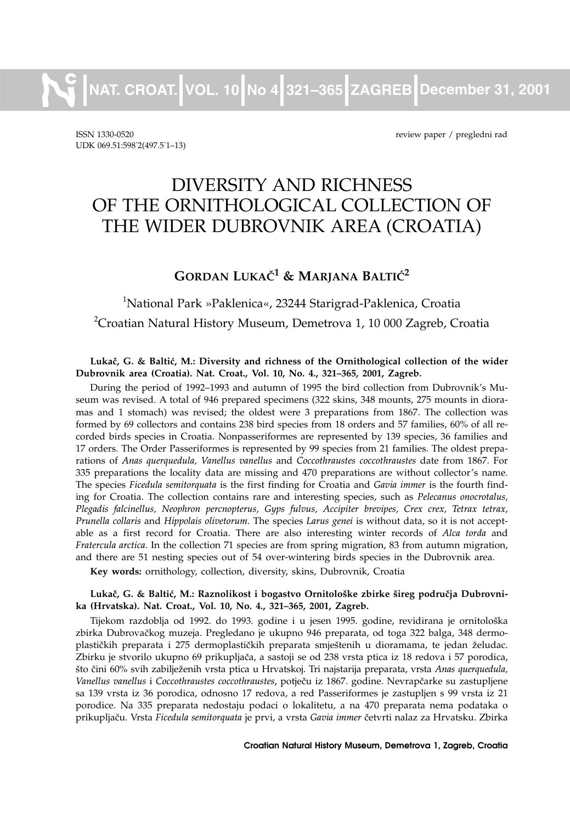**NAT. CROAT. VOL. 10 No 4 321–365 ZAGREB December 31, 2001**

ISSN 1330-0520 review paper / pregledni rad UDK 069.51:598 2(497.5 1-13)

# DIVERSITY AND RICHNESS OF THE ORNITHOLOGICAL COLLECTION OF THE WIDER DUBROVNIK AREA (CROATIA)

# **GORDAN LUKAČ<sup>1</sup> & MARJANA BALTIĆ<sup>2</sup>**

# 1 National Park »Paklenica«, 23244 Starigrad-Paklenica, Croatia  $^{2}$ Croatian Natural History Museum, Demetrova 1, 10 000 Zagreb, Croatia

#### Lukač, G. & Baltić, M.: Diversity and richness of the Ornithological collection of the wider **Dubrovnik area (Croatia). Nat. Croat., Vol. 10, No. 4., 321–365, 2001, Zagreb.**

During the period of 1992–1993 and autumn of 1995 the bird collection from Dubrovnik's Museum was revised. A total of 946 prepared specimens (322 skins, 348 mounts, 275 mounts in dioramas and 1 stomach) was revised; the oldest were 3 preparations from 1867. The collection was formed by 69 collectors and contains 238 bird species from 18 orders and 57 families, 60% of all recorded birds species in Croatia. Nonpasseriformes are represented by 139 species, 36 families and 17 orders. The Order Passeriformes is represented by 99 species from 21 families. The oldest preparations of *Anas querquedula, Vanellus vanellus* and *Coccothraustes coccothraustes* date from 1867. For 335 preparations the locality data are missing and 470 preparations are without collector's name. The species *Ficedula semitorquata* is the first finding for Croatia and *Gavia immer* is the fourth finding for Croatia. The collection contains rare and interesting species, such as *Pelecanus onocrotalus, Plegadis falcinellus, Neophron percnopterus, Gyps fulvus, Accipiter brevipes, Crex crex, Tetrax tetrax, Prunella collaris* and *Hippolais olivetorum*. The species *Larus genei* is without data, so it is not acceptable as a first record for Croatia. There are also interesting winter records of *Alca torda* and *Fratercula arctica*. In the collection 71 species are from spring migration, 83 from autumn migration, and there are 51 nesting species out of 54 over-wintering birds species in the Dubrovnik area.

**Key words:** ornithology, collection, diversity, skins, Dubrovnik, Croatia

#### Lukač, G. & Baltić, M.: Raznolikost i bogastvo Ornitološke zbirke šireg područja Dubrovni**ka (Hrvatska). Nat. Croat., Vol. 10, No. 4., 321–365, 2001, Zagreb.**

Tijekom razdoblja od 1992. do 1993. godine i u jesen 1995. godine, revidirana je ornitološka zbirka Dubrovačkog muzeja. Pregledano je ukupno 946 preparata, od toga 322 balga, 348 dermoplastičkih preparata i 275 dermoplastičkih preparata smještenih u dioramama, te jedan želudac. Zbirku je stvorilo ukupno 69 prikupljača, a sastoji se od 238 vrsta ptica iz 18 redova i 57 porodica, {to ~ini 60% svih zabilje`enih vrsta ptica u Hrvatskoj. Tri najstarija preparata, vrsta *Anas querquedula,* Vanellus vanellus i Coccothraustes coccothraustes, potječu iz 1867. godine. Nevrapčarke su zastupljene sa 139 vrsta iz 36 porodica, odnosno 17 redova, a red Passeriformes je zastupljen s 99 vrsta iz 21 porodice. Na 335 preparata nedostaju podaci o lokalitetu, a na 470 preparata nema podataka o prikupljaču. Vrsta *Ficedula semitorquata* je prvi, a vrsta Gavia immer četvrti nalaz za Hrvatsku. Zbirka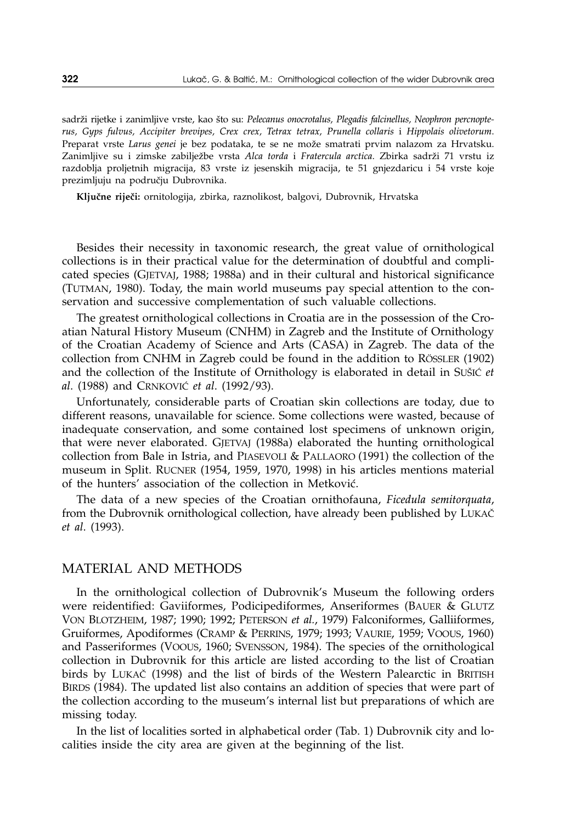sadrži rijetke i zanimljive vrste, kao što su: Pelecanus onocrotalus, Plegadis falcinellus, Neophron percnopte*rus, Gyps fulvus, Accipiter brevipes, Crex crex, Tetrax tetrax, Prunella collaris* i *Hippolais olivetorum*. Preparat vrste *Larus genei* je bez podataka, te se ne može smatrati prvim nalazom za Hrvatsku. Zanimljive su i zimske zabilježbe vrsta Alca torda i Fratercula arctica. Zbirka sadrži 71 vrstu iz razdoblja proljetnih migracija, 83 vrste iz jesenskih migracija, te 51 gnjezdaricu i 54 vrste koje prezimljuju na području Dubrovnika.

Ključne riječi: ornitologija, zbirka, raznolikost, balgovi, Dubrovnik, Hrvatska

Besides their necessity in taxonomic research, the great value of ornithological collections is in their practical value for the determination of doubtful and complicated species (GJETVAJ, 1988; 1988a) and in their cultural and historical significance (TUTMAN, 1980). Today, the main world museums pay special attention to the conservation and successive complementation of such valuable collections.

The greatest ornithological collections in Croatia are in the possession of the Croatian Natural History Museum (CNHM) in Zagreb and the Institute of Ornithology of the Croatian Academy of Science and Arts (CASA) in Zagreb. The data of the collection from CNHM in Zagreb could be found in the addition to RÖSSLER (1902) and the collection of the Institute of Ornithology is elaborated in detail in SUSIC *et al.* (1988) and CRNKOVIĆ *et al.* (1992/93).

Unfortunately, considerable parts of Croatian skin collections are today, due to different reasons, unavailable for science. Some collections were wasted, because of inadequate conservation, and some contained lost specimens of unknown origin, that were never elaborated. GJETVAJ (1988a) elaborated the hunting ornithological collection from Bale in Istria, and PIASEVOLI & PALLAORO (1991) the collection of the museum in Split. RUCNER (1954, 1959, 1970, 1998) in his articles mentions material of the hunters' association of the collection in Metković.

The data of a new species of the Croatian ornithofauna, *Ficedula semitorquata*, from the Dubrovnik ornithological collection, have already been published by LUKA^ *et al*. (1993).

#### MATERIAL AND METHODS

In the ornithological collection of Dubrovnik's Museum the following orders were reidentified: Gaviiformes, Podicipediformes, Anseriformes (BAUER & GLUTZ VON BLOTZHEIM, 1987; 1990; 1992; PETERSON *et al.*, 1979) Falconiformes, Galliiformes, Gruiformes, Apodiformes (CRAMP & PERRINS, 1979; 1993; VAURIE, 1959; VOOUS, 1960) and Passeriformes (VOOUS, 1960; SVENSSON, 1984). The species of the ornithological collection in Dubrovnik for this article are listed according to the list of Croatian birds by LUKAČ (1998) and the list of birds of the Western Palearctic in BRITISH BIRDS (1984). The updated list also contains an addition of species that were part of the collection according to the museum's internal list but preparations of which are missing today.

In the list of localities sorted in alphabetical order (Tab. 1) Dubrovnik city and localities inside the city area are given at the beginning of the list.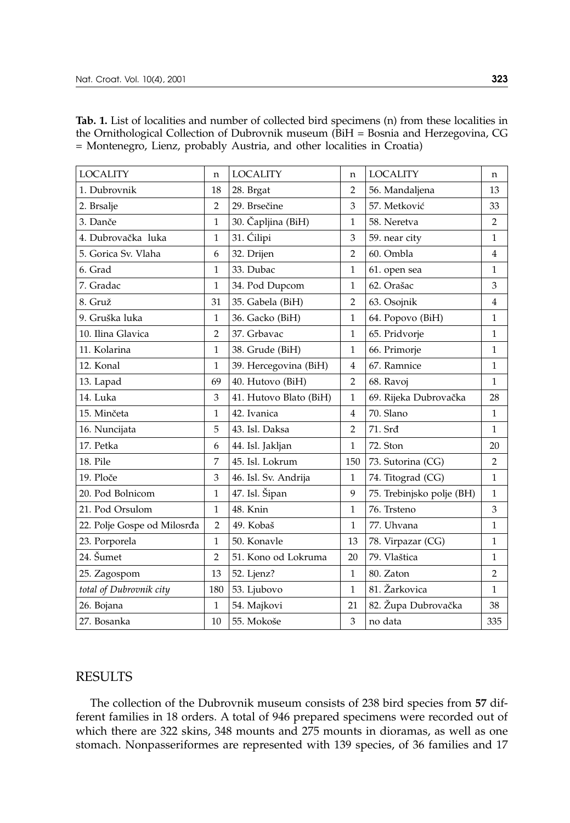| <b>LOCALITY</b>             | n              | <b>LOCALITY</b>        | n              | <b>LOCALITY</b>           | n              |
|-----------------------------|----------------|------------------------|----------------|---------------------------|----------------|
| 1. Dubrovnik                | 18             | 28. Brgat              | $\overline{2}$ | 56. Mandaljena            | 13             |
| 2. Brsalje                  | $\overline{2}$ | 29. Brsečine           | 3              | 57. Metković              | 33             |
| 3. Danče                    | 1              | 30. Čapljina (BiH)     | 1              | 58. Neretva               | $\overline{2}$ |
| 4. Dubrovačka luka          | $\mathbf{1}$   | 31. Ćilipi             | 3              | 59. near city             | $\mathbf{1}$   |
| 5. Gorica Sv. Vlaha         | 6              | 32. Drijen             | $\overline{2}$ | 60. Ombla                 | $\overline{4}$ |
| 6. Grad                     | $\mathbf{1}$   | 33. Dubac              | $\mathbf{1}$   | 61. open sea              | $\mathbf{1}$   |
| 7. Gradac                   | $\mathbf{1}$   | 34. Pod Dupcom         | $\mathbf{1}$   | 62. Orašac                | 3              |
| 8. Gruž                     | 31             | 35. Gabela (BiH)       | $\overline{2}$ | 63. Osojnik               | $\overline{4}$ |
| 9. Gruška luka              | $\mathbf{1}$   | 36. Gacko (BiH)        | $\mathbf{1}$   | 64. Popovo (BiH)          | $\mathbf{1}$   |
| 10. Ilina Glavica           | $\overline{2}$ | 37. Grbavac            | 1              | 65. Pridvorje             | $\mathbf{1}$   |
| 11. Kolarina                | $\mathbf{1}$   | 38. Grude (BiH)        | 1              | 66. Primorje              | $\mathbf{1}$   |
| 12. Konal                   | $\mathbf{1}$   | 39. Hercegovina (BiH)  | $\overline{4}$ | 67. Ramnice               | $\mathbf{1}$   |
| 13. Lapad                   | 69             | 40. Hutovo (BiH)       | $\overline{2}$ | 68. Ravoi                 | $\mathbf{1}$   |
| 14. Luka                    | 3              | 41. Hutovo Blato (BiH) | $\mathbf{1}$   | 69. Rijeka Dubrovačka     | 28             |
| 15. Minčeta                 | 1              | 42. Ivanica            | 4              | 70. Slano                 | $\mathbf{1}$   |
| 16. Nuncijata               | 5              | 43. Isl. Daksa         | $\overline{2}$ | 71. Srđ                   | $\mathbf{1}$   |
| 17. Petka                   | 6              | 44. Isl. Jakljan       | $\mathbf{1}$   | 72. Ston                  | 20             |
| 18. Pile                    | 7              | 45. Isl. Lokrum        | 150            | 73. Sutorina (CG)         | $\overline{2}$ |
| 19. Ploče                   | 3              | 46. Isl. Sv. Andrija   | 1              | 74. Titograd (CG)         | $\mathbf{1}$   |
| 20. Pod Bolnicom            | $\mathbf{1}$   | 47. Isl. Šipan         | 9              | 75. Trebinjsko polje (BH) | $\mathbf{1}$   |
| 21. Pod Orsulom             | 1              | 48. Knin               | $\mathbf{1}$   | 76. Trsteno               | 3              |
| 22. Polje Gospe od Milosrđa | $\overline{2}$ | 49. Kobaš              | 1              | 77. Uhvana                | $\mathbf{1}$   |
| 23. Porporela               | $\mathbf{1}$   | 50. Konavle            | 13             | 78. Virpazar (CG)         | $\mathbf{1}$   |
| 24. Šumet                   | $\overline{2}$ | 51. Kono od Lokruma    | 20             | 79. Vlaštica              | $\mathbf{1}$   |
| 25. Zagospom                | 13             | 52. Ljenz?             | 1              | 80. Zaton                 | $\overline{2}$ |
| total of Dubrovnik city     | 180            | 53. Ljubovo            | $\mathbf{1}$   | 81. Žarkovica             | $\mathbf{1}$   |
| 26. Bojana                  | 1              | 54. Majkovi            | 21             | 82. Župa Dubrovačka       | 38             |
| 27. Bosanka                 | 10             | 55. Mokoše             | 3              | no data                   | 335            |

**Tab. 1.** List of localities and number of collected bird specimens (n) from these localities in the Ornithological Collection of Dubrovnik museum (BiH = Bosnia and Herzegovina, CG = Montenegro, Lienz, probably Austria, and other localities in Croatia)

### **RESULTS**

The collection of the Dubrovnik museum consists of 238 bird species from **57** different families in 18 orders. A total of 946 prepared specimens were recorded out of which there are 322 skins, 348 mounts and 275 mounts in dioramas, as well as one stomach. Nonpasseriformes are represented with 139 species, of 36 families and 17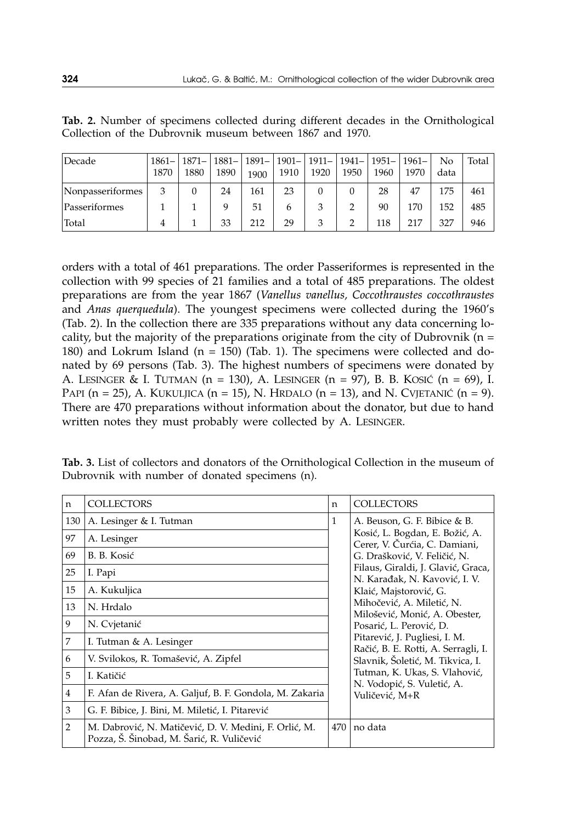| Decade           | 1870 | $1861 - 1871 -$<br>1880 | 1890 | 1900 | 1881 -   1891 -   1901 -   1911 -   1941 -   1951 -   1961 -<br>1910 | 1920 | 1950 | 1960 | 1970 | No<br>data | Total |
|------------------|------|-------------------------|------|------|----------------------------------------------------------------------|------|------|------|------|------------|-------|
| Nonpasseriformes | 3    |                         | 24   | 161  | 23                                                                   |      |      | 28   | 47   | 175        | 461   |
| Passeriformes    |      |                         |      | 51   | h                                                                    |      |      | 90   | 170  | 152        | 485   |
| Total            |      |                         | 33   | 212  | 29                                                                   | 3    |      | 118  | 217  | 327        | 946   |

**Tab. 2.** Number of specimens collected during different decades in the Ornithological Collection of the Dubrovnik museum between 1867 and 1970.

orders with a total of 461 preparations. The order Passeriformes is represented in the collection with 99 species of 21 families and a total of 485 preparations. The oldest preparations are from the year 1867 (*Vanellus vanellus, Coccothraustes coccothraustes* and *Anas querquedula*). The youngest specimens were collected during the 1960's (Tab. 2). In the collection there are 335 preparations without any data concerning locality, but the majority of the preparations originate from the city of Dubrovnik ( $n =$ 180) and Lokrum Island ( $n = 150$ ) (Tab. 1). The specimens were collected and donated by 69 persons (Tab. 3). The highest numbers of specimens were donated by A. LESINGER & I. TUTMAN  $(n = 130)$ , A. LESINGER  $(n = 97)$ , B. B. KOSIĆ  $(n = 69)$ , I. PAPI (n = 25), A. KUKULJICA (n = 15), N. HRDALO (n = 13), and N. CVJETANIĆ (n = 9). There are 470 preparations without information about the donator, but due to hand written notes they must probably were collected by A. LESINGER.

| n   | <b>COLLECTORS</b>                                                                                  | n   | <b>COLLECTORS</b>                                                    |
|-----|----------------------------------------------------------------------------------------------------|-----|----------------------------------------------------------------------|
| 130 | A. Lesinger & I. Tutman                                                                            | 1   | A. Beuson, G. F. Bibice & B.                                         |
| 97  | A. Lesinger                                                                                        |     | Kosić, L. Bogdan, E. Božić, A.<br>Cerer, V. Čurćia, C. Damiani,      |
| 69  | B. B. Kosić                                                                                        |     | G. Drašković, V. Feličić, N.                                         |
| 25  | I. Papi                                                                                            |     | Filaus, Giraldi, J. Glavić, Graca,<br>N. Karadak, N. Kavović, I. V.  |
| 15  | A. Kukuljica                                                                                       |     | Klaić, Majstorović, G.                                               |
| 13  | N. Hrdalo                                                                                          |     | Mihočević, A. Miletić, N.<br>Milošević, Monić, A. Obester,           |
| 9   | N. Cvjetanić                                                                                       |     | Posarić, L. Perović, D.                                              |
| 7   | I. Tutman & A. Lesinger                                                                            |     | Pitarević, J. Pugliesi, I. M.<br>Račić, B. E. Rotti, A. Serragli, I. |
| 6   | V. Svilokos, R. Tomašević, A. Zipfel                                                               |     | Slavnik, Šoletić, M. Tikvica, I.                                     |
| 5   | I. Katičić                                                                                         |     | Tutman, K. Ukas, S. Vlahović,<br>N. Vodopić, S. Vuletić, A.          |
| 4   | F. Afan de Rivera, A. Galjuf, B. F. Gondola, M. Zakaria                                            |     | Vuličević, M+R                                                       |
| 3   | G. F. Bibice, J. Bini, M. Miletić, I. Pitarević                                                    |     |                                                                      |
| 2   | M. Dabrović, N. Matičević, D. V. Medini, F. Orlić, M.<br>Pozza, Š. Šinobad, M. Šarić, R. Vuličević | 470 | no data                                                              |

**Tab. 3.** List of collectors and donators of the Ornithological Collection in the museum of Dubrovnik with number of donated specimens (n).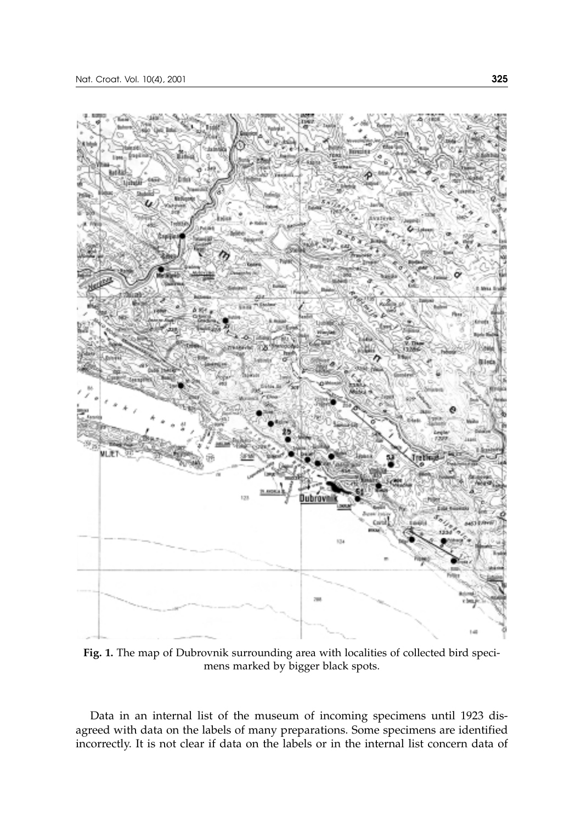

**Fig. 1.** The map of Dubrovnik surrounding area with localities of collected bird specimens marked by bigger black spots.

Data in an internal list of the museum of incoming specimens until 1923 disagreed with data on the labels of many preparations. Some specimens are identified incorrectly. It is not clear if data on the labels or in the internal list concern data of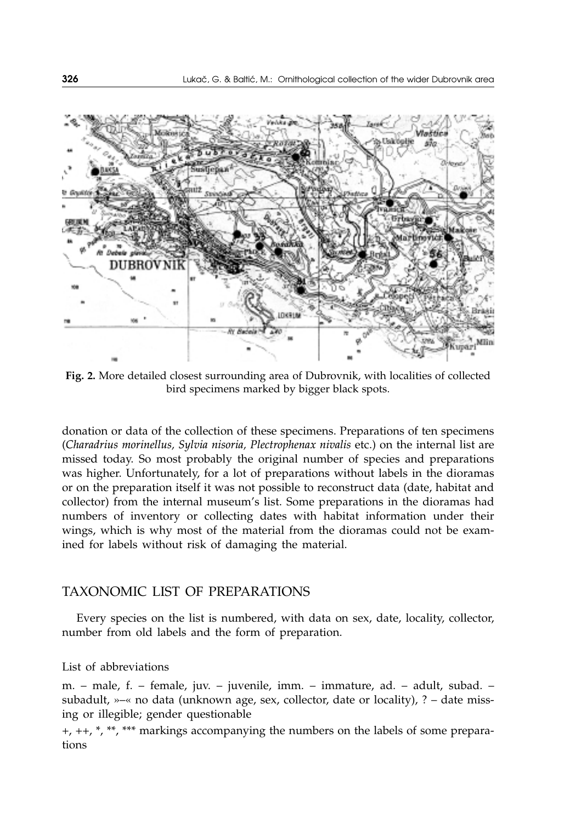

**Fig. 2.** More detailed closest surrounding area of Dubrovnik, with localities of collected bird specimens marked by bigger black spots.

donation or data of the collection of these specimens. Preparations of ten specimens (*Charadrius morinellus, Sylvia nisoria, Plectrophenax nivalis* etc.) on the internal list are missed today. So most probably the original number of species and preparations was higher. Unfortunately, for a lot of preparations without labels in the dioramas or on the preparation itself it was not possible to reconstruct data (date, habitat and collector) from the internal museum's list. Some preparations in the dioramas had numbers of inventory or collecting dates with habitat information under their wings, which is why most of the material from the dioramas could not be examined for labels without risk of damaging the material.

### TAXONOMIC LIST OF PREPARATIONS

Every species on the list is numbered, with data on sex, date, locality, collector, number from old labels and the form of preparation.

#### List of abbreviations

m. – male, f. – female, juv. – juvenile, imm. – immature, ad. – adult, subad. – subadult, »–« no data (unknown age, sex, collector, date or locality), ? – date missing or illegible; gender questionable

+, ++, \*, \*\*, \*\*\* markings accompanying the numbers on the labels of some preparations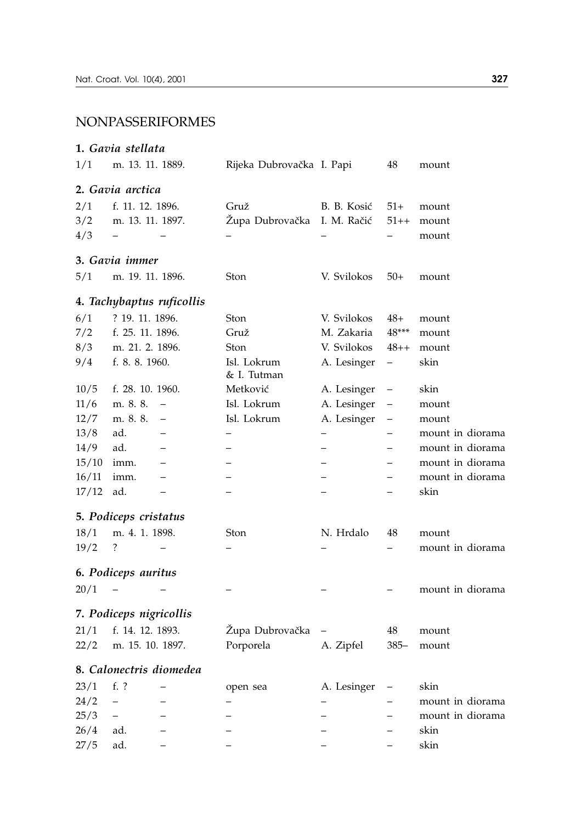### NONPASSERIFORMES

# **1.** *Gavia stellata* 1/1 m. 13. 11. 1889. Rijeka Dubrovačka I. Papi 48 mount **2.** *Gavia arctica* 2/1 f. 11. 12. 1896. Gruž B. B. Kosić 51+ mount 3/2 m. 13. 11. 1897. Župa Dubrovačka I. M. Račić 51++ mount 4/3 – – – – – mount **3.** *Gavia immer* 5/1 m. 19. 11. 1896. Ston V. Svilokos 50+ mount **4.** *Tachybaptus ruficollis* 6/1 ? 19. 11. 1896. Ston V. Svilokos 48+ mount 7/2 f. 25. 11. 1896. Gruž M. Zakaria 48\*\*\* mount 8/3 m. 21. 2. 1896. Ston V. Svilokos 48++ mount 9/4 f. 8. 8. 1960. Isl. Lokrum A. Lesinger – skin & I. Tutman 10/5 f. 28. 10. 1960. Metković A. Lesinger – skin 11/6 m. 8. 8. – Isl. Lokrum A. Lesinger – mount 12/7 m. 8. 8. – Isl. Lokrum A. Lesinger – mount  $13/8$  ad. – – – – – – – mount in diorama 14/9 ad. – – – – mount in diorama 15/10 imm. – – – – mount in diorama 16/11 imm. – – – – mount in diorama  $17/12$  ad. – – – – – – – skin **5.** *Podiceps cristatus* 18/1 m. 4. 1. 1898. Ston N. Hrdalo 48 mount 19/2 ? – – – – mount in diorama **6.** *Podiceps auritus*  $20/1$  – – – – – – – – – mount in diorama **7.** *Podiceps nigricollis* 21/1 f. 14. 12. 1893. Župa Dubrovačka – 48 mount 22/2 m. 15. 10. 1897. Porporela A. Zipfel 385– mount **8.** *Calonectris diomedea* 23/1 f. ? – open sea A. Lesinger – skin  $24/2$  – – – – – – – – – mount in diorama 25/3 – – – – – mount in diorama 26/4 ad. – – – – skin

27/5 ad. – – – – skin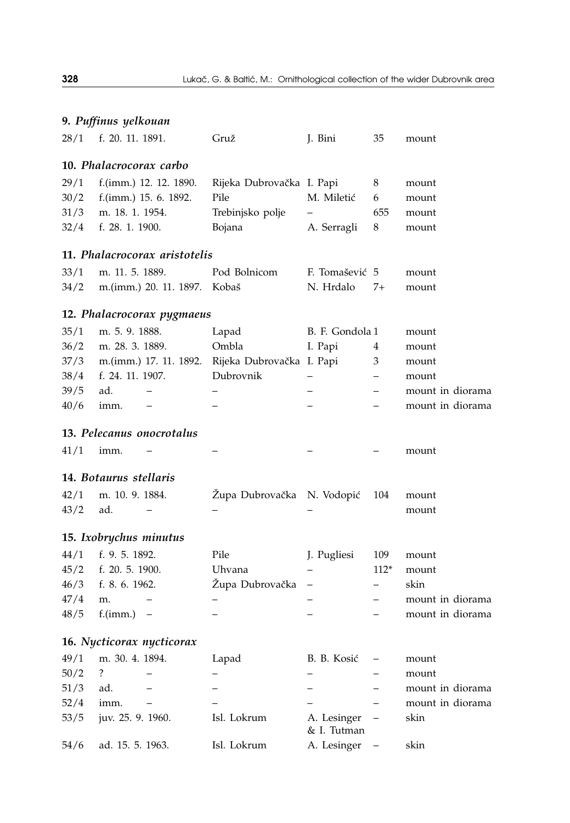|      | 9. Puffinus yelkouan    |                               |                            |                            |                                  |                  |
|------|-------------------------|-------------------------------|----------------------------|----------------------------|----------------------------------|------------------|
| 28/1 | f. 20. 11. 1891.        |                               | Gruž                       | J. Bini                    | 35                               | mount            |
|      | 10. Phalacrocorax carbo |                               |                            |                            |                                  |                  |
| 29/1 |                         | f.(imm.) 12. 12. 1890.        | Rijeka Dubrovačka I. Papi  |                            | 8                                | mount            |
| 30/2 |                         | f.(imm.) 15. 6. 1892.         | Pile                       | M. Miletić                 | 6                                | mount            |
| 31/3 | m. 18. 1. 1954.         |                               | Trebinjsko polje           |                            | 655                              | mount            |
| 32/4 | f. 28. 1. 1900.         |                               | Bojana                     | A. Serragli                | 8                                | mount            |
|      |                         | 11. Phalacrocorax aristotelis |                            |                            |                                  |                  |
| 33/1 | m. 11. 5. 1889.         |                               | Pod Bolnicom               | F. Tomašević 5             |                                  | mount            |
| 34/2 |                         | m.(imm.) 20. 11. 1897.        | Kobaš                      | N. Hrdalo                  | 7+                               | mount            |
|      |                         | 12. Phalacrocorax pygmaeus    |                            |                            |                                  |                  |
| 35/1 | m. 5. 9. 1888.          |                               | Lapad                      | B. F. Gondola 1            |                                  | mount            |
| 36/2 | m. 28. 3. 1889.         |                               | Ombla                      | I. Papi                    | 4                                | mount            |
| 37/3 |                         | m.(imm.) 17. 11. 1892.        | Rijeka Dubrovačka I. Papi  |                            | 3                                | mount            |
| 38/4 | f. 24. 11. 1907.        |                               | Dubrovnik                  | $\overline{\phantom{0}}$   | $\qquad \qquad -$                | mount            |
| 39/5 | ad.                     |                               |                            |                            |                                  | mount in diorama |
| 40/6 | imm.                    |                               |                            |                            |                                  | mount in diorama |
|      |                         | 13. Pelecanus onocrotalus     |                            |                            |                                  |                  |
| 41/1 | imm.                    |                               |                            |                            |                                  | mount            |
|      | 14. Botaurus stellaris  |                               |                            |                            |                                  |                  |
| 42/1 | m. 10. 9. 1884.         |                               |                            |                            |                                  |                  |
| 43/2 |                         | $\overline{\phantom{0}}$      | Zupa Dubrovačka N. Vodopić |                            | 104                              | mount            |
|      | ad.                     |                               |                            |                            |                                  | mount            |
|      | 15. Ixobrychus minutus  |                               |                            |                            |                                  |                  |
| 44/1 | f. 9. 5. 1892.          |                               | Pile                       | J. Pugliesi                | 109                              | mount            |
| 45/2 | f. 20. 5. 1900.         |                               | Uhvana                     |                            | $112*$                           | mount            |
| 46/3 | f. 8. 6. 1962.          |                               | Zupa Dubrovačka            | $\overline{\phantom{0}}$   | $\overline{\phantom{0}}$         | skin             |
| 47/4 | m.                      |                               |                            | $\overline{\phantom{0}}$   | $\overline{\phantom{0}}$         | mount in diorama |
| 48/5 | $f.(imm.) -$            |                               |                            |                            |                                  | mount in diorama |
|      |                         | 16. Nycticorax nycticorax     |                            |                            |                                  |                  |
| 49/1 | m. 30. 4. 1894.         |                               | Lapad                      | B. B. Kosić                | $\overbrace{\phantom{12322111}}$ | mount            |
| 50/2 | ?                       |                               |                            |                            |                                  | mount            |
| 51/3 | ad.                     |                               |                            |                            | $\qquad \qquad -$                | mount in diorama |
| 52/4 | imm.                    | $\overline{\phantom{0}}$      |                            |                            | $\overline{a}$                   | mount in diorama |
| 53/5 | juv. 25. 9. 1960.       |                               | Isl. Lokrum                | A. Lesinger<br>& I. Tutman |                                  | skin             |
| 54/6 | ad. 15. 5. 1963.        |                               | Isl. Lokrum                | A. Lesinger                |                                  | skin             |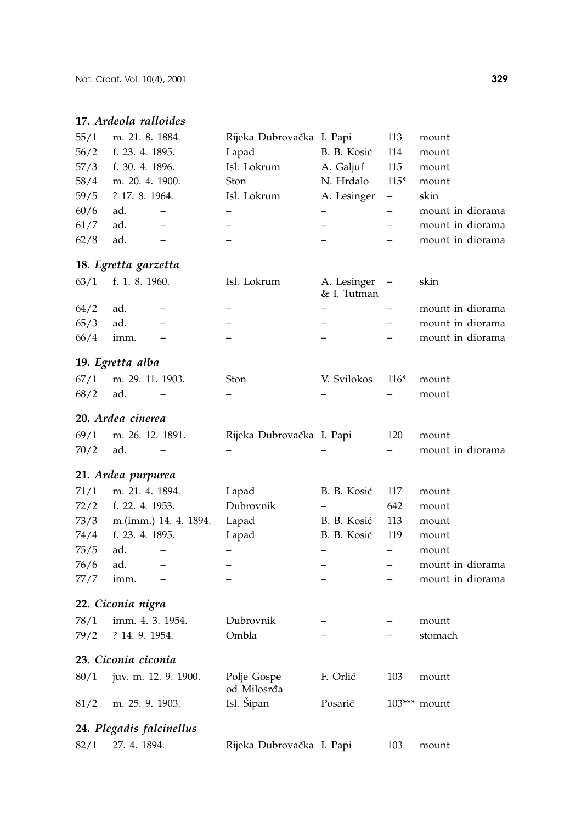## **17.** *Ardeola ralloides*

| 55/1         | m. 21. 8. 1884.          |                          | Rijeka Dubrovačka I. Papi  |                            | 113                      | mount                     |
|--------------|--------------------------|--------------------------|----------------------------|----------------------------|--------------------------|---------------------------|
| 56/2         | f. 23. 4. 1895.          |                          | Lapad                      | B. B. Kosić                | 114                      | mount                     |
| 57/3         | f. 30. 4. 1896.          |                          | Isl. Lokrum                | A. Galjuf                  | 115                      | mount                     |
| 58/4         | m. 20. 4. 1900.          |                          | Ston                       | N. Hrdalo                  | $115*$                   | mount                     |
| 59/5         | ? 17. 8. 1964.           |                          | Isl. Lokrum                | A. Lesinger                | $\overline{\phantom{0}}$ | skin                      |
| 60/6         | ad.                      | -                        |                            | $\overline{\phantom{0}}$   | $\overline{\phantom{0}}$ | mount in diorama          |
| 61/7         | ad.                      | $\overline{\phantom{0}}$ | —                          | $\overline{\phantom{0}}$   | $\overline{\phantom{0}}$ | mount in diorama          |
| 62/8         | ad.                      | $\qquad \qquad -$        |                            |                            |                          | mount in diorama          |
|              | 18. Egretta garzetta     |                          |                            |                            |                          |                           |
| 63/1         | f. 1. 8. 1960.           |                          | Isl. Lokrum                | A. Lesinger<br>& I. Tutman |                          | skin                      |
| 64/2         | ad.                      |                          | —                          | $\overline{\phantom{0}}$   |                          | mount in diorama          |
| 65/3         | ad.                      | $\overline{\phantom{0}}$ |                            | $\qquad \qquad -$          | $\overline{\phantom{0}}$ | mount in diorama          |
| 66/4         | imm.                     |                          |                            |                            |                          | mount in diorama          |
|              | 19. Egretta alba         |                          |                            |                            |                          |                           |
| 67/1         | m. 29. 11. 1903.         |                          | Ston                       | V. Svilokos                | $116*$                   | mount                     |
| 68/2         | ad.                      |                          |                            |                            |                          | mount                     |
|              | 20. Ardea cinerea        |                          |                            |                            |                          |                           |
| 69/1         | m. 26. 12. 1891.         |                          | Rijeka Dubrovačka I. Papi  |                            | 120                      | mount                     |
| 70/2         | ad.                      | $\overline{\phantom{0}}$ |                            |                            | $\overline{\phantom{0}}$ | mount in diorama          |
|              | 21. Ardea purpurea       |                          |                            |                            |                          |                           |
| 71/1         | m. 21. 4. 1894.          |                          |                            | B. B. Kosić                | 117                      |                           |
| 72/2         | f. 22. 4. 1953.          |                          | Lapad<br>Dubrovnik         | $\overline{\phantom{0}}$   | 642                      | mount                     |
|              |                          |                          |                            |                            | 113                      | mount                     |
| 73/3         | f. 23. 4. 1895.          | m.(imm.) 14. 4. 1894.    | Lapad                      | B. B. Kosić<br>B. B. Kosić | 119                      | mount                     |
| 74/4<br>75/5 | ad.                      | $\overline{\phantom{0}}$ | Lapad                      |                            | $\overline{\phantom{0}}$ | mount                     |
| 76/6         | ad.                      | $\qquad \qquad -$        |                            | $\overline{\phantom{0}}$   |                          | mount<br>mount in diorama |
| 77/7         | imm.                     |                          |                            | $\overline{a}$             |                          | mount in diorama          |
|              |                          |                          |                            |                            |                          |                           |
|              | 22. Ciconia nigra        |                          |                            |                            |                          |                           |
| 78/1         | imm. 4. 3. 1954.         |                          | Dubrovnik                  |                            |                          | mount                     |
| 79/2         | ? 14. 9. 1954.           |                          | Ombla                      |                            |                          | stomach                   |
|              | 23. Ciconia ciconia      |                          |                            |                            |                          |                           |
| 80/1         | juv. m. 12. 9. 1900.     |                          | Polje Gospe<br>od Milosrđa | F. Orlić                   | 103                      | mount                     |
| 81/2         | m. 25. 9. 1903.          |                          | Isl. Šipan                 | Posarić                    |                          | 103*** mount              |
|              | 24. Plegadis falcinellus |                          |                            |                            |                          |                           |
| 82/1         | 27. 4. 1894.             |                          | Rijeka Dubrovačka I. Papi  |                            | 103                      | mount                     |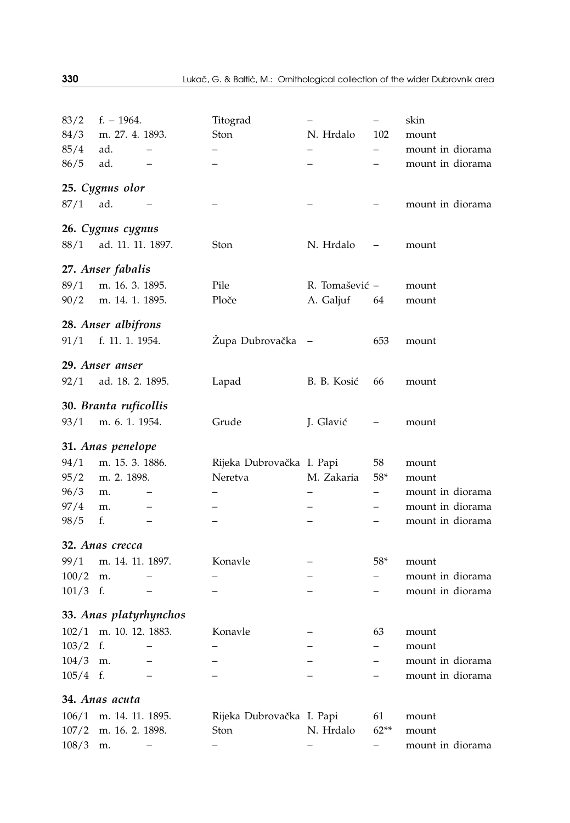| 83/2       | $f. - 1964.$           |                          | Titograd                  |                          | -                                | skin             |
|------------|------------------------|--------------------------|---------------------------|--------------------------|----------------------------------|------------------|
| 84/3       | m. 27. 4. 1893.        |                          | Ston                      | N. Hrdalo                | 102                              | mount            |
| 85/4       | ad.                    | $\overline{\phantom{0}}$ |                           |                          | -                                | mount in diorama |
| 86/5       | ad.                    |                          |                           |                          |                                  | mount in diorama |
|            | 25. Cygnus olor        |                          |                           |                          |                                  |                  |
| 87/1       | ad.                    |                          |                           |                          |                                  | mount in diorama |
|            | 26. Cygnus cygnus      |                          |                           |                          |                                  |                  |
| 88/1       | ad. 11. 11. 1897.      |                          | Ston                      | N. Hrdalo                | $\overline{\phantom{m}}$         | mount            |
|            | 27. Anser fabalis      |                          |                           |                          |                                  |                  |
| 89/1       | m. 16. 3. 1895.        |                          | Pile                      | R. Tomašević -           |                                  | mount            |
| 90/2       | m. 14. 1. 1895.        |                          | Ploče                     | A. Galjuf                | 64                               | mount            |
|            | 28. Anser albifrons    |                          |                           |                          |                                  |                  |
| 91/1       | f. 11. 1. 1954.        |                          | Župa Dubrovačka           | $\overline{\phantom{a}}$ | 653                              | mount            |
|            | 29. Anser anser        |                          |                           |                          |                                  |                  |
| 92/1       | ad. 18. 2. 1895.       |                          | Lapad                     | B. B. Kosić              | 66                               | mount            |
|            | 30. Branta ruficollis  |                          |                           |                          |                                  |                  |
| 93/1       | m. 6. 1. 1954.         |                          | Grude                     | J. Glavić                |                                  | mount            |
|            | 31. Anas penelope      |                          |                           |                          |                                  |                  |
| 94/1       | m. 15. 3. 1886.        |                          | Rijeka Dubrovačka I. Papi |                          | 58                               | mount            |
| 95/2       | m. 2. 1898.            |                          | Neretva                   | M. Zakaria               | $58*$                            | mount            |
| 96/3       | m.                     |                          |                           |                          | -                                | mount in diorama |
| 97/4       | m.                     |                          |                           |                          |                                  | mount in diorama |
| 98/5       | f.                     |                          |                           |                          |                                  | mount in diorama |
|            | 32. Anas crecca        |                          |                           |                          |                                  |                  |
| 99/1       | m. 14. 11. 1897.       |                          | Konavle                   |                          | $58*$                            | mount            |
| 100/2      | m.                     | $\overline{\phantom{0}}$ | $\overline{\phantom{0}}$  | $\qquad \qquad -$        | $\overline{\phantom{0}}$         | mount in diorama |
| 101/3      | f.                     | $\qquad \qquad -$        |                           | $\overline{\phantom{0}}$ |                                  | mount in diorama |
|            | 33. Anas platyrhynchos |                          |                           |                          |                                  |                  |
| 102/1      | m. 10. 12. 1883.       |                          | Konavle                   |                          | 63                               | mount            |
| 103/2      | f.                     |                          |                           |                          | $\overline{\phantom{0}}$         | mount            |
| 104/3      | m.                     |                          |                           |                          | $\overline{\phantom{0}}$         | mount in diorama |
| $105/4$ f. |                        | $\qquad \qquad -$        | $\overline{\phantom{0}}$  | $\overline{\phantom{0}}$ | $\overbrace{\phantom{12322111}}$ | mount in diorama |
|            | 34. Anas acuta         |                          |                           |                          |                                  |                  |
|            | 106/1 m. 14. 11. 1895. |                          | Rijeka Dubrovačka I. Papi |                          | 61                               | mount            |
| 107/2      | m. 16. 2. 1898.        |                          | Ston                      | N. Hrdalo                | $62**$                           | mount            |

108/3 m. – – – – mount in diorama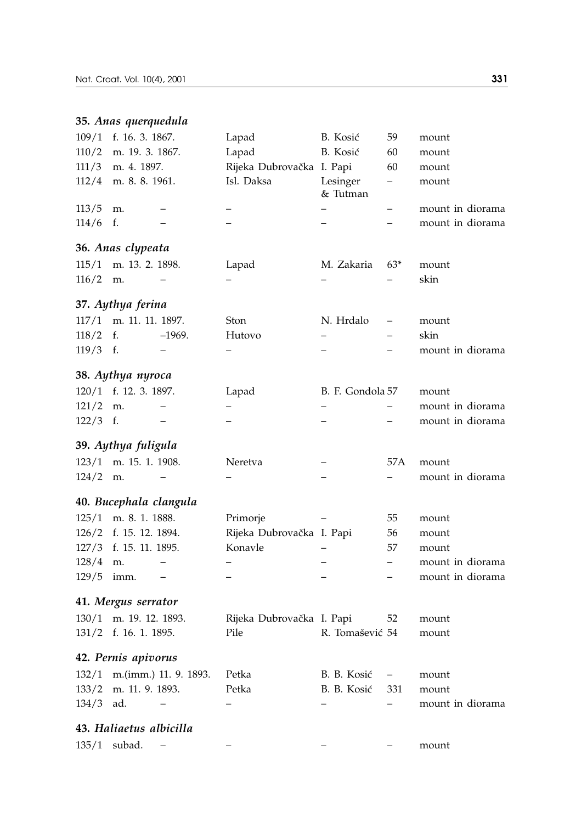# **35.** *Anas querquedula*

| 109/1 | f. 16. 3. 1867.         |                       | Lapad                     | B. Kosić                 | 59                       | mount            |  |
|-------|-------------------------|-----------------------|---------------------------|--------------------------|--------------------------|------------------|--|
| 110/2 | m. 19. 3. 1867.         |                       | Lapad                     | B. Kosić                 | 60                       | mount            |  |
| 111/3 | m. 4. 1897.             |                       | Rijeka Dubrovačka I. Papi |                          | 60                       | mount            |  |
| 112/4 | m. 8. 8. 1961.          |                       | Isl. Daksa                | Lesinger<br>& Tutman     | $\overline{\phantom{0}}$ | mount            |  |
| 113/5 | m.                      |                       | $\overline{\phantom{0}}$  |                          | $\overline{\phantom{0}}$ | mount in diorama |  |
| 114/6 | f.                      |                       |                           | $\overline{\phantom{0}}$ | -                        | mount in diorama |  |
|       | 36. Anas clypeata       |                       |                           |                          |                          |                  |  |
| 115/1 | m. 13. 2. 1898.         |                       | Lapad                     | M. Zakaria               | $63*$                    | mount            |  |
| 116/2 | m.                      |                       |                           |                          |                          | skin             |  |
|       | 37. Aythya ferina       |                       |                           |                          |                          |                  |  |
| 117/1 | m. 11. 11. 1897.        |                       | Ston                      | N. Hrdalo                | -                        | mount            |  |
| 118/2 | f.                      | $-1969.$              | Hutovo                    | $\qquad \qquad -$        | $\overline{\phantom{0}}$ | skin             |  |
| 119/3 | f.                      |                       |                           | $-$                      | $\overline{\phantom{0}}$ | mount in diorama |  |
|       | 38. Aythya nyroca       |                       |                           |                          |                          |                  |  |
| 120/1 | f. 12. 3. 1897.         |                       | Lapad                     | B. F. Gondola 57         |                          | mount            |  |
| 121/2 | m.                      |                       |                           |                          |                          | mount in diorama |  |
| 122/3 | f.                      |                       |                           | $\overline{\phantom{0}}$ |                          | mount in diorama |  |
|       | 39. Aythya fuligula     |                       |                           |                          |                          |                  |  |
| 123/1 | m. 15. 1. 1908.         |                       | Neretva                   | $\overline{\phantom{0}}$ | 57 A                     | mount            |  |
| 124/2 | m.                      |                       |                           | —                        | $-$                      | mount in diorama |  |
|       | 40. Bucephala clangula  |                       |                           |                          |                          |                  |  |
| 125/1 | m. 8. 1. 1888.          |                       | Primorje                  |                          | 55                       | mount            |  |
| 126/2 | f. 15. 12. 1894.        |                       | Rijeka Dubrovačka I. Papi |                          | 56                       | mount            |  |
| 127/3 | f. 15. 11. 1895.        |                       | Konavle                   |                          | 57                       | mount            |  |
| 128/4 | m.                      | $\qquad \qquad -$     | $\overline{\phantom{0}}$  | -                        | $\overline{\phantom{0}}$ | mount in diorama |  |
| 129/5 | imm.                    | $\qquad \qquad -$     | $\overline{\phantom{0}}$  | $\overline{\phantom{0}}$ | $\overline{\phantom{0}}$ | mount in diorama |  |
|       | 41. Mergus serrator     |                       |                           |                          |                          |                  |  |
| 130/1 | m. 19. 12. 1893.        |                       | Rijeka Dubrovačka I. Papi |                          | 52                       | mount            |  |
|       | 131/2 f. 16. 1. 1895.   |                       | Pile                      | R. Tomašević 54          |                          | mount            |  |
|       | 42. Pernis apivorus     |                       |                           |                          |                          |                  |  |
| 132/1 |                         | m.(imm.) 11. 9. 1893. | Petka                     | B. B. Kosić              | $\overline{\phantom{0}}$ | mount            |  |
| 133/2 | m. 11. 9. 1893.         |                       | Petka                     | B. B. Kosić              | 331                      | mount            |  |
| 134/3 | ad.                     |                       |                           |                          | $\overline{\phantom{0}}$ | mount in diorama |  |
|       | 43. Haliaetus albicilla |                       |                           |                          |                          |                  |  |
|       | 135/1 subad.            | $\qquad \qquad -$     |                           |                          |                          | mount            |  |
|       |                         |                       |                           |                          |                          |                  |  |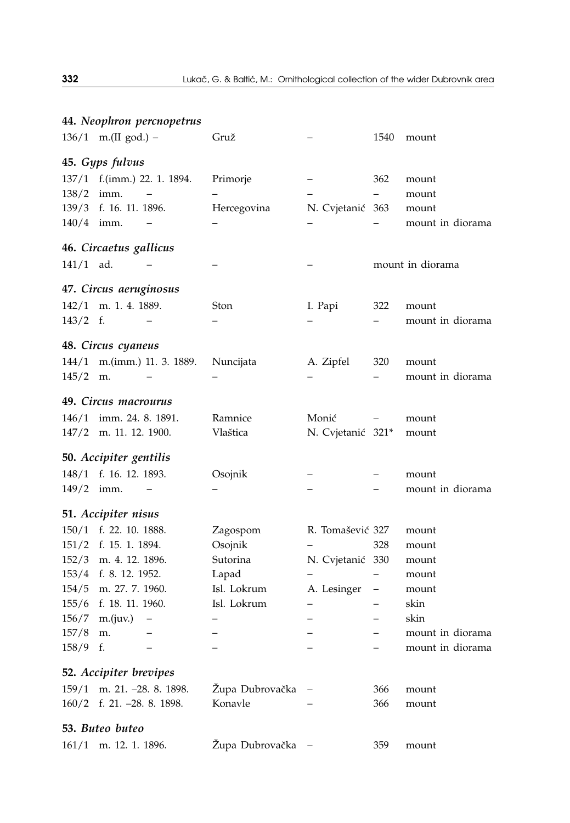|                      |                            | 44. Neophron percnopetrus |                 |                          |                          |                  |  |  |
|----------------------|----------------------------|---------------------------|-----------------|--------------------------|--------------------------|------------------|--|--|
|                      | 136/1 m.(II god.) -        |                           | Gruž            |                          | 1540                     | mount            |  |  |
|                      | 45. Gyps fulvus            |                           |                 |                          |                          |                  |  |  |
| 137/1                |                            | f.(imm.) 22. 1. 1894.     | Primorje        |                          | 362                      | mount            |  |  |
| 138/2                | imm.                       | $\qquad \qquad -$         |                 |                          | $\overline{\phantom{0}}$ | mount            |  |  |
| 139/3                | f. 16. 11. 1896.           |                           | Hercegovina     | N. Cvjetanić 363         |                          | mount            |  |  |
| 140/4 imm.           |                            | -                         |                 |                          |                          | mount in diorama |  |  |
|                      | 46. Circaetus gallicus     |                           |                 |                          |                          |                  |  |  |
| $141/1$ ad.          |                            |                           |                 |                          |                          | mount in diorama |  |  |
|                      | 47. Circus aeruginosus     |                           |                 |                          |                          |                  |  |  |
| 142/1                | m. 1. 4. 1889.             |                           | Ston            | I. Papi                  | 322                      | mount            |  |  |
| $143/2$ f.           |                            |                           |                 |                          |                          | mount in diorama |  |  |
|                      | 48. Circus cyaneus         |                           |                 |                          |                          |                  |  |  |
| 144/1                |                            | m.(imm.) 11. 3. 1889.     | Nuncijata       | A. Zipfel                | 320                      | mount            |  |  |
| 145/2                | m.                         |                           |                 |                          |                          | mount in diorama |  |  |
| 49. Circus macrourus |                            |                           |                 |                          |                          |                  |  |  |
| 146/1                | imm. 24. 8. 1891.          |                           | Ramnice         | Monić                    |                          | mount            |  |  |
|                      | 147/2 m. 11. 12. 1900.     |                           | Vlaštica        | N. Cvjetanić 321*        |                          | mount            |  |  |
|                      | 50. Accipiter gentilis     |                           |                 |                          |                          |                  |  |  |
|                      | 148/1 f. 16. 12. 1893.     |                           | Osojnik         |                          |                          | mount            |  |  |
| 149/2                | imm.                       |                           |                 |                          |                          | mount in diorama |  |  |
|                      | 51. Accipiter nisus        |                           |                 |                          |                          |                  |  |  |
|                      | 150/1 f. 22. 10. 1888.     |                           | Zagospom        | R. Tomašević 327         |                          | mount            |  |  |
|                      | 151/2 f. 15. 1. 1894.      |                           | Osojnik         |                          | 328                      | mount            |  |  |
|                      | 152/3 m. 4. 12. 1896.      |                           | Sutorina        | N. Cvjetanić 330         |                          | mount            |  |  |
|                      | 153/4 f. 8. 12. 1952.      |                           | Lapad           | $\overline{\phantom{0}}$ | $\qquad \qquad -$        | mount            |  |  |
|                      | 154/5 m. 27. 7. 1960.      |                           | Isl. Lokrum     | A. Lesinger              | $\qquad \qquad -$        | mount            |  |  |
|                      | 155/6 f. 18. 11. 1960.     |                           | Isl. Lokrum     | $\overline{\phantom{0}}$ |                          | skin             |  |  |
|                      | 156/7 m.(juv.)             | $\qquad \qquad -$         |                 |                          |                          | skin             |  |  |
| 157/8                | m.                         |                           |                 |                          |                          | mount in diorama |  |  |
| 158/9                | f.                         | $\overline{\phantom{0}}$  |                 |                          | $\overline{\phantom{0}}$ | mount in diorama |  |  |
|                      | 52. Accipiter brevipes     |                           |                 |                          |                          |                  |  |  |
| 159/1                | m. 21. -28. 8. 1898.       |                           | Župa Dubrovačka |                          | 366                      | mount            |  |  |
|                      | 160/2 f. 21. -28. 8. 1898. |                           | Konavle         |                          | 366                      | mount            |  |  |
|                      | 53. Buteo buteo            |                           |                 |                          |                          |                  |  |  |
| 161/1                | m. 12. 1. 1896.            |                           | Župa Dubrovačka |                          | 359                      | mount            |  |  |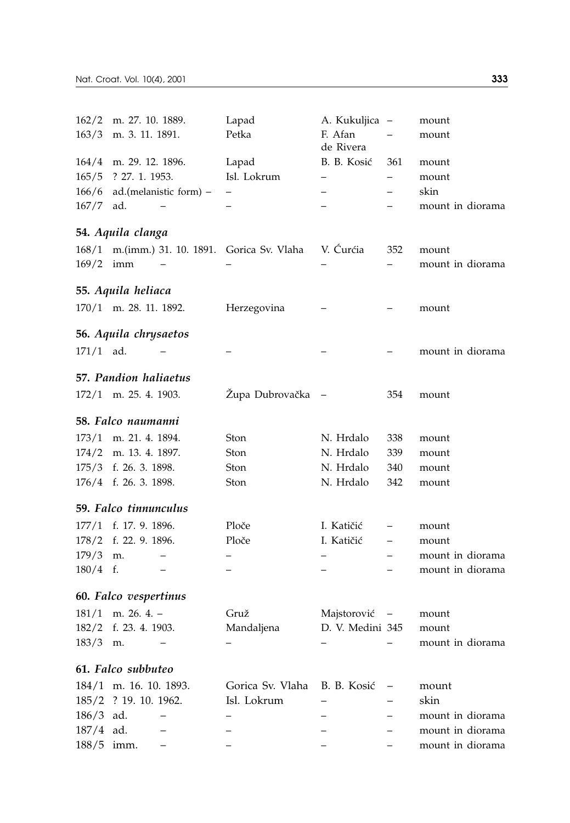| 162/2       | m. 27. 10. 1889.                              | Lapad                    | A. Kukuljica             | $\hspace{0.1mm}-\hspace{0.1mm}$ | mount            |
|-------------|-----------------------------------------------|--------------------------|--------------------------|---------------------------------|------------------|
| 163/3       | m. 3. 11. 1891.                               | Petka                    | F. Afan<br>de Rivera     |                                 | mount            |
|             | 164/4 m. 29. 12. 1896.                        | Lapad                    | B. B. Kosić              | 361                             | mount            |
| 165/5       | ? 27. 1. 1953.                                | Isl. Lokrum              |                          |                                 | mount            |
| 166/6       | ad.(melanistic form) -                        |                          |                          |                                 | skin             |
| 167/7       | ad.                                           |                          |                          |                                 | mount in diorama |
|             | 54. Aquila clanga                             |                          |                          |                                 |                  |
|             | 168/1 m.(imm.) 31. 10. 1891. Gorica Sv. Vlaha |                          | V. Curćia                | 352                             | mount            |
| $169/2$ imm |                                               |                          |                          |                                 | mount in diorama |
|             | 55. Aquila heliaca                            |                          |                          |                                 |                  |
|             | 170/1 m. 28. 11. 1892.                        | Herzegovina              |                          |                                 | mount            |
|             | 56. Aquila chrysaetos                         |                          |                          |                                 |                  |
| $171/1$ ad. |                                               |                          |                          |                                 | mount in diorama |
|             | 57. Pandion haliaetus                         |                          |                          |                                 |                  |
|             | 172/1 m. 25. 4. 1903.                         | Župa Dubrovačka          |                          | 354                             | mount            |
|             | 58. Falco naumanni                            |                          |                          |                                 |                  |
|             | 173/1 m. 21. 4. 1894.                         | Ston                     | N. Hrdalo                | 338                             | mount            |
|             | 174/2 m. 13. 4. 1897.                         | Ston                     | N. Hrdalo                | 339                             | mount            |
|             | 175/3 f. 26. 3. 1898.                         | Ston                     | N. Hrdalo                | 340                             | mount            |
|             | 176/4 f. 26. 3. 1898.                         | Ston                     | N. Hrdalo                | 342                             | mount            |
|             | 59. Falco tinnunculus                         |                          |                          |                                 |                  |
|             | 177/1 f. 17. 9. 1896.                         | Ploče                    | I. Katičić               |                                 | mount            |
| 178/2       | f. 22. 9. 1896.                               | Ploče                    | I. Katičić               |                                 | mount            |
| 179/3       | m.                                            | —                        |                          |                                 | mount in diorama |
| $180/4$ f.  | $\qquad \qquad -$                             | $\overline{\phantom{0}}$ | $\overline{\phantom{0}}$ |                                 | mount in diorama |
|             | 60. Falco vespertinus                         |                          |                          |                                 |                  |
|             | $181/1$ m. 26. 4. -                           | Gruž                     | Majstorović –            |                                 | mount            |
| 182/2       | f. 23. 4. 1903.                               | Mandaljena               | D. V. Medini 345         |                                 | mount            |
| 183/3       | m.<br>$\qquad \qquad -$                       | $\equiv$                 | $\overline{\phantom{0}}$ | $\overline{\phantom{0}}$        | mount in diorama |
|             | 61. Falco subbuteo                            |                          |                          |                                 |                  |
|             | 184/1 m. 16, 10, 1893.                        | Gorica Sv. Vlaha         | B. B. Kosić              | -                               | mount            |
|             | 185/2 ? 19. 10. 1962.                         | Isl. Lokrum              |                          |                                 | skin             |
| 186/3       | ad.                                           |                          |                          | $\overline{\phantom{0}}$        | mount in diorama |
| $187/4$ ad. |                                               |                          |                          |                                 | mount in diorama |
| 188/5       | imm.                                          |                          |                          |                                 | mount in diorama |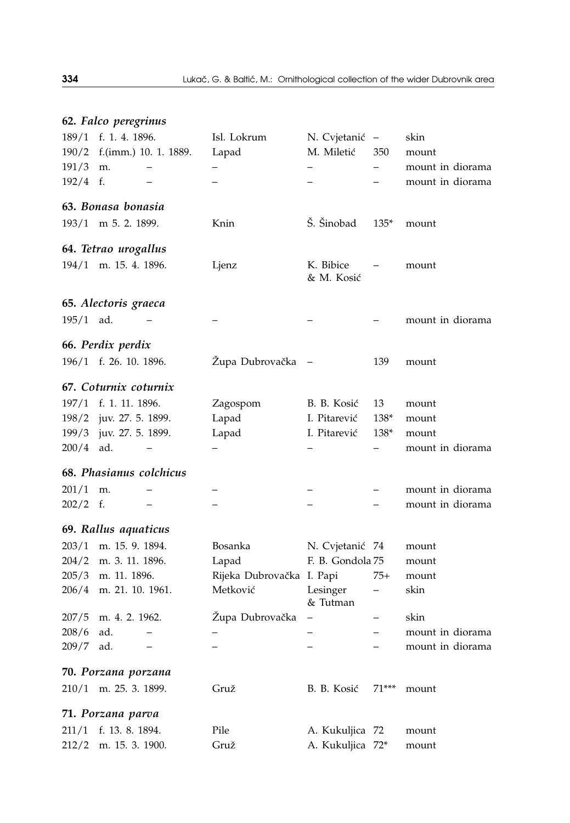|             | 62. Falco peregrinus            |                           |                         |         |                  |
|-------------|---------------------------------|---------------------------|-------------------------|---------|------------------|
| 189/1       | f. 1. 4. 1896.                  | Isl. Lokrum               | N. Cvjetanić –          |         | skin             |
| 190/2       | f.(imm.) 10. 1. 1889.           | Lapad                     | M. Miletić              | 350     | mount            |
| 191/3       | m.<br>$\qquad \qquad -$         |                           |                         |         | mount in diorama |
| $192/4$ f.  |                                 |                           |                         |         | mount in diorama |
|             | 63. Bonasa bonasia              |                           |                         |         |                  |
|             | 193/1 m 5. 2. 1899.             | Knin                      | Š. Šinobad              | $135*$  | mount            |
|             | 64. Tetrao urogallus            |                           |                         |         |                  |
|             | 194/1 m. 15. 4. 1896.           | Ljenz                     | K. Bibice<br>& M. Kosić |         | mount            |
|             | 65. Alectoris graeca            |                           |                         |         |                  |
| $195/1$ ad. |                                 |                           |                         |         | mount in diorama |
|             | 66. Perdix perdix               |                           |                         |         |                  |
|             | 196/1 f. 26. 10. 1896.          | Župa Dubrovačka           |                         | 139     | mount            |
|             | 67. Coturnix coturnix           |                           |                         |         |                  |
|             | 197/1 f. 1. 11. 1896.           | Zagospom                  | B. B. Kosić             | 13      | mount            |
| 198/2       | juv. 27. 5. 1899.               | Lapad                     | I. Pitarević            | 138*    | mount            |
| 199/3       | juv. 27. 5. 1899.               | Lapad                     | I. Pitarević            | 138*    | mount            |
| 200/4       | ad.                             |                           |                         |         | mount in diorama |
|             | 68. Phasianus colchicus         |                           |                         |         |                  |
| 201/1       | m.                              |                           |                         |         | mount in diorama |
| 202/2       | f.                              |                           |                         |         | mount in diorama |
|             | 69. Rallus aquaticus            |                           |                         |         |                  |
| 203/1       | m. 15. 9. 1894.                 | Bosanka                   | N. Cvjetanić 74         |         | mount            |
|             | 204/2 m. 3. 11. 1896.           | Lapad                     | F. B. Gondola 75        |         | mount            |
|             | 205/3 m. 11. 1896.              | Rijeka Dubrovačka I. Papi |                         | $75+$   | mount            |
|             | 206/4 m. 21. 10. 1961.          | Metković                  | Lesinger<br>& Tutman    |         | skin             |
| 207/5       | m. 4. 2. 1962.                  | Župa Dubrovačka           |                         |         | skin             |
| 208/6       | ad.                             |                           |                         |         | mount in diorama |
| 209/7       | ad.<br>$\overline{\phantom{0}}$ |                           | —                       |         | mount in diorama |
|             | 70. Porzana porzana             |                           |                         |         |                  |
| 210/1       | m. 25. 3. 1899.                 | Gruž                      | B. B. Kosić             | $71***$ | mount            |
|             | 71. Porzana parva               |                           |                         |         |                  |
| 211/1       | f. 13. 8. 1894.                 | Pile                      | A. Kukuljica 72         |         | mount            |
| 212/2       | m. 15. 3. 1900.                 | Gruž                      | A. Kukuljica 72*        |         | mount            |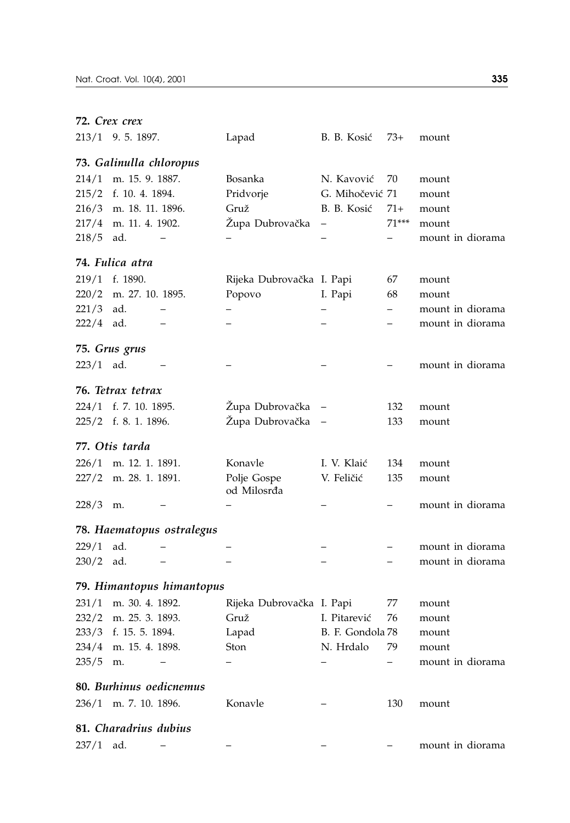|             | 72. Crex crex           |                           |                            |                   |         |                  |
|-------------|-------------------------|---------------------------|----------------------------|-------------------|---------|------------------|
|             | 213/1 9.5.1897.         |                           | Lapad                      | B. B. Kosić       | 73+     | mount            |
|             | 73. Galinulla chloropus |                           |                            |                   |         |                  |
| 214/1       | m. 15. 9. 1887.         |                           | Bosanka                    | N. Kavović        | 70      | mount            |
| 215/2       | f. 10. 4. 1894.         |                           | Pridvorje                  | G. Mihočević 71   |         | mount            |
| 216/3       | m. 18. 11. 1896.        |                           | Gruž                       | B. B. Kosić       | 71+     | mount            |
| 217/4       | m. 11. 4. 1902.         |                           | Župa Dubrovačka            | -                 | $71***$ | mount            |
| 218/5       | ad.                     |                           |                            |                   | -       | mount in diorama |
|             | 74. Fulica atra         |                           |                            |                   |         |                  |
| 219/1       | f. 1890.                |                           | Rijeka Dubrovačka I. Papi  |                   | 67      | mount            |
| 220/2       | m. 27. 10. 1895.        |                           | Popovo                     | I. Papi           | 68      | mount            |
| 221/3       | ad.                     |                           |                            |                   |         | mount in diorama |
| 222/4       | ad.                     |                           |                            |                   |         | mount in diorama |
|             | 75. Grus grus           |                           |                            |                   |         |                  |
| 223/1 ad.   |                         |                           |                            |                   |         | mount in diorama |
|             | 76. Tetrax tetrax       |                           |                            |                   |         |                  |
|             | 224/1 f. 7. 10. 1895.   |                           | Župa Dubrovačka            | -                 | 132     | mount            |
|             | 225/2 f. 8. 1. 1896.    |                           | Župa Dubrovačka            | $\qquad \qquad -$ | 133     | mount            |
|             | 77. Otis tarda          |                           |                            |                   |         |                  |
| 226/1       | m. 12. 1. 1891.         |                           | Konavle                    | I. V. Klaić       | 134     | mount            |
| 227/2       | m. 28. 1. 1891.         |                           | Polje Gospe<br>od Milosrđa | V. Feličić        | 135     | mount            |
| 228/3       | m.                      |                           |                            |                   |         | mount in diorama |
|             |                         | 78. Haematopus ostralegus |                            |                   |         |                  |
| 229/1       | ad.                     |                           |                            |                   |         | mount in diorama |
| 230/2       | ad.                     |                           |                            |                   |         | mount in diorama |
|             |                         | 79. Himantopus himantopus |                            |                   |         |                  |
| 231/1       | m. 30. 4. 1892.         |                           | Rijeka Dubrovačka I. Papi  |                   | 77      | mount            |
|             | 232/2 m. 25. 3. 1893.   |                           | Gruž                       | I. Pitarević      | 76      | mount            |
|             | 233/3 f. 15. 5. 1894.   |                           | Lapad                      | B. F. Gondola 78  |         | mount            |
| 234/4       | m. 15. 4. 1898.         |                           | Ston                       | N. Hrdalo         | 79      | mount            |
| 235/5       | m.                      |                           |                            |                   |         | mount in diorama |
|             |                         | 80. Burhinus oedicnemus   |                            |                   |         |                  |
|             | 236/1 m. 7. 10. 1896.   |                           | Konavle                    |                   | 130     | mount            |
|             | 81. Charadrius dubius   |                           |                            |                   |         |                  |
| $237/1$ ad. |                         |                           |                            |                   |         | mount in diorama |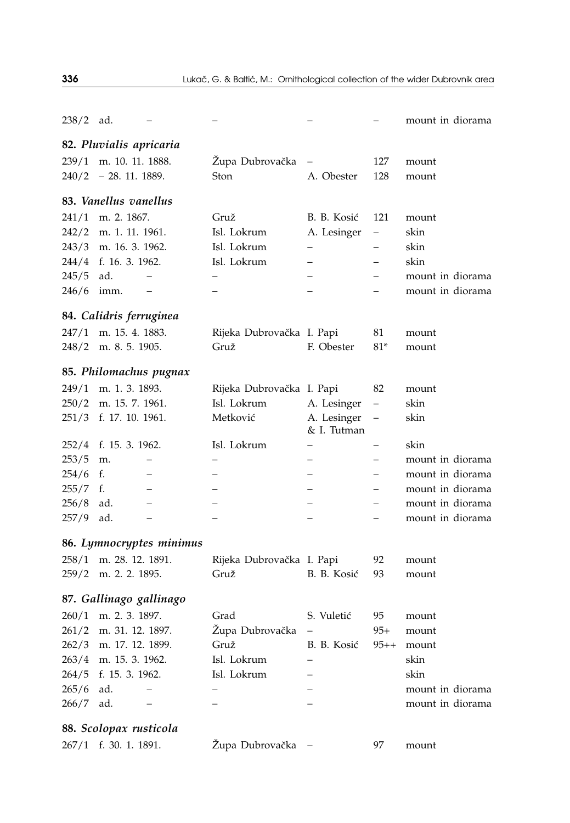| $238/2$ ad. |                         |                          |                           |                          |                          | mount in diorama |
|-------------|-------------------------|--------------------------|---------------------------|--------------------------|--------------------------|------------------|
|             | 82. Pluvialis apricaria |                          |                           |                          |                          |                  |
| 239/1       | m. 10. 11. 1888.        |                          | Župa Dubrovačka           |                          | 127                      | mount            |
|             | $240/2$ - 28. 11. 1889. |                          | Ston                      | A. Obester               | 128                      | mount            |
|             |                         |                          |                           |                          |                          |                  |
|             | 83. Vanellus vanellus   |                          |                           |                          |                          |                  |
| 241/1       | m. 2. 1867.             |                          | Gruž                      | B. B. Kosić              | 121                      | mount            |
| 242/2       | m. 1. 11. 1961.         |                          | Isl. Lokrum               | A. Lesinger              | $\overline{\phantom{0}}$ | skin             |
|             | 243/3 m. 16. 3. 1962.   |                          | Isl. Lokrum               | $\equiv$                 | $\overline{\phantom{0}}$ | skin             |
|             | 244/4 f. 16. 3. 1962.   |                          | Isl. Lokrum               |                          |                          | skin             |
| 245/5       | ad.                     |                          |                           |                          |                          | mount in diorama |
| 246/6       | imm.                    |                          |                           |                          |                          | mount in diorama |
|             | 84. Calidris ferruginea |                          |                           |                          |                          |                  |
| 247/1       | m. 15. 4. 1883.         |                          | Rijeka Dubrovačka I. Papi |                          | 81                       | mount            |
| 248/2       | m. 8. 5. 1905.          |                          | Gruž                      | F. Obester               | $81*$                    | mount            |
|             | 85. Philomachus pugnax  |                          |                           |                          |                          |                  |
|             | 249/1 m. 1. 3. 1893.    |                          | Rijeka Dubrovačka I. Papi |                          | 82                       | mount            |
| 250/2       | m. 15. 7. 1961.         |                          | Isl. Lokrum               | A. Lesinger              | $\overline{\phantom{0}}$ | skin             |
|             | 251/3 f. 17. 10. 1961.  |                          | Metković                  | A. Lesinger              | —                        | skin             |
|             |                         |                          |                           | & I. Tutman              |                          |                  |
| 252/4       | f. 15. 3. 1962.         |                          | Isl. Lokrum               |                          | —                        | skin             |
| 253/5       | m.                      |                          |                           |                          |                          | mount in diorama |
| 254/6       | f.                      |                          |                           |                          |                          | mount in diorama |
| 255/7       | f.                      |                          |                           |                          |                          | mount in diorama |
| 256/8       | ad.                     |                          |                           |                          |                          | mount in diorama |
| 257/9       | ad.                     | $\overline{\phantom{0}}$ |                           | $\overline{\phantom{0}}$ | —                        | mount in diorama |
|             |                         | 86. Lymnocryptes minimus |                           |                          |                          |                  |
| 258/1       | m. 28. 12. 1891.        |                          | Rijeka Dubrovačka I. Papi |                          | 92                       | mount            |
|             | 259/2 m. 2. 2. 1895.    |                          | Gruž                      | B. B. Kosić              | 93                       | mount            |
|             | 87. Gallinago gallinago |                          |                           |                          |                          |                  |

|             | $260/1$ m. 2, 3, 1897. |
|-------------|------------------------|
|             | 261/2 m. 31. 12. 1897. |
|             | 262/3 m. 17. 12. 1899. |
|             | 263/4 m. 15. 3. 1962.  |
|             | 264/5 f. 15. 3. 1962.  |
| $265/6$ ad. |                        |
| $266/7$ ad. |                        |

# **88.** *Scolopax rusticola*

|  | 267/1 f. 30. 1. 1891. |  |  |  |  |
|--|-----------------------|--|--|--|--|
|--|-----------------------|--|--|--|--|

Župa Dubrovačka – 97 mount

<sup>2</sup>/<sub>6</sub>  $-$  –  $-$  mount in diorama <sup>-</sup> – – – mount in diorama

260/1 m. 2. 3. 1897. Grad S. Vuleti} 95 mount Župa Dubrovačka – 95+ mount Gruž B. B. Kosić 95++ mount 263/4 m. 15. 3. 1962. Isl. Lokrum – skin 264/5 f. 15. 3. 1962. Isl. Lokrum – skin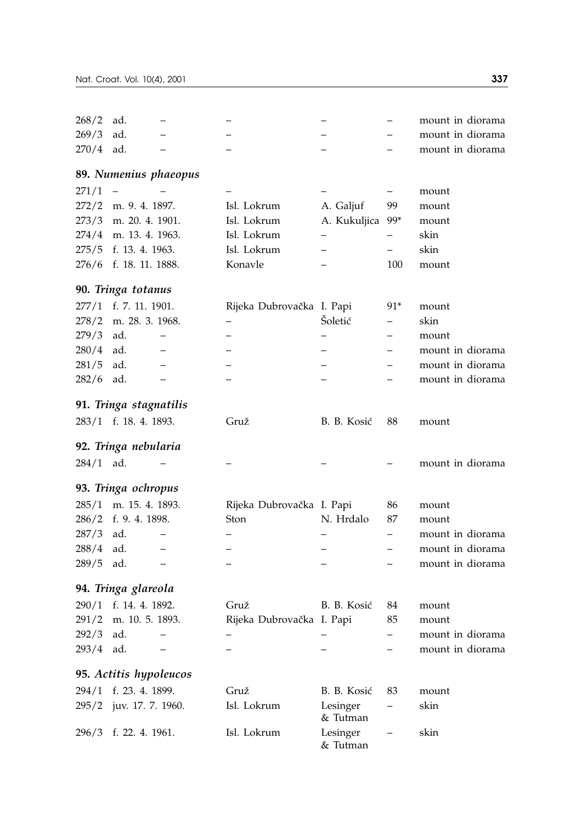| 268/2       | ad.                    |                           |                      |                          | mount in diorama |  |
|-------------|------------------------|---------------------------|----------------------|--------------------------|------------------|--|
| 269/3       | ad.                    |                           |                      |                          | mount in diorama |  |
| 270/4       | ad.                    |                           |                      |                          | mount in diorama |  |
|             | 89. Numenius phaeopus  |                           |                      |                          |                  |  |
| 271/1       |                        |                           |                      | $\overline{\phantom{0}}$ | mount            |  |
|             | 272/2 m. 9. 4. 1897.   | Isl. Lokrum               | A. Galjuf            | 99                       | mount            |  |
| 273/3       | m. 20. 4. 1901.        | Isl. Lokrum               | A. Kukuljica         | 99*                      | mount            |  |
| 274/4       | m. 13. 4. 1963.        | Isl. Lokrum               |                      |                          | skin             |  |
| 275/5       | f. 13. 4. 1963.        | Isl. Lokrum               |                      | $\overline{\phantom{0}}$ | skin             |  |
|             | 276/6 f. 18. 11. 1888. | Konavle                   |                      | 100                      | mount            |  |
|             | 90. Tringa totanus     |                           |                      |                          |                  |  |
|             | 277/1 f. 7. 11. 1901.  | Rijeka Dubrovačka I. Papi |                      | 91*                      | mount            |  |
| 278/2       | m. 28. 3. 1968.        |                           | Šoletić              |                          | skin             |  |
| 279/3       | ad.                    |                           |                      |                          | mount            |  |
| 280/4       | ad.                    |                           |                      |                          | mount in diorama |  |
| 281/5       | ad.                    |                           |                      |                          | mount in diorama |  |
| 282/6       | ad.                    |                           |                      |                          | mount in diorama |  |
|             | 91. Tringa stagnatilis |                           |                      |                          |                  |  |
|             | 283/1 f. 18. 4. 1893.  | Gruž                      | B. B. Kosić          | 88                       | mount            |  |
|             | 92. Tringa nebularia   |                           |                      |                          |                  |  |
| $284/1$ ad. |                        |                           |                      |                          | mount in diorama |  |
|             | 93. Tringa ochropus    |                           |                      |                          |                  |  |
| 285/1       | m. 15. 4. 1893.        | Rijeka Dubrovačka I. Papi |                      | 86                       | mount            |  |
|             | 286/2 f. 9. 4. 1898.   | Ston                      | N. Hrdalo            | 87                       | mount            |  |
| 287/3       | ad.                    |                           |                      | $\overline{\phantom{0}}$ | mount in diorama |  |
| 288/4       | ad.                    |                           |                      | $\overline{\phantom{0}}$ | mount in diorama |  |
| 289/5       | ad.                    |                           |                      |                          | mount in diorama |  |
|             | 94. Tringa glareola    |                           |                      |                          |                  |  |
| 290/1       | f. 14. 4. 1892.        | Gruž                      | B. B. Kosić          | 84                       | mount            |  |
| 291/2       | m. 10. 5. 1893.        | Rijeka Dubrovačka I. Papi |                      | 85                       | mount            |  |
| 292/3       | ad.                    |                           |                      |                          | mount in diorama |  |
| 293/4       | ad.                    |                           |                      |                          | mount in diorama |  |
|             | 95. Actitis hypoleucos |                           |                      |                          |                  |  |
| 294/1       | f. 23. 4. 1899.        | Gruž                      | B. B. Kosić          | 83                       | mount            |  |
| 295/2       | juv. 17. 7. 1960.      | Isl. Lokrum               | Lesinger<br>& Tutman |                          | skin             |  |
| 296/3       | f. 22. 4. 1961.        | Isl. Lokrum               | Lesinger<br>& Tutman | $\overline{\phantom{0}}$ | skin             |  |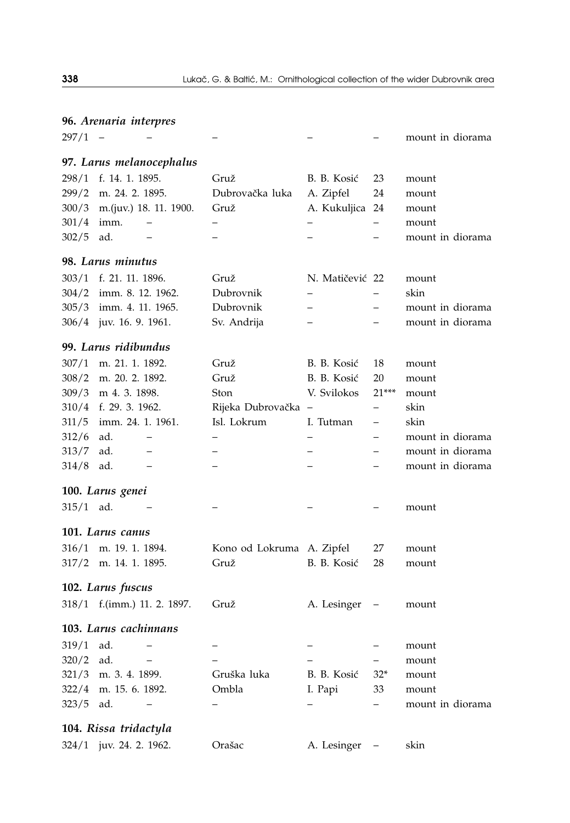| 96. Arenaria interpres |                                   |                           |                          |                          |                           |
|------------------------|-----------------------------------|---------------------------|--------------------------|--------------------------|---------------------------|
| 297/1                  |                                   |                           |                          |                          | mount in diorama          |
|                        | 97. Larus melanocephalus          |                           |                          |                          |                           |
| 298/1                  | f. 14. 1. 1895.                   | Gruž                      | B. B. Kosić              | 23                       | mount                     |
| 299/2                  | m. 24. 2. 1895.                   | Dubrovačka luka           | A. Zipfel                | 24                       | mount                     |
|                        | 300/3 m.(juv.) 18. 11. 1900.      | Gruž                      | A. Kukuljica             | 24                       | mount                     |
| 301/4                  | imm.                              |                           |                          | $\overline{\phantom{0}}$ | mount                     |
| 302/5                  | ad.                               |                           |                          | $\overline{\phantom{0}}$ | mount in diorama          |
|                        | 98. Larus minutus                 |                           |                          |                          |                           |
| 303/1                  | f. 21. 11. 1896.                  | Gruž                      | N. Matičević 22          |                          | mount                     |
| 304/2                  | imm. 8. 12. 1962.                 | Dubrovnik                 |                          |                          | skin                      |
| 305/3                  | imm. 4. 11. 1965.                 | Dubrovnik                 | $\overline{\phantom{0}}$ | -                        | mount in diorama          |
|                        | 306/4 juv. 16. 9. 1961.           | Sv. Andrija               |                          | $\overline{\phantom{0}}$ | mount in diorama          |
|                        |                                   |                           |                          |                          |                           |
|                        | 99. Larus ridibundus              |                           |                          |                          |                           |
| 307/1                  | m. 21. 1. 1892.                   | Gruž                      | B. B. Kosić              | 18                       | mount                     |
| 308/2                  | m. 20. 2. 1892.                   | Gruž                      | B. B. Kosić              | 20                       | mount                     |
| 309/3                  | m 4.3.1898.                       | Ston                      | V. Svilokos              | $21***$                  | mount                     |
|                        | 310/4 f. 29. 3. 1962.             | Rijeka Dubrovačka         | $\qquad \qquad -$        | $\overline{\phantom{0}}$ | skin                      |
| 311/5                  | imm. 24. 1. 1961.                 | Isl. Lokrum               | I. Tutman                | $\overline{\phantom{0}}$ | skin                      |
| 312/6                  | ad.                               |                           |                          |                          | mount in diorama          |
| 313/7                  | ad.                               |                           |                          |                          | mount in diorama          |
| 314/8                  | ad.                               |                           |                          |                          | mount in diorama          |
|                        | 100. Larus genei                  |                           |                          |                          |                           |
| 315/1                  | ad.                               |                           |                          |                          | mount                     |
|                        | 101. Larus canus                  |                           |                          |                          |                           |
| 316/1                  | m. 19. 1. 1894.                   | Kono od Lokruma A. Zipfel |                          | 27                       | mount                     |
| 317/2                  | m. 14. 1. 1895.                   | Gruž                      | B. B. Kosić              | 28                       | mount                     |
|                        | 102. Larus fuscus                 |                           |                          |                          |                           |
|                        | 318/1 f.(imm.) 11. 2. 1897.       | Gruž                      | A. Lesinger              |                          | mount                     |
|                        | 103. Larus cachinnans             |                           |                          |                          |                           |
|                        | ad.                               |                           |                          |                          |                           |
| 319/1                  | ad.<br>$\overline{\phantom{0}}$   |                           |                          | -                        | mount                     |
| 320/2                  |                                   | Gruška luka               | B. B. Kosić              | $-$                      | mount                     |
| 321/3<br>322/4         | m. 3. 4. 1899.<br>m. 15. 6. 1892. | Ombla                     |                          | $32*$<br>33              | mount                     |
| 323/5                  | ad.<br>$\qquad \qquad -$          |                           | I. Papi                  | $\overline{\phantom{0}}$ | mount<br>mount in diorama |
|                        |                                   |                           |                          |                          |                           |
|                        | 104. Rissa tridactyla             |                           |                          |                          |                           |
| 324/1                  | juv. 24. 2. 1962.                 | Orašac                    | A. Lesinger              |                          | skin                      |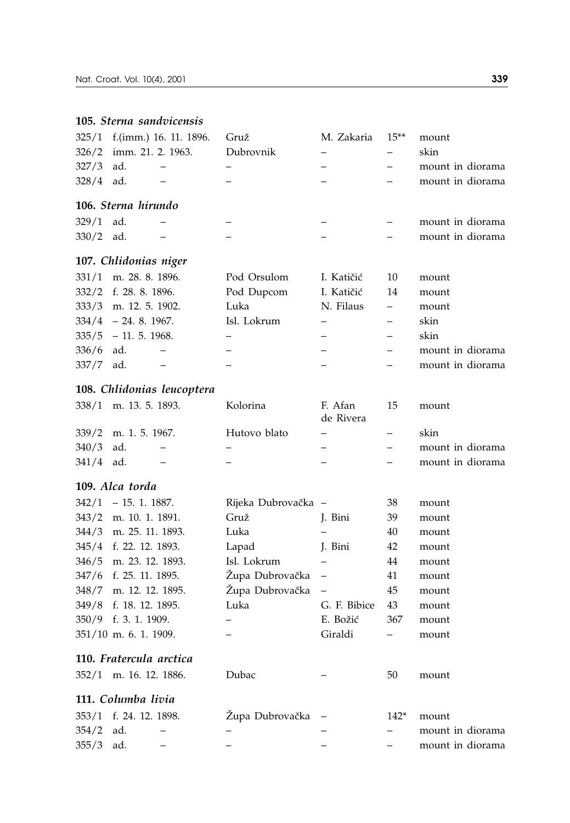### **105.** *Sterna sandvicensis*

|             |                     | $325/1$ f.(imm.) 16. 11. 1896. | Gruž      | M. Zakaria | $15**$ | mount            |
|-------------|---------------------|--------------------------------|-----------|------------|--------|------------------|
|             |                     | $326/2$ imm. 21. 2. 1963.      | Dubrovnik |            |        | skin             |
| $327/3$ ad. |                     |                                |           |            |        | mount in diorama |
| $328/4$ ad. |                     |                                |           |            |        | mount in diorama |
|             | 106. Sterna hirundo |                                |           |            |        |                  |
| $329/1$ ad. |                     |                                |           |            |        | mount in diorama |
| $330/2$ ad. |                     |                                |           |            |        | mount in diorama |

### **107.** *Chlidonias niger*

|             | $331/1$ m. 28. 8. 1896. | Pod Orsulom     | I. Katičić  | -10           | mount            |
|-------------|-------------------------|-----------------|-------------|---------------|------------------|
|             | 332/2 f. 28. 8. 1896.   | Pod Dupcom      | I. Katičić  | 14            | mount            |
|             | 333/3 m. 12. 5. 1902.   | Luka            | N. Filaus – |               | mount            |
|             | $334/4$ - 24. 8. 1967.  | Isl. Lokrum     |             | $\frac{1}{2}$ | skin             |
|             | $335/5 - 11.5.1968$ .   |                 |             | $-$           | skin             |
| $336/6$ ad. |                         | $\qquad \qquad$ |             |               | mount in diorama |
| 337/7 ad.   |                         |                 |             |               | mount in diorama |

### **108.** *Chlidonias leucoptera*

|             | $338/1$ m. 13. 5. 1893. | Kolorina     | F. Afan<br>de Rivera | 15 | mount            |
|-------------|-------------------------|--------------|----------------------|----|------------------|
|             | $339/2$ m. 1. 5. 1967.  | Hutovo blato |                      |    | skin             |
| $340/3$ ad. |                         |              |                      |    | mount in diorama |
| $341/4$ ad. |                         |              |                      |    | mount in diorama |

### **109.** *Alca torda*

 $342/1 - 15.1.1887.$ 343/2 m. 10. 1. 1891. 344/3 m. 25. 11. 1893. 345/4 f. 22. 12. 1893. 346/5 m. 23. 12. 1893. 347/6 f. 25. 11. 1895. 348/7 m. 12. 12. 1895. 349/8 f. 18. 12. 1895. 350/9 f. 3. 1. 1909. 351/10 m. 6. 1. 1909.

| Rijeka Dubrovačka – |              | 38  | mount |
|---------------------|--------------|-----|-------|
| Gruž                | J. Bini      | 39  | mount |
| Luka                |              | 40  | mount |
| Lapad               | J. Bini      | 42  | mount |
| Isl. Lokrum         |              | 44  | mount |
| Župa Dubrovačka     |              | 41  | mount |
| Župa Dubrovačka     |              | 45  | mount |
| Luka                | G. F. Bibice | 43  | mount |
|                     | E. Božić     | 367 | mount |
|                     | Giraldi      |     | mount |
|                     |              |     |       |
|                     |              |     |       |

### **110.** *Fratercula arctica*

| 352/1 m. 16. 12. 1886.<br>Dubac | mount |
|---------------------------------|-------|
|---------------------------------|-------|

## **111.** *Columba livia*

|             | 353/1 f. 24. 12. 1898. |                          | Župa Dubrovačka – | 142*                     | mount            |
|-------------|------------------------|--------------------------|-------------------|--------------------------|------------------|
| $354/2$ ad. |                        | $\overline{\phantom{a}}$ |                   | $ -$                     | mount in diorama |
| $355/3$ ad. |                        | $\overline{\phantom{a}}$ | $\qquad \qquad -$ | $\overline{\phantom{a}}$ | mount in diorama |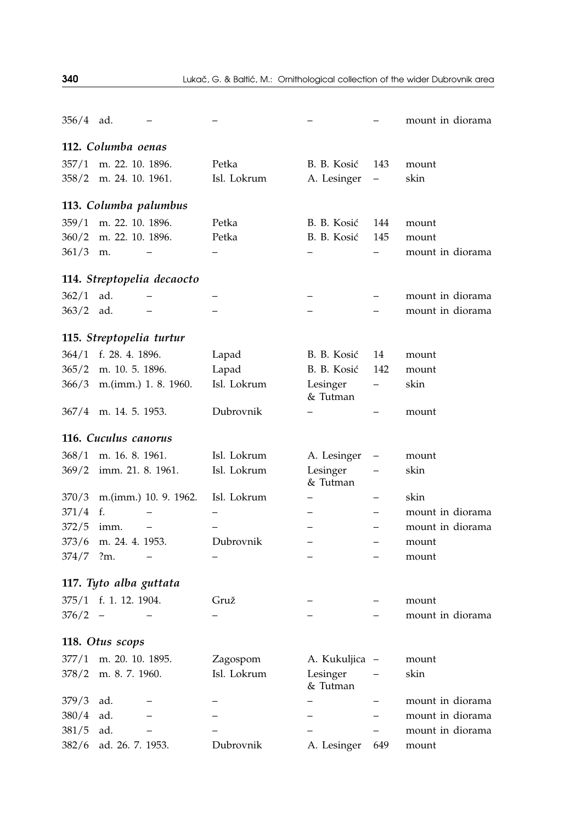| 356/4 | ad.                               |                            |             |                      |                          | mount in diorama |
|-------|-----------------------------------|----------------------------|-------------|----------------------|--------------------------|------------------|
|       | 112. Columba oenas                |                            |             |                      |                          |                  |
| 357/1 | m. 22. 10. 1896.                  |                            | Petka       | B. B. Kosić          | 143                      | mount            |
|       | 358/2 m. 24. 10. 1961.            |                            | Isl. Lokrum | A. Lesinger          | $\overline{\phantom{0}}$ | skin             |
|       | 113. Columba palumbus             |                            |             |                      |                          |                  |
|       | 359/1 m. 22. 10. 1896.            |                            | Petka       | B. B. Kosić          | 144                      | mount            |
| 360/2 | m. 22. 10. 1896.                  |                            | Petka       | B. B. Kosić          | 145                      | mount            |
| 361/3 | m.                                |                            |             |                      |                          | mount in diorama |
|       |                                   | 114. Streptopelia decaocto |             |                      |                          |                  |
| 362/1 | ad.                               |                            |             |                      |                          | mount in diorama |
| 363/2 | ad.                               |                            |             |                      |                          | mount in diorama |
|       | 115. Streptopelia turtur          |                            |             |                      |                          |                  |
| 364/1 | f. 28. 4. 1896.                   |                            | Lapad       | B. B. Kosić          | 14                       | mount            |
| 365/2 | m. 10. 5. 1896.                   |                            | Lapad       | B. B. Kosić          | 142                      | mount            |
| 366/3 |                                   | m.(imm.) 1. 8. 1960.       | Isl. Lokrum | Lesinger<br>& Tutman | -                        | skin             |
|       | 367/4 m. 14. 5. 1953.             |                            | Dubrovnik   |                      |                          | mount            |
|       | 116. Cuculus canorus              |                            |             |                      |                          |                  |
| 368/1 | m. 16. 8. 1961.                   |                            | Isl. Lokrum | A. Lesinger          |                          | mount            |
| 369/2 | imm. 21. 8. 1961.                 |                            | Isl. Lokrum | Lesinger<br>& Tutman |                          | skin             |
| 370/3 |                                   | m.(imm.) 10. 9. 1962.      | Isl. Lokrum |                      |                          | skin             |
| 371/4 | f.                                |                            |             |                      |                          | mount in diorama |
| 372/5 | imm.                              |                            |             |                      |                          | mount in diorama |
| 373/6 | m. 24. 4. 1953.                   |                            | Dubrovnik   |                      |                          | mount            |
| 374/7 | $2m$ .                            |                            |             |                      |                          | mount            |
|       | 117. Tyto alba guttata            |                            |             |                      |                          |                  |
|       | 375/1 f. 1. 12. 1904.             |                            | Gruž        |                      |                          | mount            |
| 376/2 | $\hspace{0.1cm}$ $\hspace{0.1cm}$ |                            |             |                      |                          | mount in diorama |
|       | 118. Otus scops                   |                            |             |                      |                          |                  |
|       | 377/1 m. 20. 10. 1895.            |                            | Zagospom    | A. Kukuljica         |                          | mount            |
| 378/2 | m. 8. 7. 1960.                    |                            | Isl. Lokrum | Lesinger<br>& Tutman |                          | skin             |
| 379/3 | ad.                               |                            |             |                      |                          | mount in diorama |
| 380/4 | ad.                               |                            |             |                      |                          | mount in diorama |
| 381/5 | ad.                               |                            |             |                      |                          | mount in diorama |
| 382/6 | ad. 26. 7. 1953.                  |                            | Dubrovnik   | A. Lesinger          | 649                      | mount            |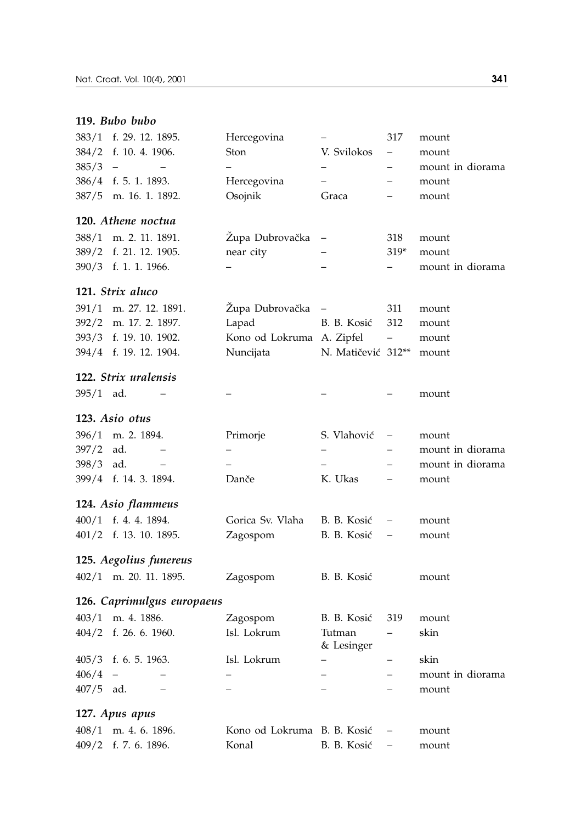### **119.** *Bubo bubo*

| 383/1          | f. 29. 12. 1895.                              | Hercegovina                 | -                                          | 317                      | mount                     |
|----------------|-----------------------------------------------|-----------------------------|--------------------------------------------|--------------------------|---------------------------|
| 384/2          | f. 10. 4. 1906.                               | Ston                        | V. Svilokos                                | $\overline{\phantom{0}}$ | mount                     |
| 385/3          | $\overline{\phantom{a}}$<br>$\qquad \qquad -$ | $\overline{\phantom{0}}$    | $\overline{\phantom{0}}$                   | $\overline{\phantom{0}}$ | mount in diorama          |
|                | 386/4 f. 5. 1. 1893.                          | Hercegovina                 | $-$                                        |                          | mount                     |
| 387/5          | m. 16. 1. 1892.                               | Osojnik                     | Graca                                      |                          | mount                     |
|                | 120. Athene noctua                            |                             |                                            |                          |                           |
| 388/1          | m. 2. 11. 1891.                               | Župa Dubrovačka             |                                            | 318                      | mount                     |
| 389/2          | f. 21. 12. 1905.                              | near city                   |                                            | $319*$                   | mount                     |
|                | 390/3 f. 1. 1. 1966.                          |                             | $\overline{\phantom{0}}$                   | $\overline{\phantom{0}}$ | mount in diorama          |
|                | 121. Strix aluco                              |                             |                                            |                          |                           |
| 391/1          | m. 27. 12. 1891.                              | Župa Dubrovačka             | $\overline{a}$                             | 311                      | mount                     |
| 392/2          | m. 17. 2. 1897.                               | Lapad                       | B. B. Kosić                                | 312                      | mount                     |
|                | 393/3 f. 19. 10. 1902.                        | Kono od Lokruma A. Zipfel   |                                            | $\qquad \qquad -$        | mount                     |
|                | 394/4 f. 19. 12. 1904.                        | Nuncijata                   | N. Matičević 312**                         |                          | mount                     |
|                | 122. Strix uralensis                          |                             |                                            |                          |                           |
| $395/1$ ad.    |                                               |                             |                                            |                          | mount                     |
|                | 123. Asio otus                                |                             |                                            |                          |                           |
|                |                                               |                             |                                            |                          |                           |
| 396/1<br>397/2 | m. 2. 1894.<br>ad.<br>$\qquad \qquad -$       | Primorje                    | S. Vlahović                                |                          | mount<br>mount in diorama |
| 398/3          | ad.<br>$\qquad \qquad -$                      | $\overline{a}$              | $\overline{\phantom{0}}$<br>$\overline{a}$ | $\overline{\phantom{0}}$ | mount in diorama          |
|                | 399/4 f. 14. 3. 1894.                         | Danče                       | K. Ukas                                    |                          | mount                     |
|                |                                               |                             |                                            |                          |                           |
|                | 124. Asio flammeus                            |                             |                                            |                          |                           |
|                | 400/1 f. 4. 4. 1894.                          | Gorica Sv. Vlaha            | B. B. Kosić                                |                          | mount                     |
|                | 401/2 f. 13. 10. 1895.                        | Zagospom                    | B. B. Kosić                                |                          | mount                     |
|                | 125. Aegolius funereus                        |                             |                                            |                          |                           |
|                | 402/1 m. 20. 11. 1895.                        | Zagospom                    | B. B. Kosić                                |                          | mount                     |
|                | 126. Caprimulgus europaeus                    |                             |                                            |                          |                           |
|                | 403/1 m. 4. 1886.                             | Zagospom                    | B. B. Kosić                                | 319                      | mount                     |
|                | 404/2 f. 26. 6. 1960.                         | Isl. Lokrum                 | Tutman<br>& Lesinger                       |                          | skin                      |
|                | 405/3 f. 6. 5. 1963.                          | Isl. Lokrum                 |                                            |                          | skin                      |
| 406/4          | $\qquad \qquad -$                             |                             | —                                          | —                        | mount in diorama          |
| $407/5$ ad.    | $\overline{\phantom{0}}$                      | —                           | $\overline{\phantom{0}}$                   | $\overline{\phantom{0}}$ | mount                     |
|                | 127. Apus apus                                |                             |                                            |                          |                           |
| 408/1          | m. 4. 6. 1896.                                | Kono od Lokruma B. B. Kosić |                                            |                          | mount                     |
| 409/2          | f. 7. 6. 1896.                                | Konal                       | B. B. Kosić                                | $\overline{a}$           | mount                     |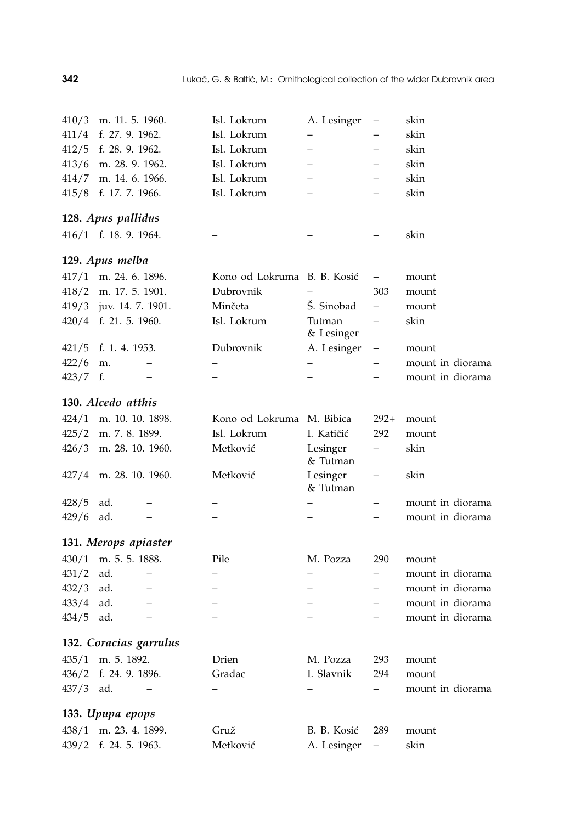| 410/3 | m. 11. 5. 1960.                 | Isl. Lokrum                 | A. Lesinger              | $\qquad \qquad -$        | skin             |
|-------|---------------------------------|-----------------------------|--------------------------|--------------------------|------------------|
| 411/4 | f. 27. 9. 1962.                 | Isl. Lokrum                 |                          |                          | skin             |
| 412/5 | f. 28, 9, 1962.                 | Isl. Lokrum                 | —                        |                          | skin             |
| 413/6 | m. 28. 9. 1962.                 | Isl. Lokrum                 | Ξ.                       |                          | skin             |
| 414/7 | m. 14. 6. 1966.                 | Isl. Lokrum                 | Ξ.                       |                          | skin             |
| 415/8 | f. 17. 7. 1966.                 | Isl. Lokrum                 | $\overline{\phantom{0}}$ |                          | skin             |
|       | 128. Apus pallidus              |                             |                          |                          |                  |
|       | 416/1 f. 18. 9. 1964.           |                             |                          |                          | skin             |
|       | 129. Apus melba                 |                             |                          |                          |                  |
| 417/1 | m. 24. 6. 1896.                 | Kono od Lokruma B. B. Kosić |                          | $\qquad \qquad -$        | mount            |
| 418/2 | m. 17. 5. 1901.                 | Dubrovnik                   |                          | 303                      | mount            |
| 419/3 | juv. 14. 7. 1901.               | Minčeta                     | Š. Sinobad               | $\overline{\phantom{0}}$ | mount            |
|       | 420/4 f. 21. 5. 1960.           | Isl. Lokrum                 | Tutman<br>& Lesinger     | $\qquad \qquad -$        | skin             |
| 421/5 | f. 1. 4. 1953.                  | Dubrovnik                   | A. Lesinger              | $\overline{\phantom{0}}$ | mount            |
| 422/6 | m.                              | -                           | —                        | -                        | mount in diorama |
| 423/7 | f.<br>-                         |                             |                          |                          | mount in diorama |
|       | 130. Alcedo atthis              |                             |                          |                          |                  |
| 424/1 | m. 10. 10. 1898.                | Kono od Lokruma M. Bibica   |                          | $292+$                   | mount            |
| 425/2 | m. 7. 8. 1899.                  | Isl. Lokrum                 | I. Katičić               | 292                      | mount            |
| 426/3 | m. 28. 10. 1960.                | Metković                    | Lesinger<br>& Tutman     | -                        | skin             |
| 427/4 | m. 28. 10. 1960.                | Metković                    | Lesinger<br>& Tutman     |                          | skin             |
| 428/5 | ad.                             |                             |                          | $\overline{\phantom{0}}$ | mount in diorama |
| 429/6 | ad.                             |                             |                          |                          | mount in diorama |
|       | 131. Merops apiaster            |                             |                          |                          |                  |
| 430/1 | m. 5. 5. 1888.                  | Pile                        | M. Pozza                 | 290                      | mount            |
| 431/2 | ad.<br>$\overline{\phantom{0}}$ |                             |                          | $\overline{\phantom{0}}$ | mount in diorama |
| 432/3 | ad.<br>$\overline{\phantom{0}}$ |                             | -                        | $\equiv$                 | mount in diorama |
| 433/4 | ad.<br>$\qquad \qquad -$        |                             | -                        | $\qquad \qquad -$        | mount in diorama |
| 434/5 | ad.<br>$\qquad \qquad -$        | $\overline{\phantom{0}}$    | $\overline{\phantom{0}}$ | $\qquad \qquad -$        | mount in diorama |
|       | 132. Coracias garrulus          |                             |                          |                          |                  |
| 435/1 | m. 5. 1892.                     | Drien                       | M. Pozza                 | 293                      | mount            |
| 436/2 | f. 24. 9. 1896.                 | Gradac                      | I. Slavnik               | 294                      | mount            |
| 437/3 | ad.                             |                             |                          |                          | mount in diorama |
|       | 133. Upupa epops                |                             |                          |                          |                  |
| 438/1 | m. 23, 4, 1899.                 | Gruž                        | B. B. Kosić              | 289                      | mount            |
| 439/2 | f. 24. 5. 1963.                 | Metković                    | A. Lesinger              | $\overline{\phantom{0}}$ | skin             |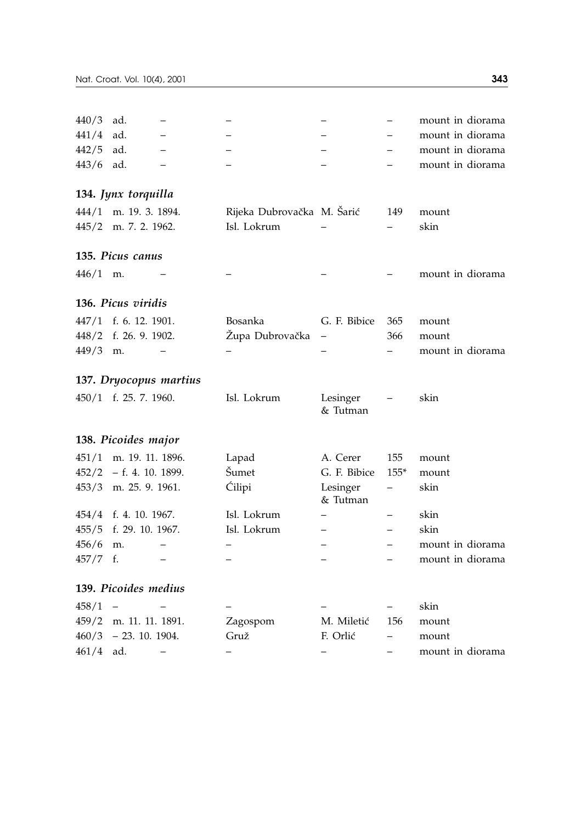| 440/3      | ad.                       |                   |                            |                          |                          | mount in diorama |
|------------|---------------------------|-------------------|----------------------------|--------------------------|--------------------------|------------------|
| 441/4      | ad.                       |                   |                            |                          |                          | mount in diorama |
| 442/5      | ad.                       |                   |                            |                          |                          | mount in diorama |
| 443/6      | ad.                       |                   |                            |                          |                          | mount in diorama |
|            | 134. Jynx torquilla       |                   |                            |                          |                          |                  |
| 444/1      | m. 19. 3. 1894.           |                   | Rijeka Dubrovačka M. Šarić |                          | 149                      | mount            |
| 445/2      | m. 7. 2. 1962.            |                   | Isl. Lokrum                |                          |                          | skin             |
|            | 135. Picus canus          |                   |                            |                          |                          |                  |
| $446/1$ m. |                           |                   |                            |                          |                          | mount in diorama |
|            | 136. Picus viridis        |                   |                            |                          |                          |                  |
|            | 447/1 f. 6. 12. 1901.     |                   | Bosanka                    | G. F. Bibice             | 365                      |                  |
| 448/2      | f. 26. 9. 1902.           |                   | Župa Dubrovačka            | $\overline{\phantom{0}}$ | 366                      | mount<br>mount   |
| 449/3      | m.                        |                   |                            |                          |                          | mount in diorama |
|            |                           |                   |                            |                          |                          |                  |
|            | 137. Dryocopus martius    |                   |                            |                          |                          |                  |
|            | 450/1 f. 25. 7. 1960.     |                   | Isl. Lokrum                | Lesinger<br>& Tutman     |                          | skin             |
|            | 138. Picoides major       |                   |                            |                          |                          |                  |
| 451/1      | m. 19. 11. 1896.          |                   | Lapad                      | A. Cerer                 | 155                      | mount            |
|            | $452/2$ - f. 4. 10. 1899. |                   | Šumet                      | G. F. Bibice             | $155*$                   | mount            |
|            | 453/3 m. 25. 9. 1961.     |                   | Ćilipi                     | Lesinger<br>& Tutman     | $\overline{\phantom{0}}$ | skin             |
| 454/4      | f. 4. 10. 1967.           |                   | Isl. Lokrum                |                          | $\overline{\phantom{0}}$ | skin             |
| 455/5      | f. 29. 10. 1967.          |                   | Isl. Lokrum                |                          | $\overline{a}$           | skin             |
| 456/6      | m.                        |                   |                            |                          |                          | mount in diorama |
| 457/7      | f.                        |                   |                            |                          |                          | mount in diorama |
|            | 139. Picoides medius      |                   |                            |                          |                          |                  |
| 458/1      |                           |                   |                            |                          | -                        | skin             |
| 459/2      | m. 11. 11. 1891.          |                   | Zagospom                   | M. Miletić               | 156                      | mount            |
| 460/3      | $-23.10.1904.$            |                   | Gruž                       | F. Orlić                 | $\overline{\phantom{0}}$ | mount            |
| 461/4      | ad.                       | $\qquad \qquad -$ | —                          | -                        | -                        | mount in diorama |
|            |                           |                   |                            |                          |                          |                  |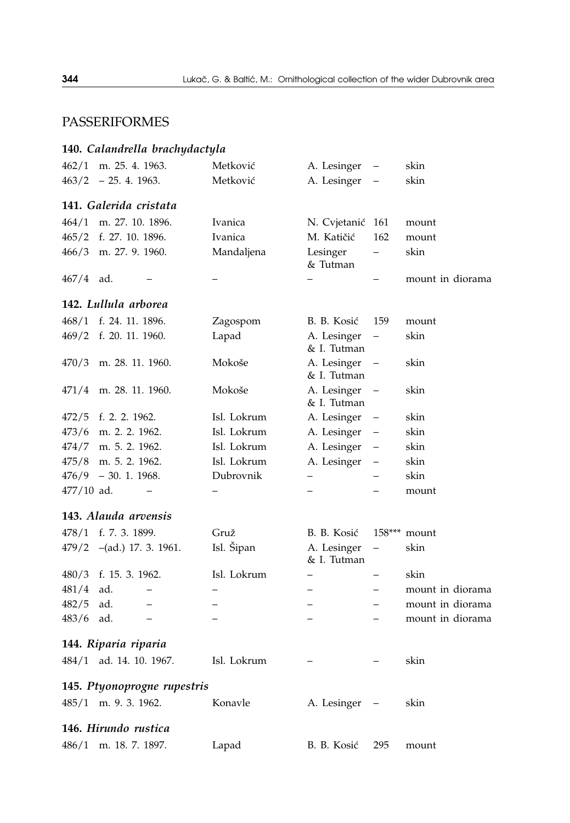# PASSERIFORMES

# **140.** *Calandrella brachydactyla*

| 462/1        | m. 25. 4. 1963.                 | Metković    | A. Lesinger                | $\qquad \qquad -$        | skin             |
|--------------|---------------------------------|-------------|----------------------------|--------------------------|------------------|
| 463/2        | $-25.4.1963.$                   | Metković    | A. Lesinger                |                          | skin             |
|              | 141. Galerida cristata          |             |                            |                          |                  |
| 464/1        | m. 27. 10. 1896.                | Ivanica     | N. Cvjetanić               | 161                      | mount            |
| 465/2        | f. 27. 10. 1896.                | Ivanica     | M. Katičić                 | 162                      | mount            |
| 466/3        | m. 27. 9. 1960.                 | Mandaljena  | Lesinger<br>& Tutman       | $\overline{\phantom{0}}$ | skin             |
| 467/4        | ad.                             |             |                            |                          | mount in diorama |
|              | 142. Lullula arborea            |             |                            |                          |                  |
| 468/1        | f. 24. 11. 1896.                | Zagospom    | B. B. Kosić                | 159                      | mount            |
| 469/2        | f. 20. 11. 1960.                | Lapad       | A. Lesinger<br>& I. Tutman | $\overline{\phantom{0}}$ | skin             |
| 470/3        | m. 28. 11. 1960.                | Mokoše      | A. Lesinger<br>& I. Tutman | $\qquad \qquad -$        | skin             |
| 471/4        | m. 28. 11. 1960.                | Mokoše      | A. Lesinger<br>& I. Tutman | $\qquad \qquad -$        | skin             |
| 472/5        | f. 2. 2. 1962.                  | Isl. Lokrum | A. Lesinger                |                          | skin             |
| 473/6        | m. 2. 2. 1962.                  | Isl. Lokrum | A. Lesinger                | $\qquad \qquad -$        | skin             |
| 474/7        | m. 5. 2. 1962.                  | Isl. Lokrum | A. Lesinger                | —                        | skin             |
| 475/8        | m. 5. 2. 1962.                  | Isl. Lokrum | A. Lesinger                | —                        | skin             |
| 476/9        | $-30.1.1968.$                   | Dubrovnik   | $\overline{\phantom{0}}$   | $\overline{\phantom{0}}$ | skin             |
| $477/10$ ad. |                                 |             |                            |                          | mount            |
|              | 143. Alauda arvensis            |             |                            |                          |                  |
| 478/1        | f. 7. 3. 1899.                  | Gruž        | B. B. Kosić                |                          | $158***$ mount   |
| 479/2        | $-(ad.)$ 17. 3. 1961.           | Isl. Šipan  | A. Lesinger<br>& I. Tutman | —                        | skin             |
| 480/3        | f. 15. 3. 1962.                 | Isl. Lokrum | $\overline{\phantom{0}}$   |                          | skin             |
| 481/4        | ad.<br>-                        |             | —                          |                          | mount in diorama |
| 482/5        | ad.<br>$\overline{\phantom{0}}$ |             |                            | $\overline{\phantom{0}}$ | mount in diorama |
| 483/6        | ad.<br>$\overline{\phantom{0}}$ |             | $\equiv$                   |                          | mount in diorama |
|              | 144. Riparia riparia            |             |                            |                          |                  |
|              | 484/1 ad. 14. 10. 1967.         | Isl. Lokrum |                            |                          | skin             |
|              | 145. Ptyonoprogne rupestris     |             |                            |                          |                  |
|              | 485/1 m. 9. 3. 1962.            | Konavle     | A. Lesinger                |                          | skin             |
|              | 146. Hirundo rustica            |             |                            |                          |                  |
| 486/1        | m. 18. 7. 1897.                 | Lapad       | B. B. Kosić                | 295                      | mount            |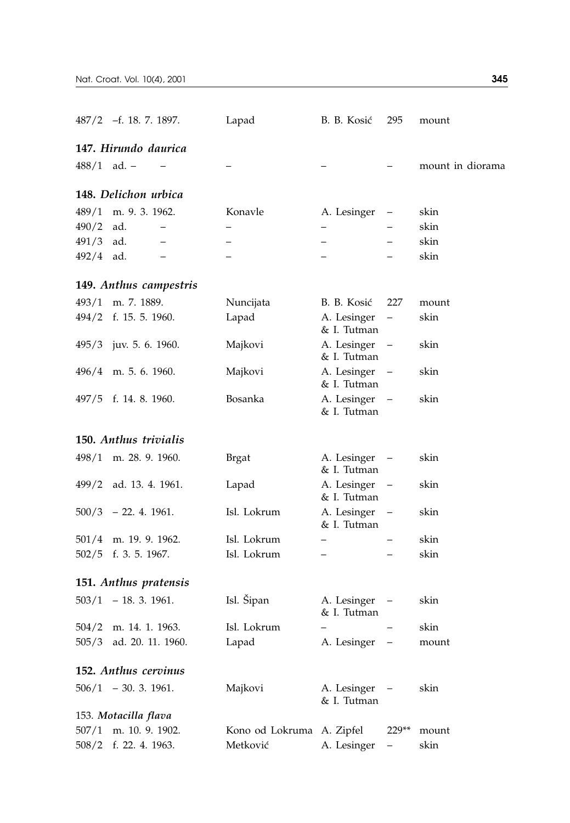|               | $487/2$ -f. 18. 7. 1897.        | Lapad                     | B. B. Kosić                | 295                      | mount            |
|---------------|---------------------------------|---------------------------|----------------------------|--------------------------|------------------|
|               | 147. Hirundo daurica            |                           |                            |                          |                  |
| $488/1$ ad. - |                                 |                           |                            |                          | mount in diorama |
|               | 148. Delichon urbica            |                           |                            |                          |                  |
| 489/1         | m. 9. 3. 1962.                  | Konavle                   | A. Lesinger                | $\qquad \qquad -$        | skin             |
| 490/2         | ad.                             |                           | $\qquad \qquad -$          |                          | skin             |
| $491/3$ ad.   |                                 |                           |                            |                          | skin             |
| 492/4         | ad.<br>$\overline{\phantom{0}}$ |                           | $\overline{\phantom{0}}$   |                          | skin             |
|               | 149. Anthus campestris          |                           |                            |                          |                  |
| 493/1         | m. 7. 1889.                     | Nuncijata                 | B. B. Kosić                | 227                      | mount            |
|               | 494/2 f. 15. 5. 1960.           | Lapad                     | A. Lesinger<br>& I. Tutman | —                        | skin             |
|               | 495/3 juv. 5. 6. 1960.          | Majkovi                   | A. Lesinger<br>& I. Tutman | $\qquad \qquad -$        | skin             |
|               | $496/4$ m. 5. 6. 1960.          | Majkovi                   | A. Lesinger<br>& I. Tutman |                          | skin             |
|               | 497/5 f. 14. 8. 1960.           | Bosanka                   | A. Lesinger<br>& I. Tutman | $\overline{\phantom{a}}$ | skin             |
|               | 150. Anthus trivialis           |                           |                            |                          |                  |
|               | $498/1$ m. 28. 9. 1960.         | Brgat                     | A. Lesinger<br>& I. Tutman | $\qquad \qquad -$        | skin             |
|               | 499/2 ad. 13. 4. 1961.          | Lapad                     | A. Lesinger<br>& I. Tutman | $\qquad \qquad -$        | skin             |
|               | $500/3$ - 22. 4. 1961.          | Isl. Lokrum               | A. Lesinger<br>& I. Tutman | $\qquad \qquad -$        | skin             |
|               | 501/4 m. 19. 9. 1962.           | Isl. Lokrum               |                            |                          | skin             |
| 502/5         | f. 3. 5. 1967.                  | Isl. Lokrum               | $\overline{\phantom{0}}$   |                          | skin             |
|               | 151. Anthus pratensis           |                           |                            |                          |                  |
|               | $503/1 - 18.3.1961.$            | Isl. Šipan                | A. Lesinger<br>& I. Tutman | $\qquad \qquad -$        | skin             |
| 504/2         | m. 14. 1. 1963.                 | Isl. Lokrum               |                            |                          | skin             |
| 505/3         | ad. 20. 11. 1960.               | Lapad                     | A. Lesinger                |                          | mount            |
|               | 152. Anthus cervinus            |                           |                            |                          |                  |
|               | $506/1 - 30.3.1961.$            | Majkovi                   | A. Lesinger<br>& I. Tutman |                          | skin             |
|               | 153. Motacilla flava            |                           |                            |                          |                  |
| 507/1         | m. 10. 9. 1902.                 | Kono od Lokruma A. Zipfel |                            | 229**                    | mount            |
| 508/2         | f. 22. 4. 1963.                 | Metković                  | A. Lesinger                |                          | skin             |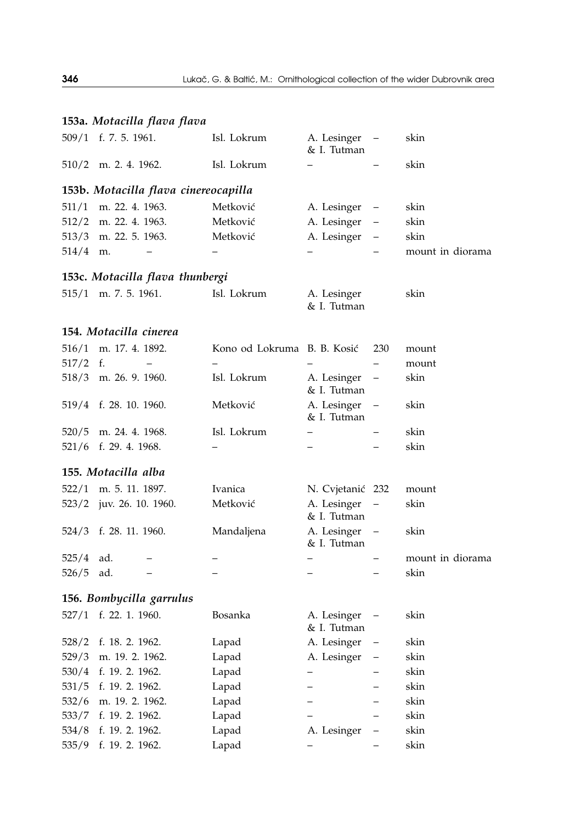|            | 153a. Motacilla flava flava          |                             |                            |                          |                  |
|------------|--------------------------------------|-----------------------------|----------------------------|--------------------------|------------------|
|            | 509/1 f. 7. 5. 1961.                 | Isl. Lokrum                 | A. Lesinger<br>& I. Tutman | $\overline{\phantom{m}}$ | skin             |
|            | $510/2$ m. 2. 4. 1962.               | Isl. Lokrum                 | -                          |                          | skin             |
|            | 153b. Motacilla flava cinereocapilla |                             |                            |                          |                  |
| 511/1      | m. 22. 4. 1963.                      | Metković                    | A. Lesinger                | $\qquad \qquad -$        | skin             |
| 512/2      | m. 22. 4. 1963.                      | Metković                    | A. Lesinger                | $\overline{\phantom{0}}$ | skin             |
|            | 513/3 m. 22. 5. 1963.                | Metković                    | A. Lesinger                | $\overline{\phantom{0}}$ | skin             |
| $514/4$ m. | $\overline{\phantom{0}}$             |                             |                            |                          | mount in diorama |
|            | 153c. Motacilla flava thunbergi      |                             |                            |                          |                  |
|            | $515/1$ m. 7. 5. 1961.               | Isl. Lokrum                 | A. Lesinger<br>& I. Tutman |                          | skin             |
|            | 154. Motacilla cinerea               |                             |                            |                          |                  |
| 516/1      | m. 17. 4. 1892.                      | Kono od Lokruma B. B. Kosić |                            | 230                      | mount            |
| $517/2$ f. | $\overline{\phantom{0}}$             | $\overline{a}$              |                            | $\overline{\phantom{0}}$ | mount            |
|            | 518/3 m. 26. 9. 1960.                | Isl. Lokrum                 | A. Lesinger<br>& I. Tutman | $\qquad \qquad -$        | skin             |
|            | 519/4 f. 28. 10. 1960.               | Metković                    | A. Lesinger<br>& I. Tutman | $\qquad \qquad -$        | skin             |
|            | $520/5$ m. 24. 4. 1968.              | Isl. Lokrum                 | $\overline{\phantom{0}}$   | $\overline{\phantom{0}}$ | skin             |
|            | 521/6 f. 29. 4. 1968.                |                             | $\overline{a}$             |                          | skin             |
|            | 155. Motacilla alba                  |                             |                            |                          |                  |
|            | 522/1 m. 5. 11. 1897.                | Ivanica                     | N. Cvjetanić 232           |                          | mount            |
|            | 523/2 juv. 26. 10. 1960.             | Metković                    | A. Lesinger<br>& I. Tutman | $\qquad \qquad -$        | skin             |
|            | 524/3 f. 28. 11. 1960.               | Mandaljena                  | A. Lesinger<br>& I. Tutman |                          | skin             |
| 525/4      | ad.<br>-                             | $\overline{\phantom{0}}$    | $\overline{\phantom{0}}$   |                          | mount in diorama |
| 526/5      | ad.<br>$\qquad \qquad -$             | $\overline{\phantom{0}}$    | -                          | $\overline{\phantom{0}}$ | skin             |
|            | 156. Bombycilla garrulus             |                             |                            |                          |                  |
|            | 527/1 f. 22. 1. 1960.                | Bosanka                     | A. Lesinger<br>& I. Tutman | $\overline{\phantom{a}}$ | skin             |
|            | 528/2 f. 18. 2. 1962.                | Lapad                       | A. Lesinger                | $\qquad \qquad -$        | skin             |
| 529/3      | m. 19. 2. 1962.                      | Lapad                       | A. Lesinger                |                          | skin             |
| 530/4      | f. 19. 2. 1962.                      | Lapad                       |                            |                          | skin             |
| 531/5      | f. 19. 2. 1962.                      | Lapad                       |                            |                          | skin             |
| 532/6      | m. 19. 2. 1962.                      | Lapad                       |                            |                          | skin             |
| 533/7      | f. 19. 2. 1962.                      | Lapad                       |                            |                          | skin             |
| 534/8      | f. 19. 2. 1962.                      | Lapad                       | A. Lesinger                |                          | skin             |
| 535/9      | f. 19. 2. 1962.                      | Lapad                       |                            |                          | skin             |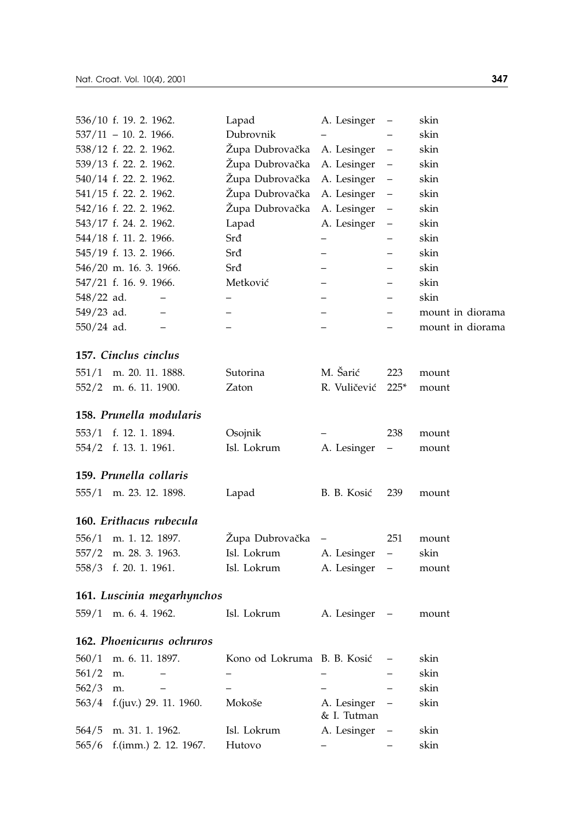|              | 536/10 f. 19. 2. 1962.     | Lapad                       | A. Lesinger                | $\qquad \qquad -$        | skin             |
|--------------|----------------------------|-----------------------------|----------------------------|--------------------------|------------------|
|              | $537/11 - 10.2$ . 1966.    | Dubrovnik                   |                            |                          | skin             |
|              | 538/12 f. 22. 2. 1962.     | Župa Dubrovačka             | A. Lesinger                | $\qquad \qquad -$        | skin             |
|              | 539/13 f. 22. 2. 1962.     | Župa Dubrovačka             | A. Lesinger                | $\qquad \qquad -$        | skin             |
|              | 540/14 f. 22. 2. 1962.     | Župa Dubrovačka             | A. Lesinger                | $\qquad \qquad -$        | skin             |
|              | 541/15 f. 22. 2. 1962.     | Župa Dubrovačka             | A. Lesinger                | $\qquad \qquad -$        | skin             |
|              | 542/16 f. 22. 2. 1962.     | Župa Dubrovačka             | A. Lesinger                | $\qquad \qquad -$        | skin             |
|              | 543/17 f. 24. 2. 1962.     | Lapad                       | A. Lesinger                | $\equiv$                 | skin             |
|              | 544/18 f. 11. 2. 1966.     | Srđ                         | $\overline{\phantom{0}}$   |                          | skin             |
|              | 545/19 f. 13. 2. 1966.     | Srđ                         |                            |                          | skin             |
|              | 546/20 m. 16. 3. 1966.     | Srđ                         |                            |                          | skin             |
|              | 547/21 f. 16. 9. 1966.     | Metković                    |                            |                          | skin             |
| 548/22 ad.   |                            |                             |                            |                          | skin             |
| $549/23$ ad. |                            |                             |                            |                          | mount in diorama |
| $550/24$ ad. | $\overline{\phantom{0}}$   |                             |                            |                          | mount in diorama |
|              | 157. Cinclus cinclus       |                             |                            |                          |                  |
| 551/1        | m. 20. 11. 1888.           | Sutorina                    | M. Šarić                   | 223                      | mount            |
| 552/2        | m. 6. 11. 1900.            | Zaton                       | R. Vuličević               | $225*$                   | mount            |
|              | 158. Prunella modularis    |                             |                            |                          |                  |
| 553/1        | f. 12. 1. 1894.            | Osojnik                     |                            | 238                      | mount            |
| 554/2        | f. 13. 1. 1961.            | Isl. Lokrum                 | A. Lesinger                | $\overline{\phantom{0}}$ | mount            |
|              | 159. Prunella collaris     |                             |                            |                          |                  |
|              | 555/1 m. 23. 12. 1898.     | Lapad                       | B. B. Kosić                | 239                      | mount            |
|              | 160. Erithacus rubecula    |                             |                            |                          |                  |
| 556/1        | m. 1. 12. 1897.            | Župa Dubrovačka             |                            | 251                      | mount            |
| 557/2        | m. 28. 3. 1963.            | Isl. Lokrum                 |                            | $\overline{\phantom{0}}$ | skin             |
|              | 558/3 f. 20. 1. 1961.      | Isl. Lokrum                 | A. Lesinger<br>A. Lesinger | $\overline{\phantom{0}}$ |                  |
|              |                            |                             |                            |                          | mount            |
|              | 161. Luscinia megarhynchos |                             |                            |                          |                  |
|              | 559/1 m. 6. 4. 1962.       | Isl. Lokrum                 | A. Lesinger                |                          | mount            |
|              | 162. Phoenicurus ochruros  |                             |                            |                          |                  |
| 560/1        | m. 6. 11. 1897.            | Kono od Lokruma B. B. Kosić |                            |                          | skin             |
| 561/2        | m.                         |                             |                            |                          | skin             |
| 562/3        | m.                         |                             |                            |                          | skin             |
| 563/4        | f.(juv.) 29. 11. 1960.     | Mokoše                      | A. Lesinger<br>& I. Tutman |                          | skin             |
| 564/5        | m. 31. 1. 1962.            | Isl. Lokrum                 | A. Lesinger                |                          | skin             |
| 565/6        | f.(imm.) 2. 12. 1967.      | Hutovo                      | $\overline{\phantom{0}}$   |                          | skin             |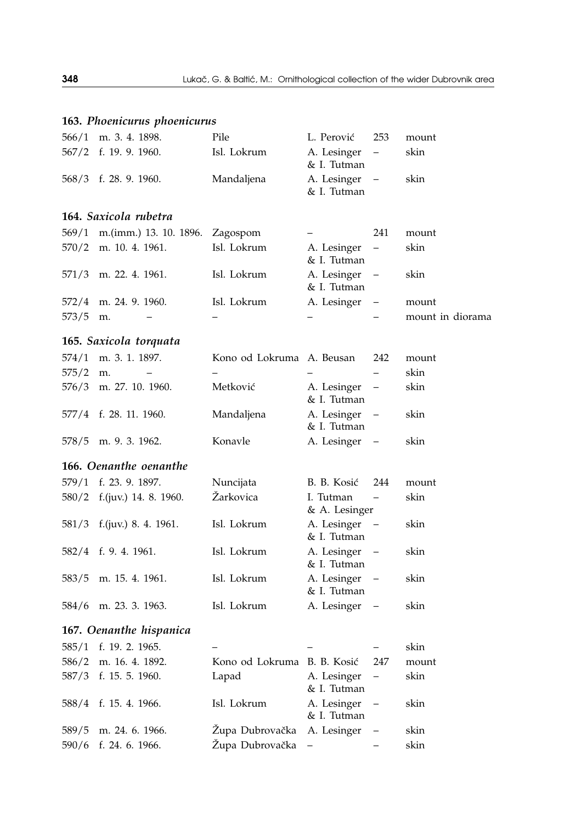| 566/1 | m. 3. 4. 1898.          | Pile                        | L. Perović                 | 253                      | mount            |
|-------|-------------------------|-----------------------------|----------------------------|--------------------------|------------------|
| 567/2 | f. 19. 9. 1960.         | Isl. Lokrum                 | A. Lesinger<br>& I. Tutman |                          | skin             |
| 568/3 | f. 28. 9. 1960.         | Mandaljena                  | A. Lesinger<br>& I. Tutman | $\qquad \qquad -$        | skin             |
|       | 164. Saxicola rubetra   |                             |                            |                          |                  |
| 569/1 | m.(imm.) 13. 10. 1896.  | Zagospom                    |                            | 241                      | mount            |
| 570/2 | m. 10. 4. 1961.         | Isl. Lokrum                 | A. Lesinger<br>& I. Tutman |                          | skin             |
| 571/3 | m. 22. 4. 1961.         | Isl. Lokrum                 | A. Lesinger<br>& I. Tutman | $\qquad \qquad -$        | skin             |
| 572/4 | m. 24. 9. 1960.         | Isl. Lokrum                 | A. Lesinger                | -                        | mount            |
| 573/5 | m.                      |                             |                            |                          | mount in diorama |
|       | 165. Saxicola torquata  |                             |                            |                          |                  |
| 574/1 | m. 3. 1. 1897.          | Kono od Lokruma A. Beusan   |                            | 242                      | mount            |
| 575/2 | m.                      |                             |                            |                          | skin             |
| 576/3 | m. 27. 10. 1960.        | Metković                    | A. Lesinger<br>& I. Tutman | $\qquad \qquad -$        | skin             |
| 577/4 | f. 28. 11. 1960.        | Mandaljena                  | A. Lesinger<br>& I. Tutman | $\qquad \qquad -$        | skin             |
| 578/5 | m. 9. 3. 1962.          | Konavle                     | A. Lesinger                | $\qquad \qquad -$        | skin             |
|       | 166. Oenanthe oenanthe  |                             |                            |                          |                  |
| 579/1 | f. 23. 9. 1897.         | Nuncijata                   | B. B. Kosić                | 244                      | mount            |
| 580/2 | f.(juv.) 14. 8. 1960.   | Žarkovica                   | I. Tutman<br>& A. Lesinger |                          | skin             |
| 581/3 | f.(juv.) 8. 4. 1961.    | Isl. Lokrum                 | A. Lesinger<br>& I. Tutman | $\qquad \qquad -$        | skin             |
| 582/4 | f. 9. 4. 1961.          | Isl. Lokrum                 | A. Lesinger<br>& I. Tutman | $\qquad \qquad -$        | skin             |
| 583/5 | m. 15. 4. 1961.         | Isl. Lokrum                 | A. Lesinger<br>& I. Tutman | $\qquad \qquad -$        | skin             |
| 584/6 | m. 23. 3. 1963.         | Isl. Lokrum                 | A. Lesinger                |                          | skin             |
|       | 167. Oenanthe hispanica |                             |                            |                          |                  |
| 585/1 | f. 19. 2. 1965.         |                             |                            |                          | skin             |
| 586/2 | m. 16. 4. 1892.         | Kono od Lokruma B. B. Kosić |                            | 247                      | mount            |
| 587/3 | f. 15. 5. 1960.         | Lapad                       | A. Lesinger<br>& I. Tutman | $\overline{\phantom{0}}$ | skin             |
| 588/4 | f. 15. 4. 1966.         | Isl. Lokrum                 | A. Lesinger<br>& I. Tutman |                          | skin             |
| 589/5 | m. 24. 6. 1966.         | Zupa Dubrovačka             | A. Lesinger                | -                        | skin             |
| 590/6 | f. 24. 6. 1966.         | Župa Dubrovačka             | $\overline{\phantom{0}}$   |                          | skin             |

# **163.** *Phoenicurus phoenicurus*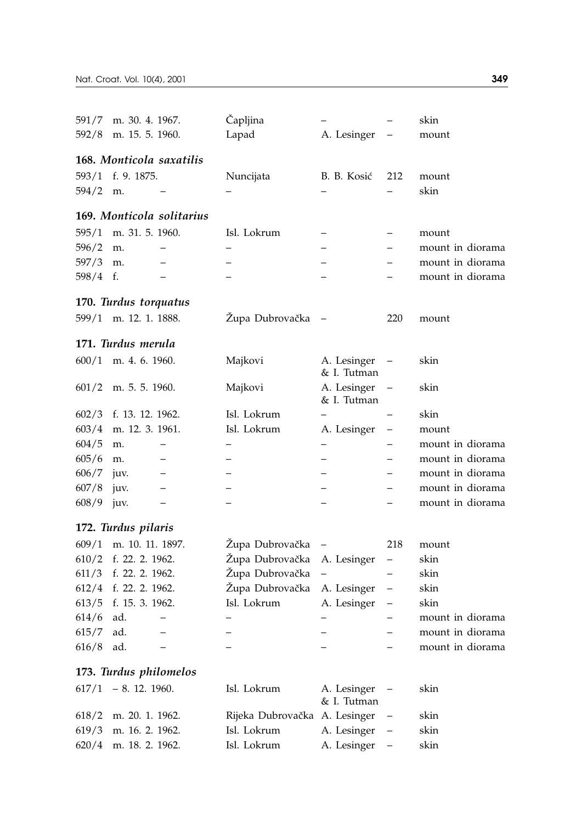|          | 591/7 m. 30. 4. 1967.     | Čapljina                      |                            |                          | skin             |
|----------|---------------------------|-------------------------------|----------------------------|--------------------------|------------------|
|          | 592/8 m. 15. 5. 1960.     | Lapad                         | A. Lesinger                |                          | mount            |
|          |                           |                               |                            |                          |                  |
|          | 168. Monticola saxatilis  |                               |                            |                          |                  |
| 593/1    | f. 9. 1875.               | Nuncijata                     | B. B. Kosić                | 212                      | mount            |
| 594/2    | m.                        |                               |                            |                          | skin             |
|          | 169. Monticola solitarius |                               |                            |                          |                  |
| 595/1    | m. 31. 5. 1960.           | Isl. Lokrum                   |                            |                          | mount            |
| 596/2    | m.                        |                               |                            |                          | mount in diorama |
| 597/3    | m.                        |                               |                            |                          | mount in diorama |
| 598/4 f. |                           |                               |                            |                          | mount in diorama |
|          |                           |                               |                            |                          |                  |
|          | 170. Turdus torquatus     |                               |                            |                          |                  |
|          | 599/1 m. 12. 1. 1888.     | Župa Dubrovačka               |                            | 220                      | mount            |
|          | 171. Turdus merula        |                               |                            |                          |                  |
|          | $600/1$ m. 4. 6. 1960.    | Majkovi                       | A. Lesinger                |                          | skin             |
|          |                           |                               | & I. Tutman                |                          |                  |
| 601/2    | m. 5. 5. 1960.            | Majkovi                       | A. Lesinger                | $\equiv$                 | skin             |
|          |                           |                               | & I. Tutman                |                          |                  |
| 602/3    | f. 13. 12. 1962.          | Isl. Lokrum                   |                            |                          | skin             |
|          | 603/4 m. 12. 3. 1961.     | Isl. Lokrum                   | A. Lesinger                | —                        | mount            |
| 604/5    | m.                        |                               |                            |                          | mount in diorama |
| 605/6    | m.                        |                               |                            |                          | mount in diorama |
| 606/7    | juv.<br>$\qquad \qquad -$ |                               |                            | -                        | mount in diorama |
| 607/8    | juv.<br>-                 |                               |                            |                          | mount in diorama |
| 608/9    | juv.<br>—                 |                               |                            |                          | mount in diorama |
|          | 172. Turdus pilaris       |                               |                            |                          |                  |
| 609/1    | m. 10. 11. 1897.          | Župa Dubrovačka               |                            | 218                      | mount            |
| 610/2    | f. 22. 2. 1962.           | Župa Dubrovačka               | A. Lesinger                | $\overline{\phantom{0}}$ | skin             |
|          | 611/3 f. 22. 2. 1962.     | Župa Dubrovačka               | $\qquad \qquad -$          | $\overline{\phantom{0}}$ | skin             |
|          | 612/4 f. 22. 2. 1962.     | Župa Dubrovačka               | A. Lesinger                | $\qquad \qquad -$        | skin             |
|          | 613/5 f. 15. 3. 1962.     | Isl. Lokrum                   | A. Lesinger                | $\overline{\phantom{0}}$ | skin             |
| 614/6    | ad.                       |                               |                            |                          | mount in diorama |
| 615/7    | ad.<br>$\qquad \qquad -$  |                               |                            |                          | mount in diorama |
| 616/8    | ad.                       |                               |                            |                          | mount in diorama |
|          |                           |                               |                            |                          |                  |
|          | 173. Turdus philomelos    |                               |                            |                          |                  |
|          | $617/1 - 8.12.1960.$      | Isl. Lokrum                   | A. Lesinger<br>& I. Tutman | $\overline{\phantom{0}}$ | skin             |
| 618/2    | m. 20. 1. 1962.           | Rijeka Dubrovačka A. Lesinger |                            | $\overline{a}$           | skin             |
| 619/3    | m. 16. 2. 1962.           | Isl. Lokrum                   | A. Lesinger                |                          | skin             |
| 620/4    | m. 18. 2. 1962.           | Isl. Lokrum                   | A. Lesinger                |                          | skin             |
|          |                           |                               |                            |                          |                  |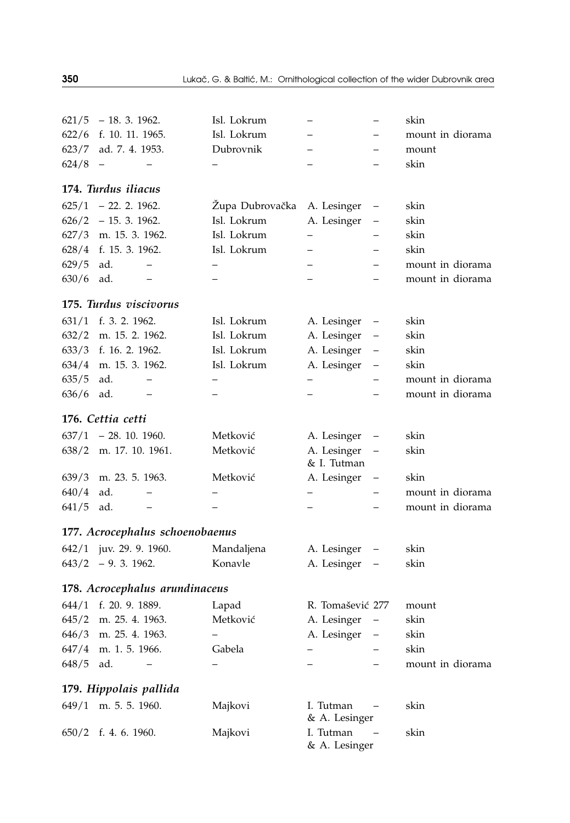| 621/5 | $-18.3.1962.$                   | Isl. Lokrum     |                            |                          | skin             |
|-------|---------------------------------|-----------------|----------------------------|--------------------------|------------------|
| 622/6 | f. 10. 11. 1965.                | Isl. Lokrum     |                            |                          | mount in diorama |
| 623/7 | ad. 7. 4. 1953.                 | Dubrovnik       |                            |                          | mount            |
| 624/8 |                                 |                 |                            |                          | skin             |
|       | 174. Turdus iliacus             |                 |                            |                          |                  |
|       | $625/1$ - 22. 2. 1962.          | Župa Dubrovačka | A. Lesinger                | $\qquad \qquad -$        | skin             |
|       | $626/2$ - 15. 3. 1962.          | Isl. Lokrum     | A. Lesinger                | $\qquad \qquad -$        | skin             |
|       | 627/3 m. 15. 3. 1962.           | Isl. Lokrum     | $-$                        |                          | skin             |
|       | 628/4 f. 15. 3. 1962.           | Isl. Lokrum     |                            |                          | skin             |
| 629/5 | ad.<br>$\overline{\phantom{0}}$ |                 |                            |                          | mount in diorama |
| 630/6 | ad.                             |                 |                            |                          | mount in diorama |
|       | 175. Turdus viscivorus          |                 |                            |                          |                  |
|       | 631/1 f. 3. 2. 1962.            | Isl. Lokrum     | A. Lesinger                | $\qquad \qquad -$        | skin             |
|       | 632/2 m. 15. 2. 1962.           | Isl. Lokrum     | A. Lesinger                | $\qquad \qquad -$        | skin             |
|       | 633/3 f. 16. 2. 1962.           | Isl. Lokrum     | A. Lesinger                | $\qquad \qquad -$        | skin             |
|       | 634/4 m. 15. 3. 1962.           | Isl. Lokrum     | A. Lesinger                | $\qquad \qquad -$        | skin             |
| 635/5 | ad.<br>$\overline{\phantom{0}}$ | -               | $\overline{\phantom{0}}$   | -                        | mount in diorama |
| 636/6 | ad.<br>$\overline{\phantom{0}}$ |                 |                            | —                        | mount in diorama |
|       | 176. Cettia cetti               |                 |                            |                          |                  |
|       | $637/1$ - 28. 10. 1960.         | Metković        | A. Lesinger                | $\overline{\phantom{0}}$ | skin             |
|       | 638/2 m. 17. 10. 1961.          | Metković        | A. Lesinger<br>& I. Tutman | $\qquad \qquad -$        | skin             |
| 639/3 | m. 23. 5. 1963.                 | Metković        | A. Lesinger                | $\qquad \qquad -$        | skin             |
| 640/4 | ad.                             |                 | —                          | $\qquad \qquad -$        | mount in diorama |
| 641/5 | ad.                             |                 |                            | $\qquad \qquad -$        | mount in diorama |
|       | 177. Acrocephalus schoenobaenus |                 |                            |                          |                  |
|       | 642/1 juv. 29. 9. 1960.         | Mandaljena      | A. Lesinger                | $\qquad \qquad -$        | skin             |
|       | $643/2$ - 9. 3. 1962.           | Konavle         | A. Lesinger                | $\qquad \qquad -$        | skin             |
|       | 178. Acrocephalus arundinaceus  |                 |                            |                          |                  |
|       | 644/1 f. 20. 9. 1889.           | Lapad           | R. Tomašević 277           |                          | mount            |
|       | 645/2 m. 25. 4. 1963.           | Metković        | A. Lesinger                | $\qquad \qquad -$        | skin             |
| 646/3 | m. 25. 4. 1963.                 |                 | A. Lesinger                | $\qquad \qquad -$        | skin             |
| 647/4 | m. 1. 5. 1966.                  | Gabela          | $\overline{\phantom{0}}$   | $\overline{a}$           | skin             |
| 648/5 | ad.                             |                 |                            |                          | mount in diorama |
|       | 179. Hippolais pallida          |                 |                            |                          |                  |
| 649/1 | m. 5. 5. 1960.                  | Majkovi         | I. Tutman<br>& A. Lesinger |                          | skin             |
| 650/2 | f. 4. 6. 1960.                  | Majkovi         | I. Tutman<br>& A. Lesinger |                          | skin             |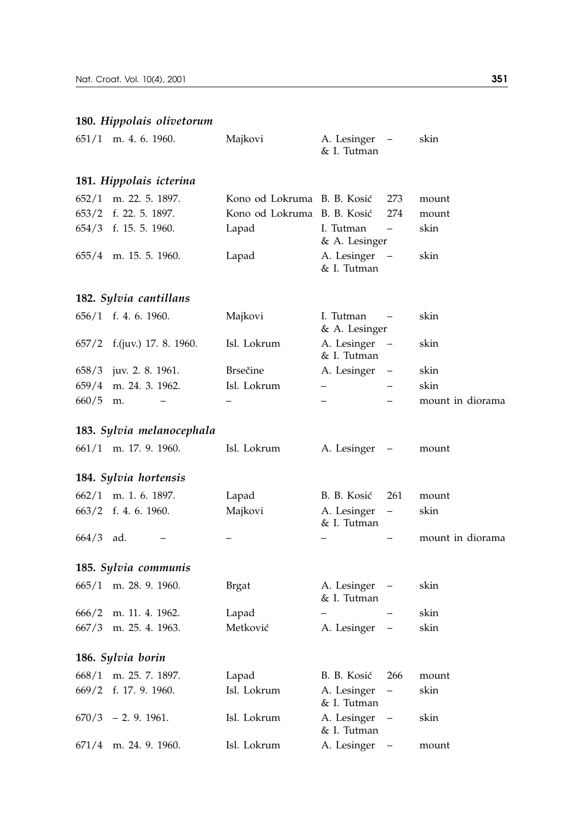# **180.** *Hippolais olivetorum*

| 651/1 | m. 4. 6. 1960.            | Majkovi                     | A. Lesinger<br>& I. Tutman |                          | skin             |
|-------|---------------------------|-----------------------------|----------------------------|--------------------------|------------------|
|       | 181. Hippolais icterina   |                             |                            |                          |                  |
| 652/1 | m. 22. 5. 1897.           | Kono od Lokruma B. B. Kosić |                            | 273                      | mount            |
| 653/2 | f. 22. 5. 1897.           | Kono od Lokruma             | B. B. Kosić                | 274                      | mount            |
| 654/3 | f. 15. 5. 1960.           | Lapad                       | I. Tutman<br>& A. Lesinger | $\overline{\phantom{0}}$ | skin             |
| 655/4 | m. 15. 5. 1960.           | Lapad                       | A. Lesinger<br>& I. Tutman |                          | skin             |
|       | 182. Sylvia cantillans    |                             |                            |                          |                  |
| 656/1 | f. 4. 6. 1960.            | Majkovi                     | I. Tutman<br>& A. Lesinger |                          | skin             |
| 657/2 | f.(juv.) 17. 8. 1960.     | Isl. Lokrum                 | A. Lesinger<br>& I. Tutman | $\qquad \qquad -$        | skin             |
| 658/3 | juv. 2. 8. 1961.          | <b>Brsečine</b>             | A. Lesinger                |                          | skin             |
| 659/4 | m. 24. 3. 1962.           | Isl. Lokrum                 | $\overline{\phantom{0}}$   |                          | skin             |
| 660/5 | m.                        |                             | $\overline{\phantom{0}}$   |                          | mount in diorama |
|       | 183. Sylvia melanocephala |                             |                            |                          |                  |
| 661/1 | m. 17. 9. 1960.           | Isl. Lokrum                 | A. Lesinger                |                          | mount            |
|       | 184. Sylvia hortensis     |                             |                            |                          |                  |
| 662/1 | m. 1. 6. 1897.            | Lapad                       | B. B. Kosić                | 261                      | mount            |
| 663/2 | f. 4. 6. 1960.            | Majkovi                     | A. Lesinger<br>& I. Tutman | $\overline{\phantom{0}}$ | skin             |
| 664/3 | ad.                       |                             |                            |                          | mount in diorama |
|       | 185. Sylvia communis      |                             |                            |                          |                  |
| 665/1 | m. 28. 9. 1960.           | Brgat                       | A. Lesinger<br>& I. Tutman |                          | skin             |
| 666/2 | m. 11. 4. 1962.           | Lapad                       |                            |                          | skin             |
| 667/3 | m. 25. 4. 1963.           | Metković                    | A. Lesinger                | $\qquad \qquad -$        | skin             |
|       | 186. Sylvia borin         |                             |                            |                          |                  |
| 668/1 | m. 25. 7. 1897.           | Lapad                       | B. B. Kosić                | 266                      | mount            |
| 669/2 | f. 17. 9. 1960.           | Isl. Lokrum                 | A. Lesinger<br>& I. Tutman | -                        | skin             |
| 670/3 | $-2.9.1961.$              | Isl. Lokrum                 | A. Lesinger<br>& I. Tutman |                          | skin             |
| 671/4 | m. 24. 9. 1960.           | Isl. Lokrum                 | A. Lesinger                | $\overline{a}$           | mount            |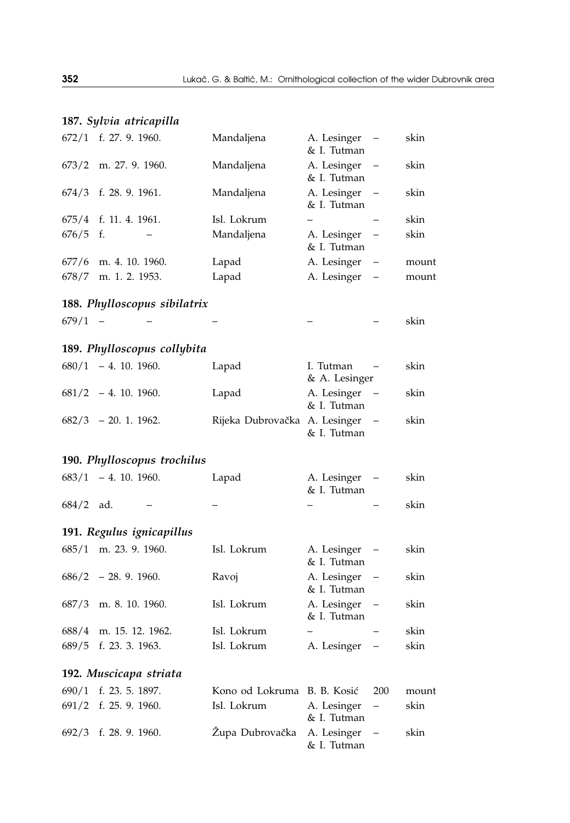# **187.** *Sylvia atricapilla*

| 672/1 | f. 27. 9. 1960.              | Mandaljena                    | A. Lesinger<br>& I. Tutman |                          | skin  |
|-------|------------------------------|-------------------------------|----------------------------|--------------------------|-------|
| 673/2 | m. 27. 9. 1960.              | Mandaljena                    | A. Lesinger<br>& I. Tutman |                          | skin  |
| 674/3 | f. 28. 9. 1961.              | Mandaljena                    | A. Lesinger<br>& I. Tutman |                          | skin  |
| 675/4 | f. 11. 4. 1961.              | Isl. Lokrum                   |                            |                          | skin  |
| 676/5 | f.                           | Mandaljena                    | A. Lesinger<br>& I. Tutman |                          | skin  |
| 677/6 | m. 4. 10. 1960.              | Lapad                         | A. Lesinger                | $\overline{\phantom{0}}$ | mount |
| 678/7 | m. 1. 2. 1953.               | Lapad                         | A. Lesinger                |                          | mount |
|       | 188. Phylloscopus sibilatrix |                               |                            |                          |       |
| 679/1 |                              |                               |                            |                          | skin  |
|       | 189. Phylloscopus collybita  |                               |                            |                          |       |
| 680/1 | $-4.10.1960.$                | Lapad                         | I. Tutman<br>& A. Lesinger |                          | skin  |
| 681/2 | $-4.10.1960.$                | Lapad                         | A. Lesinger<br>& I. Tutman |                          | skin  |
| 682/3 | $-20.1.1962.$                | Rijeka Dubrovačka A. Lesinger | & I. Tutman                | $\qquad \qquad -$        | skin  |
|       | 190. Phylloscopus trochilus  |                               |                            |                          |       |
| 683/1 | $-4.10.1960.$                | Lapad                         | A. Lesinger<br>& I. Tutman |                          | skin  |
| 684/2 | ad.                          |                               |                            |                          | skin  |
|       | 191. Regulus ignicapillus    |                               |                            |                          |       |
| 685/1 | m. 23. 9. 1960.              | Isl. Lokrum                   | A. Lesinger<br>& I. Tutman | $\overline{\phantom{0}}$ | skin  |
| 686/2 | $-28.9.1960.$                | Ravoj                         | A. Lesinger<br>& I. Tutman |                          | skin  |
| 687/3 | m. 8. 10. 1960.              | Isl. Lokrum                   | A. Lesinger<br>& I. Tutman |                          | skin  |
| 688/4 | m. 15. 12. 1962.             | Isl. Lokrum                   |                            |                          | skin  |
| 689/5 | f. 23. 3. 1963.              | Isl. Lokrum                   | A. Lesinger                |                          | skin  |
|       | 192. Muscicapa striata       |                               |                            |                          |       |
| 690/1 | f. 23. 5. 1897.              | Kono od Lokruma               | B. B. Kosić                | 200                      | mount |
| 691/2 | f. 25. 9. 1960.              | Isl. Lokrum                   | A. Lesinger<br>& I. Tutman | —                        | skin  |
| 692/3 | f. 28. 9. 1960.              | Zupa Dubrovačka               | A. Lesinger<br>& I. Tutman | $\overline{\phantom{0}}$ | skin  |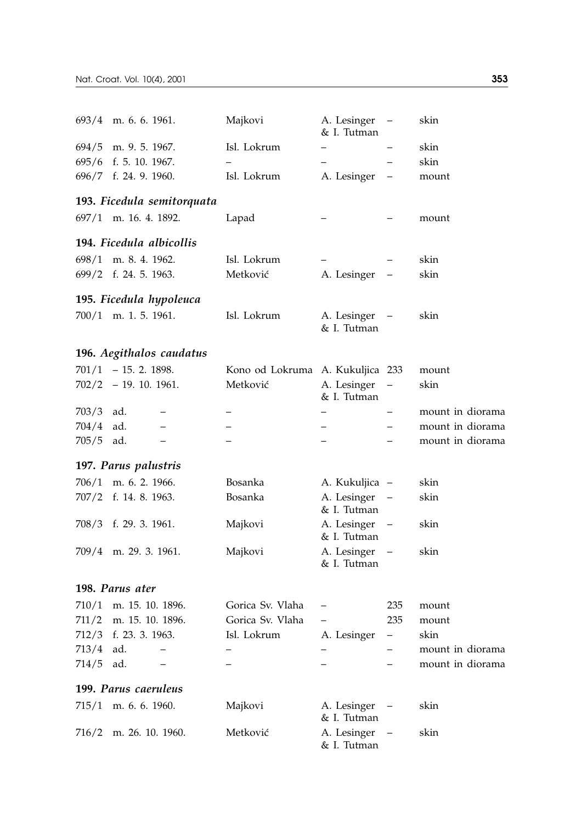| 693/4 | m. 6. 6. 1961.             | Majkovi                          | A. Lesinger<br>& I. Tutman   |                          | skin             |
|-------|----------------------------|----------------------------------|------------------------------|--------------------------|------------------|
| 694/5 | m. 9. 5. 1967.             | Isl. Lokrum                      | $\overline{a}$               |                          | skin             |
|       | 695/6 f. 5. 10. 1967.      | $\overline{a}$                   | $\overline{\phantom{0}}$     |                          | skin             |
|       | 696/7 f. 24. 9. 1960.      | Isl. Lokrum                      | A. Lesinger                  |                          | mount            |
|       | 193. Ficedula semitorquata |                                  |                              |                          |                  |
|       | 697/1 m. 16. 4. 1892.      | Lapad                            |                              |                          | mount            |
|       | 194. Ficedula albicollis   |                                  |                              |                          |                  |
| 698/1 | m. 8. 4. 1962.             | Isl. Lokrum                      |                              |                          | skin             |
|       | 699/2 f. 24. 5. 1963.      | Metković                         | A. Lesinger                  |                          | skin             |
|       | 195. Ficedula hypoleuca    |                                  |                              |                          |                  |
|       | $700/1$ m. 1. 5. 1961.     | Isl. Lokrum                      | A. Lesinger<br>& I. Tutman   |                          | skin             |
|       | 196. Aegithalos caudatus   |                                  |                              |                          |                  |
|       | $701/1 - 15.2.1898.$       | Kono od Lokruma A. Kukuljica 233 |                              |                          | mount            |
|       | $702/2 - 19.10.1961.$      | Metković                         | A. Lesinger<br>& I. Tutman   | $\overline{\phantom{0}}$ | skin             |
| 703/3 | ad.                        |                                  |                              |                          | mount in diorama |
| 704/4 | ad.<br>—                   |                                  | $\overline{\phantom{0}}$     |                          | mount in diorama |
| 705/5 | ad.<br>$\qquad \qquad -$   |                                  | $\overline{\phantom{0}}$     |                          | mount in diorama |
|       | 197. Parus palustris       |                                  |                              |                          |                  |
|       | 706/1 m. 6. 2. 1966.       | Bosanka                          | A. Kukuljica –               |                          | skin             |
|       | 707/2 f. 14. 8. 1963.      | Bosanka                          | A. Lesinger<br>& I. Tutman   |                          | skin             |
|       | 708/3 f. 29. 3. 1961.      | Majkovi                          | A. Lesinger<br>& I. Tutman   | $\qquad \qquad -$        | skin             |
| 709/4 | m. 29. 3. 1961.            | Majkovi                          | A. Lesinger –<br>& I. Tutman |                          | skin             |
|       | 198. Parus ater            |                                  |                              |                          |                  |
|       | 710/1 m. 15. 10. 1896.     | Gorica Sv. Vlaha                 |                              | 235                      | mount            |
|       | 711/2 m. 15. 10. 1896.     | Gorica Sv. Vlaha                 |                              | 235                      | mount            |
|       | 712/3 f. 23. 3. 1963.      | Isl. Lokrum                      | A. Lesinger                  | -                        | skin             |
| 713/4 | ad.<br>$\qquad \qquad -$   |                                  |                              |                          | mount in diorama |
| 714/5 | ad.                        |                                  |                              |                          | mount in diorama |
|       | 199. Parus caeruleus       |                                  |                              |                          |                  |
| 715/1 | m. 6. 6. 1960.             | Majkovi                          | A. Lesinger<br>& I. Tutman   |                          | skin             |
| 716/2 | m. 26. 10. 1960.           | Metković                         | A. Lesinger<br>& I. Tutman   |                          | skin             |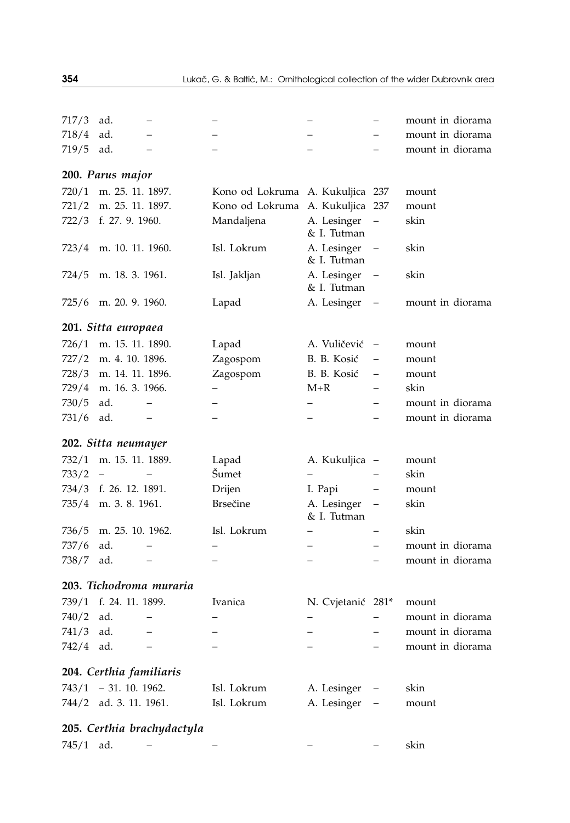| 717/3 | ad.                      |                         |                 |                            |                          | mount in diorama |
|-------|--------------------------|-------------------------|-----------------|----------------------------|--------------------------|------------------|
| 718/4 | ad.                      |                         |                 |                            |                          | mount in diorama |
| 719/5 | ad.                      |                         |                 |                            |                          | mount in diorama |
|       | 200. Parus major         |                         |                 |                            |                          |                  |
| 720/1 | m. 25. 11. 1897.         |                         | Kono od Lokruma | A. Kukuljica 237           |                          | mount            |
| 721/2 | m. 25. 11. 1897.         |                         | Kono od Lokruma | A. Kukuljica 237           |                          | mount            |
| 722/3 | f. 27. 9. 1960.          |                         | Mandaljena      | A. Lesinger<br>& I. Tutman | $\overline{a}$           | skin             |
| 723/4 | m. 10. 11. 1960.         |                         | Isl. Lokrum     | A. Lesinger<br>& I. Tutman |                          | skin             |
| 724/5 | m. 18. 3. 1961.          |                         | Isl. Jakljan    | A. Lesinger<br>& I. Tutman | $\overline{\phantom{0}}$ | skin             |
| 725/6 | m. 20. 9. 1960.          |                         | Lapad           | A. Lesinger                | $\qquad \qquad -$        | mount in diorama |
|       | 201. Sitta europaea      |                         |                 |                            |                          |                  |
| 726/1 | m. 15. 11. 1890.         |                         | Lapad           | A. Vuličević               | $\overline{\phantom{0}}$ | mount            |
| 727/2 | m. 4. 10. 1896.          |                         | Zagospom        | B. B. Kosić                | $\overline{\phantom{0}}$ | mount            |
| 728/3 | m. 14. 11. 1896.         |                         | Zagospom        | B. B. Kosić                | $\overline{\phantom{0}}$ | mount            |
| 729/4 | m. 16. 3. 1966.          |                         |                 | $M+R$                      |                          | skin             |
| 730/5 | ad.                      |                         |                 | -                          |                          | mount in diorama |
| 731/6 | ad.                      |                         |                 |                            |                          | mount in diorama |
|       |                          |                         |                 |                            |                          |                  |
|       | 202. Sitta neumayer      |                         |                 |                            |                          |                  |
| 732/1 | m. 15. 11. 1889.         |                         | Lapad           | A. Kukuljica               | $\overline{\phantom{0}}$ | mount            |
| 733/2 | $\overline{\phantom{0}}$ |                         | Šumet           |                            |                          | skin             |
| 734/3 | f. 26. 12. 1891.         |                         | Drijen          | I. Papi                    | $\overline{\phantom{0}}$ | mount            |
| 735/4 | m. 3. 8. 1961.           |                         | <b>Brsečine</b> | A. Lesinger<br>& I. Tutman | $\overline{\phantom{0}}$ | skin             |
| 736/5 | m. 25. 10. 1962.         |                         | Isl. Lokrum     |                            |                          | skin             |
| 737/6 | ad.                      |                         |                 |                            |                          | mount in diorama |
| 738/7 | ad.                      |                         |                 | $\overline{\phantom{0}}$   |                          | mount in diorama |
|       |                          | 203. Tichodroma muraria |                 |                            |                          |                  |
| 739/1 | f. 24. 11. 1899.         |                         | Ivanica         | N. Cvjetanić 281*          |                          | mount            |
| 740/2 | ad.                      |                         |                 |                            | $\overline{\phantom{0}}$ | mount in diorama |
| 741/3 | ad.                      |                         |                 |                            |                          | mount in diorama |
| 742/4 | ad.                      |                         |                 |                            |                          | mount in diorama |
|       | 204. Certhia familiaris  |                         |                 |                            |                          |                  |
|       | $743/1 - 31.10.1962$     |                         | Isl. Lokrum     | A. Lesinger                |                          | skin             |
|       | 744/2 ad. 3. 11. 1961.   |                         | Isl. Lokrum     | A. Lesinger                | $\overline{a}$           | mount            |

| skin |
|------|
|      |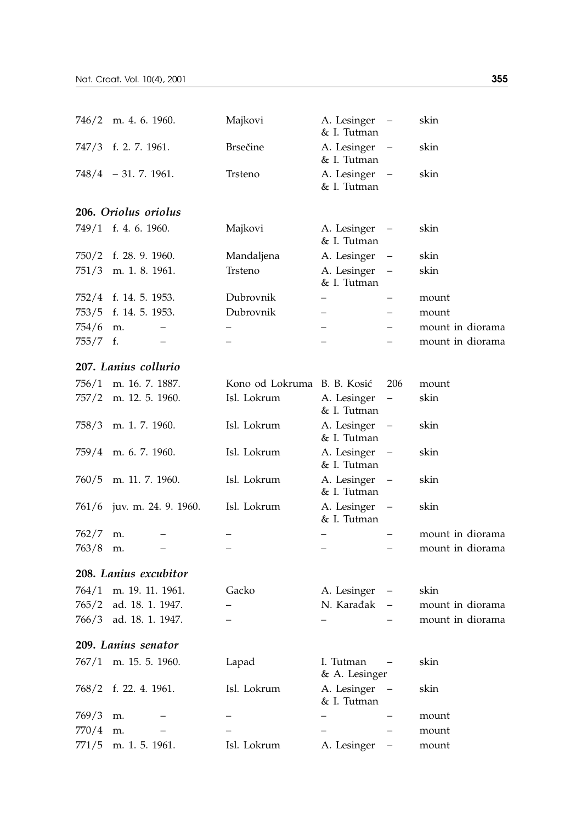| 746/2    | m. 4. 6. 1960.         | Majkovi                     | A. Lesinger<br>& I. Tutman | $\qquad \qquad -$ | skin             |
|----------|------------------------|-----------------------------|----------------------------|-------------------|------------------|
| 747/3    | f. 2. 7. 1961.         | <b>Brsečine</b>             | A. Lesinger<br>& I. Tutman |                   | skin             |
|          | $748/4$ - 31. 7. 1961. | Trsteno                     | A. Lesinger<br>& I. Tutman |                   | skin             |
|          | 206. Oriolus oriolus   |                             |                            |                   |                  |
|          | 749/1 f. 4. 6. 1960.   | Majkovi                     | A. Lesinger<br>& I. Tutman | $\qquad \qquad -$ | skin             |
| 750/2    | f. 28. 9. 1960.        | Mandaljena                  | A. Lesinger                |                   | skin             |
| 751/3    | m. 1. 8. 1961.         | Trsteno                     | A. Lesinger<br>& I. Tutman |                   | skin             |
| 752/4    | f. 14. 5. 1953.        | Dubrovnik                   | -                          |                   | mount            |
| 753/5    | f. 14. 5. 1953.        | Dubrovnik                   | -                          |                   | mount            |
| 754/6    | m.<br>-                | $\overline{\phantom{0}}$    | -                          |                   | mount in diorama |
| 755/7 f. | —                      | $\overline{\phantom{0}}$    | $\overline{\phantom{0}}$   |                   | mount in diorama |
|          | 207. Lanius collurio   |                             |                            |                   |                  |
| 756/1    | m. 16. 7. 1887.        | Kono od Lokruma B. B. Kosić |                            | 206               | mount            |
| 757/2    | m. 12. 5. 1960.        | Isl. Lokrum                 | A. Lesinger<br>& I. Tutman | $\qquad \qquad -$ | skin             |
| 758/3    | m. 1. 7. 1960.         | Isl. Lokrum                 | A. Lesinger<br>& I. Tutman | $\qquad \qquad -$ | skin             |
| 759/4    | m. 6. 7. 1960.         | Isl. Lokrum                 | A. Lesinger<br>& I. Tutman |                   | skin             |
| 760/5    | m. 11. 7. 1960.        | Isl. Lokrum                 | A. Lesinger<br>& I. Tutman | $\qquad \qquad -$ | skin             |
| 761/6    | juv. m. 24. 9. 1960.   | Isl. Lokrum                 | A. Lesinger<br>& I. Tutman |                   | skin             |
| 762/7    | m.                     |                             |                            |                   | mount in diorama |
| 763/8    | m.                     |                             |                            |                   | mount in diorama |
|          | 208. Lanius excubitor  |                             |                            |                   |                  |
| 764/1    | m. 19. 11. 1961.       | Gacko                       | A. Lesinger                |                   | skin             |
| 765/2    | ad. 18. 1. 1947.       | $\overline{\phantom{0}}$    | N. Karađak                 |                   | mount in diorama |
| 766/3    | ad. 18. 1. 1947.       |                             |                            |                   | mount in diorama |
|          | 209. Lanius senator    |                             |                            |                   |                  |
| 767/1    | m. 15. 5. 1960.        | Lapad                       | I. Tutman<br>& A. Lesinger | $\qquad \qquad -$ | skin             |
| 768/2    | f. 22. 4. 1961.        | Isl. Lokrum                 | A. Lesinger<br>& I. Tutman |                   | skin             |
| 769/3    | m.                     |                             |                            |                   | mount            |
| 770/4    | m.                     |                             |                            |                   | mount            |
| 771/5    | m. 1. 5. 1961.         | Isl. Lokrum                 | A. Lesinger                |                   | mount            |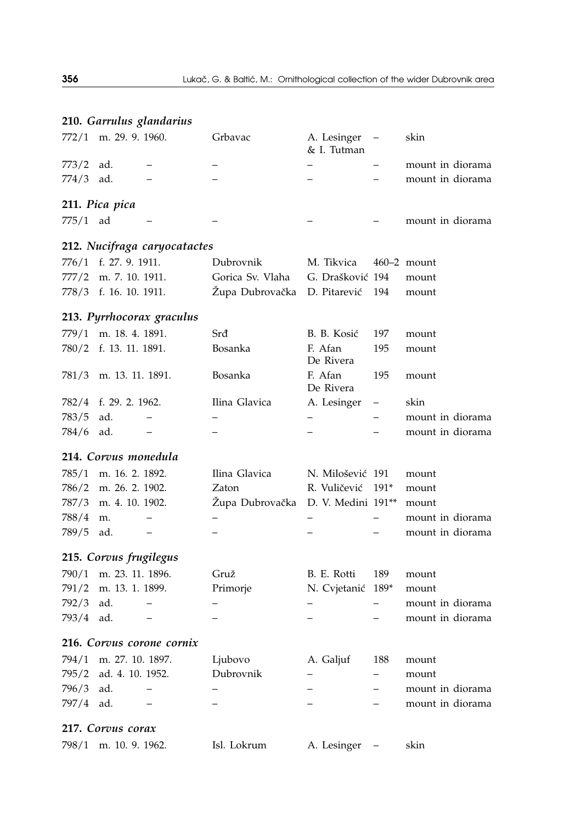|       |                        | 210. Garrulus glandarius     |                  |                            |                          |                  |
|-------|------------------------|------------------------------|------------------|----------------------------|--------------------------|------------------|
| 772/1 | m. 29. 9. 1960.        |                              | Grbavac          | A. Lesinger<br>& I. Tutman |                          | skin             |
| 773/2 | ad.                    |                              |                  |                            |                          | mount in diorama |
| 774/3 | ad.                    |                              |                  |                            |                          | mount in diorama |
|       | 211. Pica pica         |                              |                  |                            |                          |                  |
| 775/1 | ad                     |                              |                  |                            |                          | mount in diorama |
|       |                        | 212. Nucifraga caryocatactes |                  |                            |                          |                  |
| 776/1 | f. 27. 9. 1911.        |                              | Dubrovnik        | M. Tikvica                 |                          | $460 - 2$ mount  |
| 777/2 | m. 7. 10. 1911.        |                              | Gorica Sv. Vlaha | G. Drašković 194           |                          | mount            |
|       | 778/3 f. 16. 10. 1911. |                              | Župa Dubrovačka  | D. Pitarević               | 194                      | mount            |
|       |                        | 213. Pyrrhocorax graculus    |                  |                            |                          |                  |
| 779/1 | m. 18. 4. 1891.        |                              | Srđ              | B. B. Kosić                | 197                      | mount            |
| 780/2 | f. 13. 11. 1891.       |                              | Bosanka          | F. Afan<br>De Rivera       | 195                      | mount            |
| 781/3 | m. 13. 11. 1891.       |                              | Bosanka          | F. Afan<br>De Rivera       | 195                      | mount            |
| 782/4 | f. 29. 2. 1962.        |                              | Ilina Glavica    | A. Lesinger                |                          | skin             |
| 783/5 | ad.                    | $\qquad \qquad -$            |                  |                            |                          | mount in diorama |
| 784/6 | ad.                    |                              |                  |                            |                          | mount in diorama |
|       | 214. Corvus monedula   |                              |                  |                            |                          |                  |
| 785/1 | m. 16. 2. 1892.        |                              | Ilina Glavica    | N. Milošević 191           |                          | mount            |
| 786/2 | m. 26. 2. 1902.        |                              | Zaton            | R. Vuličević               | $191*$                   | mount            |
| 787/3 | m. 4. 10. 1902.        |                              | Župa Dubrovačka  | D. V. Medini 191**         |                          | mount            |
| 788/4 | m.                     | $\qquad \qquad -$            |                  |                            | $\overline{\phantom{0}}$ | mount in diorama |
| 789/5 | ad.                    | -                            |                  |                            |                          | mount in diorama |
|       | 215. Corvus frugilegus |                              |                  |                            |                          |                  |
| 790/1 | m. 23. 11. 1896.       |                              | Gruž             | B. E. Rotti                | 189                      | mount            |
| 791/2 | m. 13. 1. 1899.        |                              | Primorje         | N. Cvjetanić               | $189*$                   | mount            |
| 792/3 | ad.                    |                              |                  |                            |                          | mount in diorama |
| 793/4 | ad.                    | $\overline{\phantom{0}}$     |                  |                            |                          | mount in diorama |
|       |                        | 216. Corvus corone cornix    |                  |                            |                          |                  |
| 794/1 | m. 27. 10. 1897.       |                              | Ljubovo          | A. Galjuf                  | 188                      | mount            |
| 795/2 | ad. 4. 10. 1952.       |                              | Dubrovnik        |                            |                          | mount            |
| 796/3 | ad.                    |                              |                  |                            |                          | mount in diorama |
| 797/4 | ad.                    | $\overline{\phantom{0}}$     |                  | $\overline{\phantom{0}}$   | $\overline{\phantom{0}}$ | mount in diorama |
|       | 217. Corvus corax      |                              |                  |                            |                          |                  |

798/1 m. 10. 9. 1962. Isl. Lokrum A. Lesinger – skin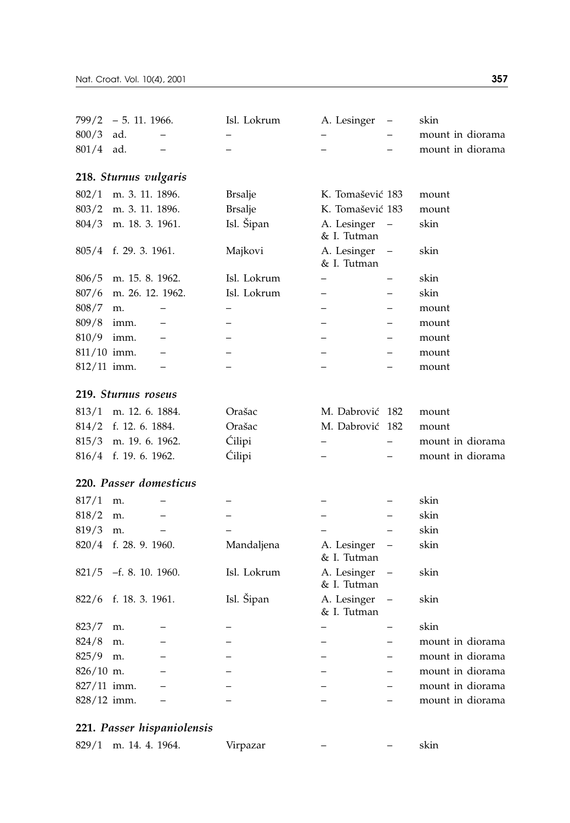| 799/2       | $-5.11.1966.$          | Isl. Lokrum    | A. Lesinger                |                          | skin             |
|-------------|------------------------|----------------|----------------------------|--------------------------|------------------|
| 800/3       | ad.                    |                |                            |                          | mount in diorama |
| 801/4       | ad.                    |                |                            |                          | mount in diorama |
|             | 218. Sturnus vulgaris  |                |                            |                          |                  |
| 802/1       | m. 3. 11. 1896.        | <b>Brsalje</b> | K. Tomašević 183           |                          | mount            |
| 803/2       | m. 3. 11. 1896.        | <b>Brsalje</b> | K. Tomašević 183           |                          | mount            |
| 804/3       | m. 18. 3. 1961.        | Isl. Šipan     | A. Lesinger<br>& I. Tutman |                          | skin             |
| 805/4       | f. 29. 3. 1961.        | Majkovi        | A. Lesinger<br>& I. Tutman |                          | skin             |
| 806/5       | m. 15. 8. 1962.        | Isl. Lokrum    |                            |                          | skin             |
| 807/6       | m. 26. 12. 1962.       | Isl. Lokrum    |                            |                          | skin             |
| 808/7       | m.                     |                |                            |                          | mount            |
| 809/8       | imm.                   |                |                            |                          | mount            |
| 810/9       | imm.                   |                |                            |                          | mount            |
| 811/10 imm. |                        |                |                            |                          | mount            |
| 812/11 imm. |                        |                | $\overline{a}$             |                          | mount            |
|             | 219. Sturnus roseus    |                |                            |                          |                  |
| 813/1       | m. 12. 6. 1884.        | Orašac         | M. Dabrović                | - 182                    | mount            |
| 814/2       | f. 12. 6. 1884.        | Orašac         | M. Dabrović                | 182                      | mount            |
| 815/3       | m. 19. 6. 1962.        | Ćilipi         |                            |                          | mount in diorama |
| 816/4       | f. 19. 6. 1962.        | Ćilipi         |                            |                          | mount in diorama |
|             | 220. Passer domesticus |                |                            |                          |                  |
| 817/1       | m.                     |                |                            |                          | skin             |
| 818/2       | m.                     |                |                            | $\overline{\phantom{0}}$ | skin             |
| 819/3       | m.                     |                |                            |                          | skin             |
| 820/4       | f. 28. 9. 1960.        | Mandaljena     | A. Lesinger<br>& I. Tutman |                          | skin             |
| 821/5       | $-f. 8. 10. 1960.$     | Isl. Lokrum    | A. Lesinger<br>& I. Tutman |                          | skin             |
| 822/6       | f. 18. 3. 1961.        | Isl. Šipan     | A. Lesinger<br>& I. Tutman |                          | skin             |
| 823/7       | m.                     |                |                            |                          | skin             |
| 824/8       | m.                     |                |                            |                          | mount in diorama |
| 825/9       | m.                     |                |                            | $\overline{\phantom{0}}$ | mount in diorama |
| $826/10$ m. |                        |                |                            |                          | mount in diorama |
| 827/11 imm. |                        |                |                            |                          | mount in diorama |
| 828/12 imm. |                        |                |                            |                          | mount in diorama |

# **221.** *Passer hispaniolensis*

|  | 829/1 m. 14. 4. 1964. | Virpazar |  |  | skin |
|--|-----------------------|----------|--|--|------|
|--|-----------------------|----------|--|--|------|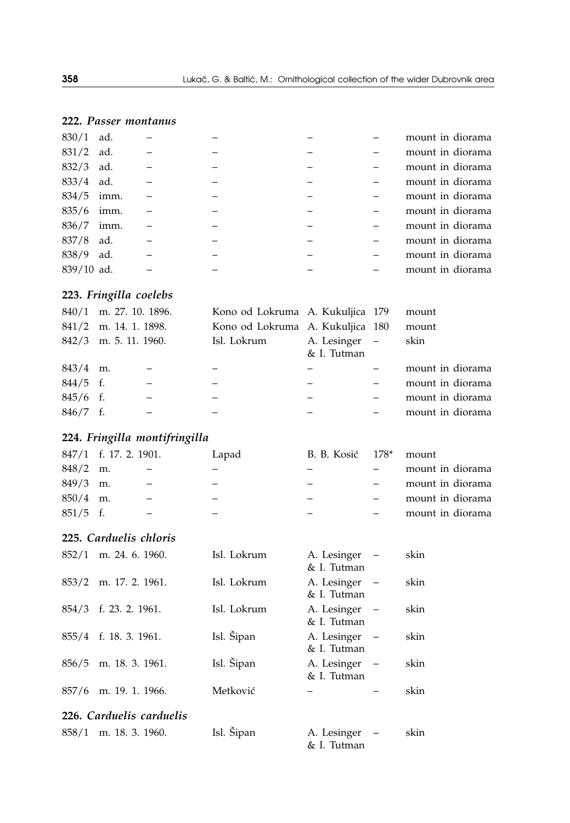## **222.** *Passer montanus*

| 830/1        | ad.  |  |  | mount in diorama |
|--------------|------|--|--|------------------|
| $831/2$ ad.  |      |  |  | mount in diorama |
| 832/3        | ad.  |  |  | mount in diorama |
| $833/4$ ad.  |      |  |  | mount in diorama |
| $834/5$ imm. |      |  |  | mount in diorama |
| $835/6$ imm. |      |  |  | mount in diorama |
| 836/7        | imm. |  |  | mount in diorama |
| $837/8$ ad.  |      |  |  | mount in diorama |
| 838/9        | ad.  |  |  | mount in diorama |
| $839/10$ ad. |      |  |  | mount in diorama |

# **223.** *Fringilla coelebs*

|            | $840/1$ m. 27. 10. 1896. | Kono od Lokruma A. Kukuljica 179 |                              | mount            |  |
|------------|--------------------------|----------------------------------|------------------------------|------------------|--|
|            | 841/2 m. 14. 1. 1898.    | Kono od Lokruma A. Kukuljica 180 |                              | mount            |  |
|            | 842/3 m. 5. 11. 1960.    | Isl. Lokrum                      | A. Lesinger –<br>& I. Tutman | skin             |  |
| $843/4$ m. |                          |                                  |                              | mount in diorama |  |
| $844/5$ f. |                          |                                  |                              | mount in diorama |  |
| $845/6$ f. |                          |                                  |                              | mount in diorama |  |
| $846/7$ f. |                          |                                  |                              | mount in diorama |  |
|            |                          |                                  |                              |                  |  |

# **224.** *Fringilla montifringilla*

|            | 847/1 f. 17. 2. 1901. | Lapad | B. B. Kosić 178* | mount            |
|------------|-----------------------|-------|------------------|------------------|
| $848/2$ m. |                       |       |                  | mount in diorama |
| $849/3$ m. |                       |       |                  | mount in diorama |
| $850/4$ m. |                       |       |                  | mount in diorama |
| $851/5$ f. |                       |       |                  | mount in diorama |

## **225.** *Carduelis chloris*

| 852/1 | m. 24. 6. 1960.          | Isl. Lokrum | A. Lesinger<br>& I. Tutman   | skin |
|-------|--------------------------|-------------|------------------------------|------|
|       | 853/2 m. 17. 2. 1961.    | Isl. Lokrum | A. Lesinger –<br>& I. Tutman | skin |
|       | 854/3 f. 23. 2. 1961.    | Isl. Lokrum | A. Lesinger –<br>& I. Tutman | skin |
|       | 855/4 f. 18. 3. 1961.    | Isl. Šipan  | A. Lesinger –<br>& I. Tutman | skin |
|       | 856/5 m. 18. 3. 1961.    | Isl. Šipan  | A. Lesinger –<br>& I. Tutman | skin |
|       | 857/6 m. 19. 1. 1966.    | Metković    |                              | skin |
|       | 226. Carduelis carduelis |             |                              |      |
|       | $858/1$ m. 18. 3. 1960.  | Isl. Šipan  | A. Lesinger<br>& I. Tutman   | skin |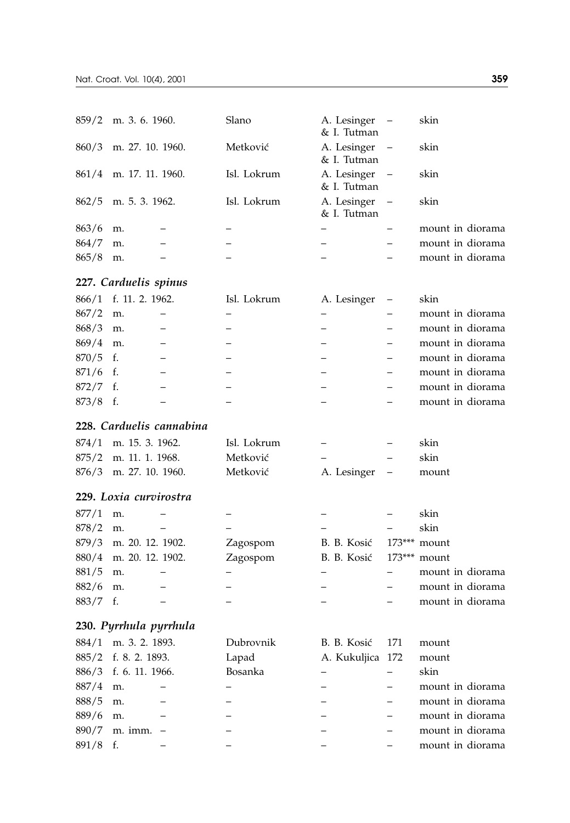|            | $859/2$ m. 3. 6. 1960. | Slano       | A. Lesinger –<br>& I. Tutman | skin             |
|------------|------------------------|-------------|------------------------------|------------------|
|            | 860/3 m. 27. 10. 1960. | Metković    | A. Lesinger –<br>& I. Tutman | skin             |
|            | 861/4 m. 17. 11. 1960. | Isl. Lokrum | A. Lesinger –<br>& I. Tutman | skin             |
|            | $862/5$ m. 5. 3. 1962. | Isl. Lokrum | A. Lesinger –<br>& I. Tutman | skin             |
| $863/6$ m. |                        |             |                              | mount in diorama |
| 864/7      | m.                     |             |                              | mount in diorama |
| 865/8      | m.                     |             |                              | mount in diorama |
|            |                        |             |                              |                  |

# **227.** *Carduelis spinus*

|            | 866/1 f. 11. 2. 1962. | Isl. Lokrum | A. Lesinger – | skin             |
|------------|-----------------------|-------------|---------------|------------------|
| $867/2$ m. |                       |             |               | mount in diorama |
| $868/3$ m. |                       |             |               | mount in diorama |
| $869/4$ m. |                       |             |               | mount in diorama |
| $870/5$ f. |                       |             |               | mount in diorama |
| $871/6$ f. |                       |             |               | mount in diorama |
| $872/7$ f. |                       |             |               | mount in diorama |
| $873/8$ f. |                       |             |               | mount in diorama |

## **228.** *Carduelis cannabina*

| $874/1$ m. 15. 3. 1962.  | Isl. Lokrum | $-$           | $\sim$     | skin  |
|--------------------------|-------------|---------------|------------|-------|
| $875/2$ m. 11, 1, 1968.  | Metković    | $ -$          | $\sim$ $-$ | skin  |
| $876/3$ m. 27, 10, 1960. | Metković    | A. Lesinger – |            | mount |

## **229.** *Loxia curvirostra*

| 877/1 m. |                        |          |                            | skin             |
|----------|------------------------|----------|----------------------------|------------------|
| 878/2 m. |                        |          |                            | skin             |
|          | 879/3 m. 20. 12. 1902. | Zagospom | B. B. Kosić $173***$ mount |                  |
|          | 880/4 m. 20. 12. 1902. | Zagospom | B. B. Kosić 173*** mount   |                  |
| 881/5 m. |                        |          |                            | mount in diorama |
| 882/6 m. |                        |          |                            | mount in diorama |
| 883/7 f. |                        |          |                            | mount in diorama |

# **230.** *Pyrrhula pyrrhula*

|            | $884/1$ m. 3. 2. 1893. | Dubrovnik | B. B. Kosić 171  | mount            |  |
|------------|------------------------|-----------|------------------|------------------|--|
|            | 885/2 f. 8. 2. 1893.   | Lapad     | A. Kukuljica 172 | mount            |  |
|            | 886/3 f. 6. 11. 1966.  | Bosanka   |                  | skin             |  |
| $887/4$ m. |                        |           |                  | mount in diorama |  |
| $888/5$ m. |                        |           |                  | mount in diorama |  |
| 889/6 m.   |                        |           |                  | mount in diorama |  |
|            | $890/7$ m. imm. -      |           |                  | mount in diorama |  |
| $891/8$ f. |                        |           |                  | mount in diorama |  |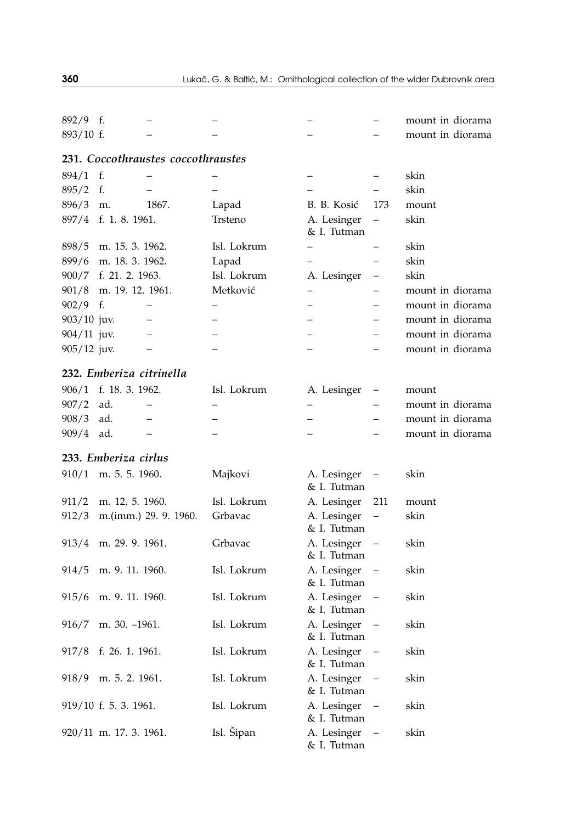| $892/9$ f.    |                          |                                    |                          |                            |                          | mount in diorama |
|---------------|--------------------------|------------------------------------|--------------------------|----------------------------|--------------------------|------------------|
| 893/10 f.     |                          |                                    |                          |                            |                          | mount in diorama |
|               |                          | 231. Coccothraustes coccothraustes |                          |                            |                          |                  |
| 894/1         | f.                       |                                    |                          |                            |                          | skin             |
| 895/2         | f.                       |                                    |                          |                            |                          | skin             |
| 896/3         | m.                       | 1867.                              | Lapad                    | B. B. Kosić                | 173                      | mount            |
| 897/4         | f. 1. 8. 1961.           |                                    | Trsteno                  | A. Lesinger<br>& I. Tutman | $\overline{\phantom{0}}$ | skin             |
| 898/5         | m. 15. 3. 1962.          |                                    | Isl. Lokrum              | $\overline{\phantom{0}}$   |                          | skin             |
| 899/6         | m. 18. 3. 1962.          |                                    | Lapad                    | $\overline{a}$             | —                        | skin             |
|               | 900/7 f. 21. 2. 1963.    |                                    | Isl. Lokrum              | A. Lesinger                | $\qquad \qquad -$        | skin             |
|               | 901/8 m. 19. 12. 1961.   |                                    | Metković                 | $\overline{\phantom{0}}$   |                          | mount in diorama |
| $902/9$ f.    |                          | $\qquad \qquad -$                  | $\overline{\phantom{0}}$ |                            |                          | mount in diorama |
| $903/10$ juv. |                          |                                    |                          |                            |                          | mount in diorama |
| $904/11$ juv. |                          | $\overline{\phantom{0}}$           |                          |                            |                          | mount in diorama |
| $905/12$ juv. |                          | $\overline{\phantom{0}}$           |                          |                            |                          | mount in diorama |
|               | 232. Emberiza citrinella |                                    |                          |                            |                          |                  |
| 906/1         | f. 18. 3. 1962.          |                                    | Isl. Lokrum              | A. Lesinger                |                          | mount            |
| 907/2         | ad.                      |                                    |                          |                            |                          | mount in diorama |
| 908/3         | ad.                      |                                    |                          |                            |                          | mount in diorama |
| 909/4         | ad.                      |                                    |                          |                            |                          | mount in diorama |
|               | 233. Emberiza cirlus     |                                    |                          |                            |                          |                  |
| 910/1         | m. 5. 5. 1960.           |                                    | Majkovi                  | A. Lesinger                | $\overline{\phantom{0}}$ | skin             |
|               |                          |                                    |                          | & I. Tutman                |                          |                  |
| 911/2         | m. 12. 5. 1960.          |                                    | Isl. Lokrum              | A. Lesinger                | 211                      | mount            |
| 912/3         |                          | m.(imm.) 29. 9. 1960.              | Grbavac                  | A. Lesinger<br>& I. Tutman | $\qquad \qquad -$        | skin             |
| 913/4         | m. 29. 9. 1961.          |                                    | Grbavac                  | A. Lesinger<br>& I. Tutman |                          | skin             |
| 914/5         | m. 9. 11. 1960.          |                                    | Isl. Lokrum              | A. Lesinger<br>& I. Tutman |                          | skin             |
| 915/6         | m. 9. 11. 1960.          |                                    | Isl. Lokrum              | A. Lesinger<br>& I. Tutman |                          | skin             |
| 916/7         | m. 30. -1961.            |                                    | Isl. Lokrum              | A. Lesinger<br>& I. Tutman |                          | skin             |
|               | 917/8 f. 26. 1. 1961.    |                                    | Isl. Lokrum              | A. Lesinger<br>& I. Tutman |                          | skin             |
|               | 918/9 m. 5. 2. 1961.     |                                    | Isl. Lokrum              | A. Lesinger<br>& I. Tutman | $\overline{\phantom{0}}$ | skin             |
|               | 919/10 f. 5. 3. 1961.    |                                    | Isl. Lokrum              | A. Lesinger<br>& I. Tutman |                          | skin             |
|               | $920/11$ m. 17. 3. 1961. |                                    | Isl. Šipan               | A. Lesinger<br>& I. Tutman |                          | skin             |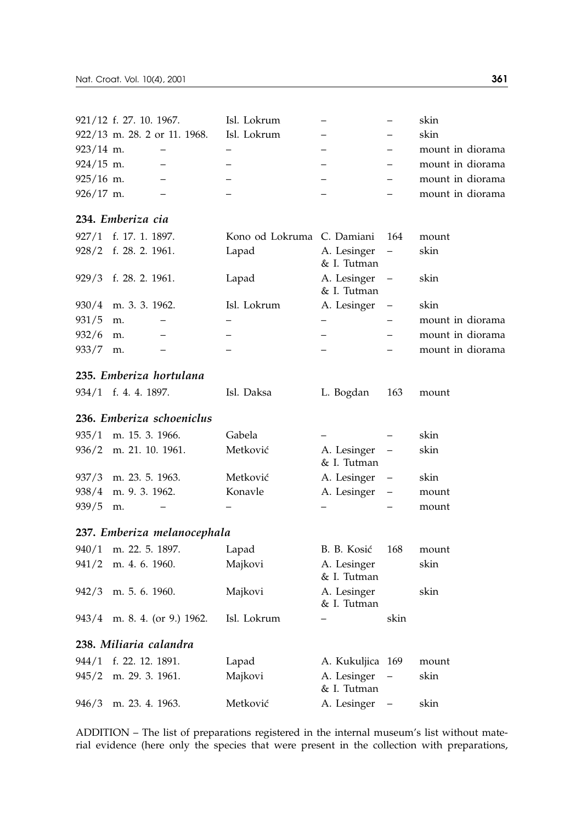| 921/12 f. 27. 10. 1967. |                              | Isl. Lokrum |  | skin             |
|-------------------------|------------------------------|-------------|--|------------------|
|                         | 922/13 m. 28. 2 or 11. 1968. | Isl. Lokrum |  | skin             |
| $923/14$ m.             |                              |             |  | mount in diorama |
| $924/15$ m.             |                              |             |  | mount in diorama |
| $925/16$ m.             |                              |             |  | mount in diorama |
| $926/17$ m.             |                              |             |  | mount in diorama |

### **234.** *Emberiza cia*

|            | 927/1 f. 17. 1. 1897.  | Kono od Lokruma C. Damiani 164 |                              | mount            |
|------------|------------------------|--------------------------------|------------------------------|------------------|
|            | 928/2 f. 28. 2. 1961.  | Lapad                          | A. Lesinger –<br>& I. Tutman | skin             |
|            | 929/3 f. 28. 2. 1961.  | Lapad                          | A. Lesinger –<br>& I. Tutman | skin             |
|            | $930/4$ m. 3. 3. 1962. | Isl. Lokrum                    | A. Lesinger –                | skin             |
| $931/5$ m. |                        |                                |                              | mount in diorama |
| $932/6$ m. |                        |                                |                              | mount in diorama |
| 933/7      | m.                     |                                |                              | mount in diorama |
|            |                        |                                |                              |                  |

### **235.** *Emberiza hortulana*

| 934/1 f. 4. 4. 1897. | Isl. Daksa | L. Bogdan 163 mount |  |
|----------------------|------------|---------------------|--|
|                      |            |                     |  |

### **236.** *Emberiza schoeniclus*

|          | 935/1 m. 15. 3. 1966.  | Gabela   |                              | skin  |
|----------|------------------------|----------|------------------------------|-------|
|          | 936/2 m. 21. 10. 1961. | Metković | A. Lesinger –<br>& I. Tutman | skin  |
|          | 937/3 m. 23. 5. 1963.  | Metković | A. Lesinger –                | skin  |
|          | 938/4 m. 9. 3. 1962.   | Konavle  | A. Lesinger –                | mount |
| 939/5 m. |                        |          |                              | mount |

### **237.** *Emberiza melanocephala*

| 940/1 m. 22. 5. 1897.        | Lapad       | B. B. Kosić                  | 168  | mount |
|------------------------------|-------------|------------------------------|------|-------|
| $941/2$ m. 4. 6. 1960.       | Majkovi     | A. Lesinger<br>& I. Tutman   |      | skin  |
| 942/3 m. 5.6.1960.           | Majkovi     | A. Lesinger<br>& I. Tutman   |      | skin  |
| 943/4 m. 8. 4. (or 9.) 1962. | Isl. Lokrum |                              | skin |       |
| 238. Miliaria calandra       |             |                              |      |       |
| 944/1 f. 22. 12. 1891.       | Lapad       | A. Kukuljica 169             |      | mount |
| 945/2 m. 29. 3. 1961.        | Majkovi     | A. Lesinger –<br>& I. Tutman |      | skin  |
| 946/3 m. 23. 4. 1963.        | Metković    | A. Lesinger                  |      | skin  |

ADDITION – The list of preparations registered in the internal museum's list without material evidence (here only the species that were present in the collection with preparations,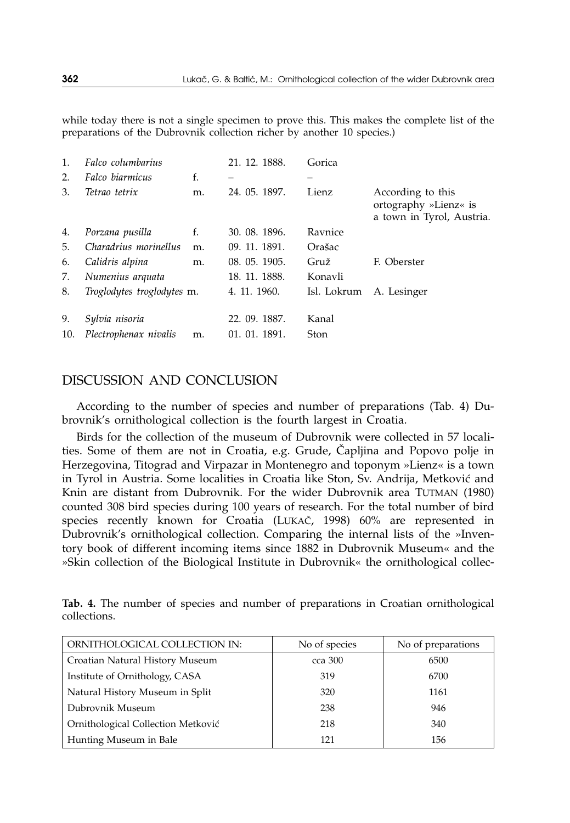while today there is not a single specimen to prove this. This makes the complete list of the preparations of the Dubrovnik collection richer by another 10 species.)

| 1.  | Falco columbarius          |    | 21, 12, 1888. | Gorica      |                                                                         |
|-----|----------------------------|----|---------------|-------------|-------------------------------------------------------------------------|
| 2.  | Falco biarmicus            | f. |               |             |                                                                         |
| 3.  | Tetrao tetrix              | m. | 24. 05. 1897. | Lienz       | According to this<br>ortography »Lienz« is<br>a town in Tyrol, Austria. |
| 4.  | Porzana pusilla            | f. | 30. 08. 1896. | Ravnice     |                                                                         |
| 5.  | Charadrius morinellus      | m. | 09. 11. 1891. | Orašac      |                                                                         |
| 6.  | Calidris alpina            | m. | 08. 05. 1905. | Gruž        | F. Oberster                                                             |
| 7.  | Numenius arquata           |    | 18. 11. 1888. | Konavli     |                                                                         |
| 8.  | Troglodytes troglodytes m. |    | 4. 11. 1960.  | Isl. Lokrum | A. Lesinger                                                             |
| 9.  | Sylvia nisoria             |    | 22. 09. 1887. | Kanal       |                                                                         |
| 10. | Plectrophenax nivalis      | m. | 01. 01. 1891. | Ston        |                                                                         |

## DISCUSSION AND CONCLUSION

According to the number of species and number of preparations (Tab. 4) Dubrovnik's ornithological collection is the fourth largest in Croatia.

Birds for the collection of the museum of Dubrovnik were collected in 57 localities. Some of them are not in Croatia, e.g. Grude, Čapljina and Popovo polje in Herzegovina, Titograd and Virpazar in Montenegro and toponym »Lienz« is a town in Tyrol in Austria. Some localities in Croatia like Ston, Sv. Andrija, Metković and Knin are distant from Dubrovnik. For the wider Dubrovnik area TUTMAN (1980) counted 308 bird species during 100 years of research. For the total number of bird species recently known for Croatia (LUKAČ, 1998) 60% are represented in Dubrovnik's ornithological collection. Comparing the internal lists of the »Inventory book of different incoming items since 1882 in Dubrovnik Museum« and the »Skin collection of the Biological Institute in Dubrovnik« the ornithological collec-

**Tab. 4.** The number of species and number of preparations in Croatian ornithological collections.

| ORNITHOLOGICAL COLLECTION IN:      | No of species | No of preparations |
|------------------------------------|---------------|--------------------|
| Croatian Natural History Museum    | cca 300       | 6500               |
| Institute of Ornithology, CASA     | 319           | 6700               |
| Natural History Museum in Split    | 320           | 1161               |
| Dubrovnik Museum                   | 238           | 946                |
| Ornithological Collection Metković | 218           | 340                |
| Hunting Museum in Bale             | 121           | 156                |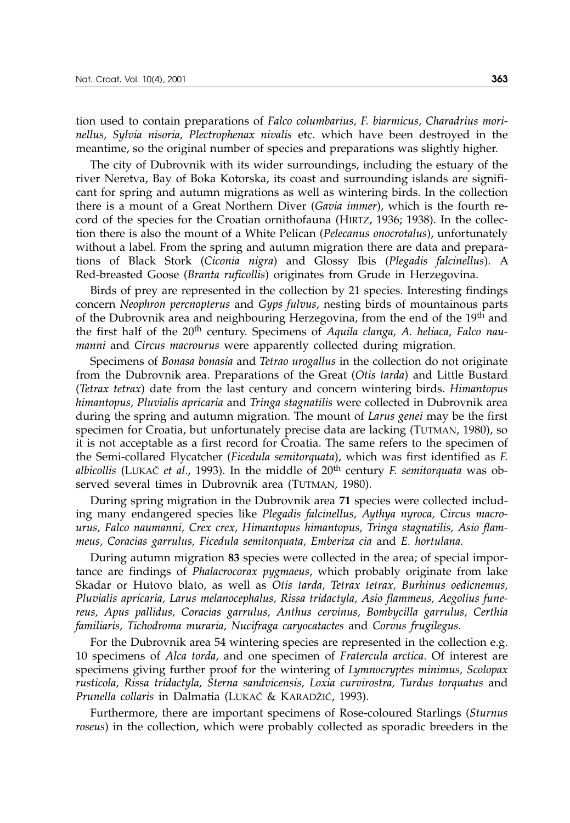tion used to contain preparations of *Falco columbarius, F. biarmicus, Charadrius morinellus, Sylvia nisoria, Plectrophenax nivalis* etc. which have been destroyed in the meantime, so the original number of species and preparations was slightly higher.

The city of Dubrovnik with its wider surroundings, including the estuary of the river Neretva, Bay of Boka Kotorska, its coast and surrounding islands are significant for spring and autumn migrations as well as wintering birds. In the collection there is a mount of a Great Northern Diver (*Gavia immer*), which is the fourth record of the species for the Croatian ornithofauna (HIRTZ, 1936; 1938). In the collection there is also the mount of a White Pelican (*Pelecanus onocrotalus*), unfortunately without a label. From the spring and autumn migration there are data and preparations of Black Stork (*Ciconia nigra*) and Glossy Ibis (*Plegadis falcinellus*). A Red-breasted Goose (*Branta ruficollis*) originates from Grude in Herzegovina.

Birds of prey are represented in the collection by 21 species. Interesting findings concern *Neophron percnopterus* and *Gyps fulvus*, nesting birds of mountainous parts of the Dubrovnik area and neighbouring Herzegovina, from the end of the 19<sup>th</sup> and the first half of the 20th century. Specimens of *Aquila clanga, A. heliaca, Falco naumanni* and *Circus macrourus* were apparently collected during migration.

Specimens of *Bonasa bonasia* and *Tetrao urogallus* in the collection do not originate from the Dubrovnik area. Preparations of the Great (*Otis tarda*) and Little Bustard (*Tetrax tetrax*) date from the last century and concern wintering birds. *Himantopus himantopus, Pluvialis apricaria* and *Tringa stagnatilis* were collected in Dubrovnik area during the spring and autumn migration. The mount of *Larus genei* may be the first specimen for Croatia, but unfortunately precise data are lacking (TUTMAN, 1980), so it is not acceptable as a first record for Croatia. The same refers to the specimen of the Semi-collared Flycatcher (*Ficedula semitorquata*), which was first identified as *F. albicollis* (LUKA $\check{c}$  *et al.,* 1993). In the middle of 20<sup>th</sup> century *F. semitorquata* was observed several times in Dubrovnik area (TUTMAN, 1980).

During spring migration in the Dubrovnik area **71** species were collected including many endangered species like *Plegadis falcinellus, Aythya nyroca, Circus macrourus, Falco naumanni, Crex crex, Himantopus himantopus, Tringa stagnatilis, Asio flammeus, Coracias garrulus, Ficedula semitorquata, Emberiza cia* and *E. hortulana.*

During autumn migration **83** species were collected in the area; of special importance are findings of *Phalacrocorax pygmaeus*, which probably originate from lake Skadar or Hutovo blato, as well as *Otis tarda, Tetrax tetrax, Burhinus oedicnemus, Pluvialis apricaria, Larus melanocephalus, Rissa tridactyla, Asio flammeus, Aegolius funereus, Apus pallidus, Coracias garrulus, Anthus cervinus, Bombycilla garrulus, Certhia familiaris, Tichodroma muraria, Nucifraga caryocatactes* and *Corvus frugilegus.*

For the Dubrovnik area 54 wintering species are represented in the collection e.g. 10 specimens of *Alca torda*, and one specimen of *Fratercula arctica*. Of interest are specimens giving further proof for the wintering of *Lymnocryptes minimus, Scolopax rusticola, Rissa tridactyla, Sterna sandvicensis, Loxia curvirostra, Turdus torquatus* and *Prunella collaris* in Dalmatia (LUKA^ & KARAD@I], 1993).

Furthermore, there are important specimens of Rose-coloured Starlings (*Sturnus roseus*) in the collection, which were probably collected as sporadic breeders in the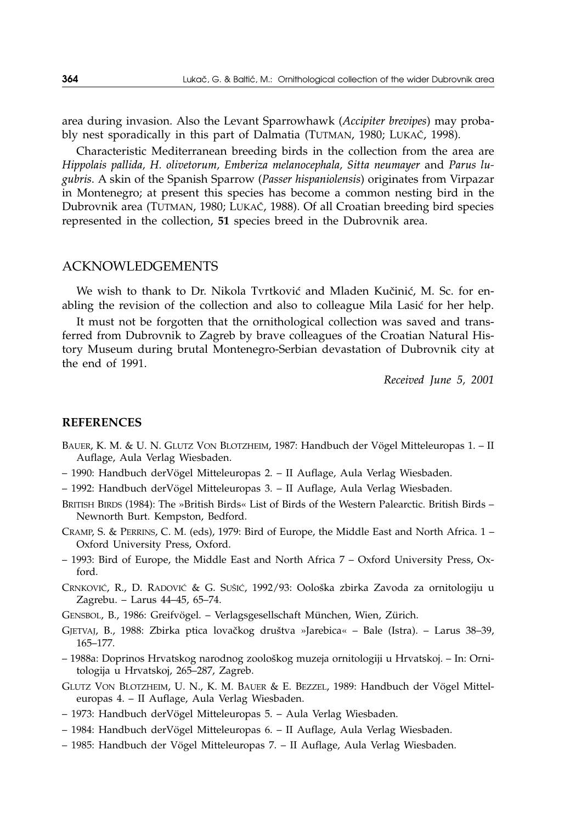area during invasion. Also the Levant Sparrowhawk (*Accipiter brevipes*) may probably nest sporadically in this part of Dalmatia (TUTMAN, 1980; LUKAČ, 1998).

Characteristic Mediterranean breeding birds in the collection from the area are *Hippolais pallida, H. olivetorum, Emberiza melanocephala, Sitta neumayer* and *Parus lugubris*. A skin of the Spanish Sparrow (*Passer hispaniolensis*) originates from Virpazar in Montenegro; at present this species has become a common nesting bird in the Dubrovnik area (TUTMAN, 1980; LUKA^, 1988). Of all Croatian breeding bird species represented in the collection, **51** species breed in the Dubrovnik area.

### ACKNOWLEDGEMENTS

We wish to thank to Dr. Nikola Tvrtković and Mladen Kučinić, M. Sc. for enabling the revision of the collection and also to colleague Mila Lasić for her help.

It must not be forgotten that the ornithological collection was saved and transferred from Dubrovnik to Zagreb by brave colleagues of the Croatian Natural History Museum during brutal Montenegro-Serbian devastation of Dubrovnik city at the end of 1991.

*Received June 5, 2001*

#### **REFERENCES**

- BAUER, K. M. & U. N. GLUTZ VON BLOTZHEIM, 1987: Handbuch der Vögel Mitteleuropas 1. II Auflage, Aula Verlag Wiesbaden.
- 1990: Handbuch derVögel Mitteleuropas 2. II Auflage, Aula Verlag Wiesbaden.
- 1992: Handbuch derVögel Mitteleuropas 3. II Auflage, Aula Verlag Wiesbaden.
- BRITISH BIRDS (1984): The »British Birds« List of Birds of the Western Palearctic. British Birds Newnorth Burt. Kempston, Bedford.
- CRAMP, S. & PERRINS, C. M. (eds), 1979: Bird of Europe, the Middle East and North Africa. 1 Oxford University Press, Oxford.
- 1993: Bird of Europe, the Middle East and North Africa 7 Oxford University Press, Oxford.
- CRNKOVIĆ, R., D. RADOVIĆ & G. SUŠIĆ, 1992/93: Oološka zbirka Zavoda za ornitologiju u Zagrebu. – Larus 44–45, 65–74.
- GENSBOL, B., 1986: Greifvögel. Verlagsgesellschaft München, Wien, Zürich.
- GJETVAJ, B., 1988: Zbirka ptica lovačkog društva »Jarebica« Bale (Istra). Larus 38–39, 165–177.
- 1988a: Doprinos Hrvatskog narodnog zoološkog muzeja ornitologiji u Hrvatskoj. In: Ornitologija u Hrvatskoj, 265–287, Zagreb.
- GLUTZ VON BLOTZHEIM, U. N., K. M. BAUER & E. BEZZEL, 1989: Handbuch der Vögel Mitteleuropas 4. – II Auflage, Aula Verlag Wiesbaden.
- 1973: Handbuch derVögel Mitteleuropas 5. Aula Verlag Wiesbaden.
- 1984: Handbuch derVögel Mitteleuropas 6. II Auflage, Aula Verlag Wiesbaden.
- 1985: Handbuch der Vögel Mitteleuropas 7. II Auflage, Aula Verlag Wiesbaden.